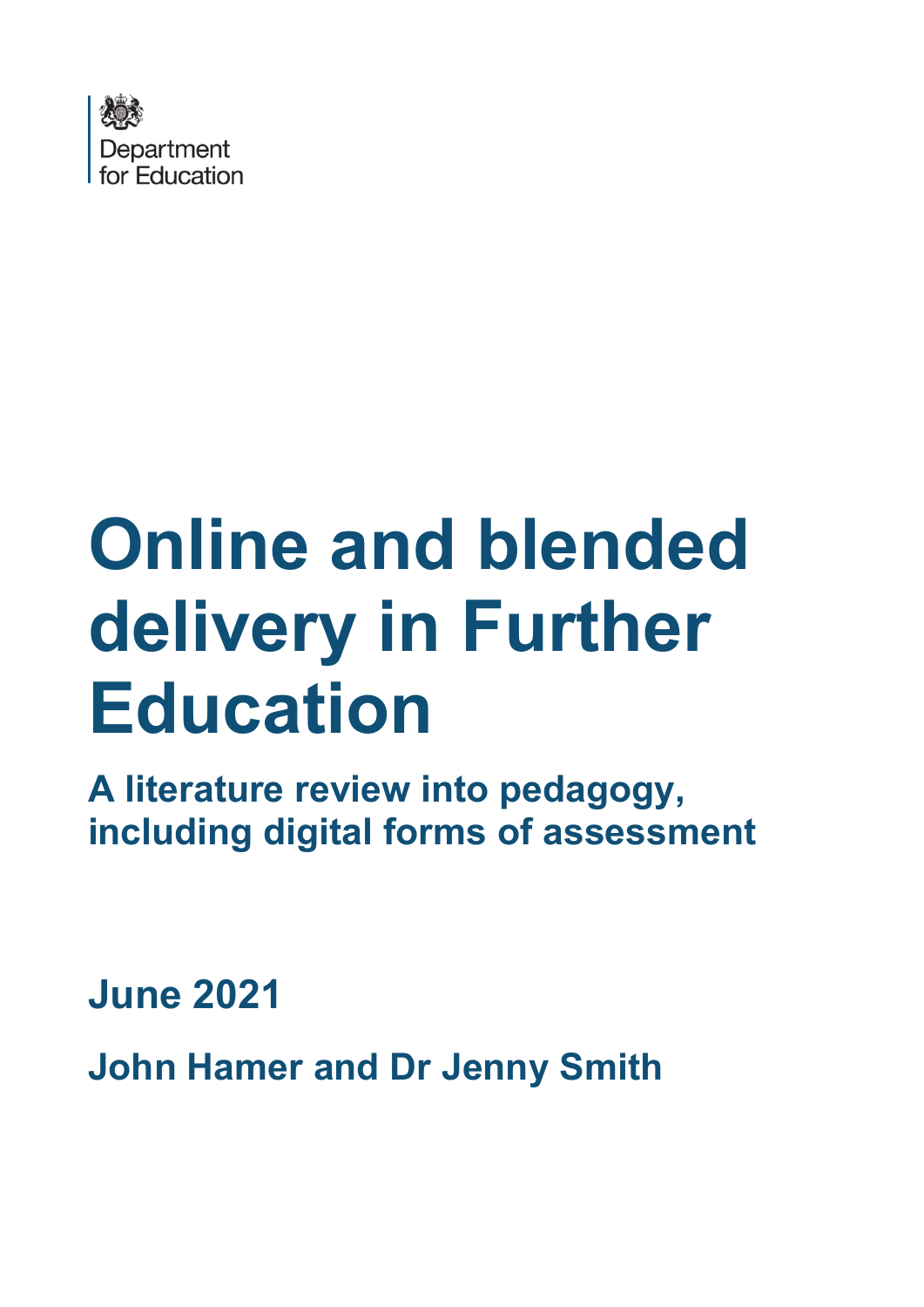

# **Online and blended delivery in Further Education**

**A literature review into pedagogy, including digital forms of assessment**

**June 2021** 

**John Hamer and Dr Jenny Smith**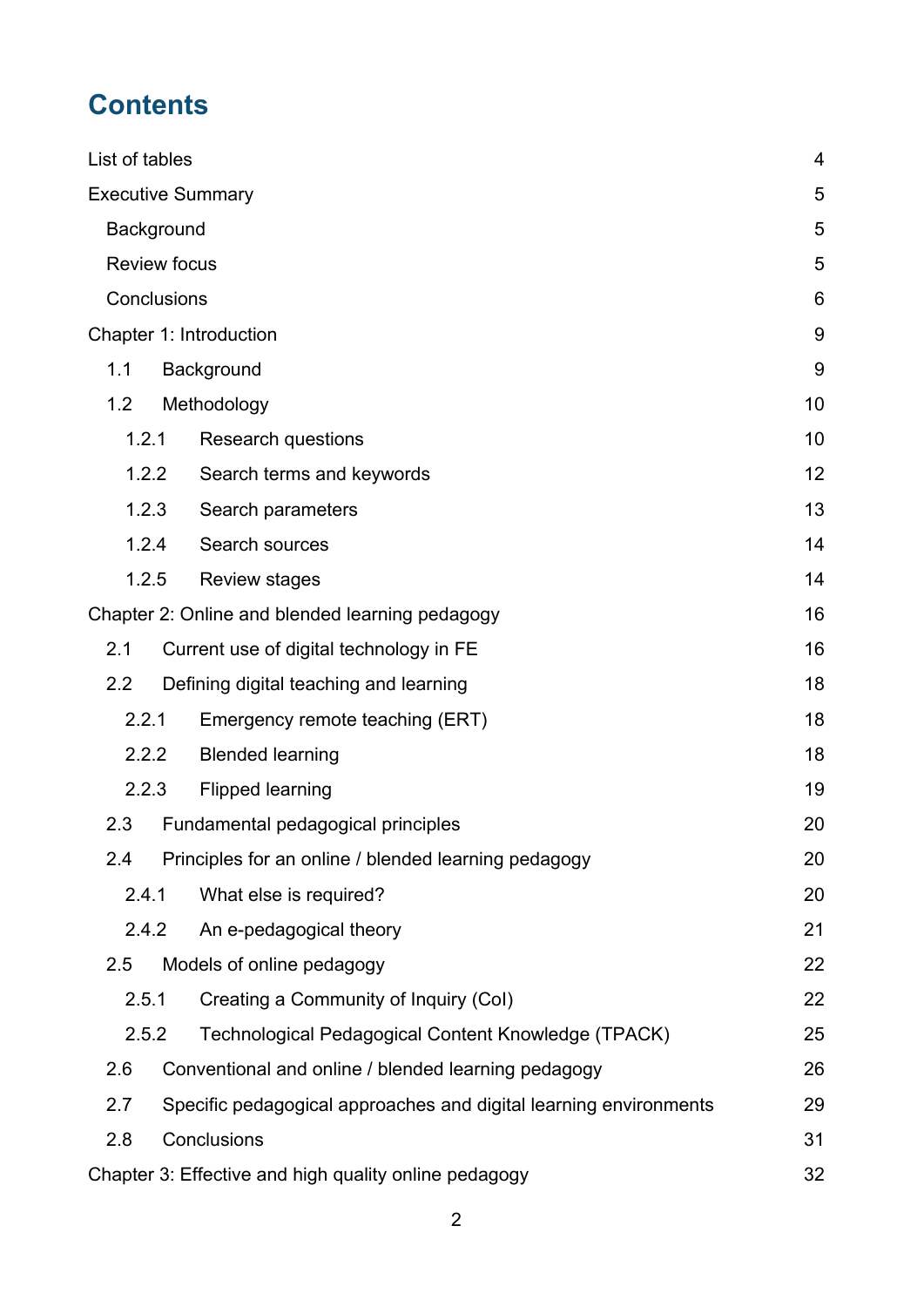# **Contents**

| List of tables                   |                     |                                                                   | 4  |
|----------------------------------|---------------------|-------------------------------------------------------------------|----|
|                                  |                     | <b>Executive Summary</b>                                          | 5  |
|                                  | Background          |                                                                   | 5  |
|                                  | <b>Review focus</b> |                                                                   | 5  |
|                                  | Conclusions         |                                                                   | 6  |
|                                  |                     | Chapter 1: Introduction                                           | 9  |
| 1.1                              |                     | Background                                                        | 9  |
| 1.2                              |                     | Methodology                                                       | 10 |
|                                  | 1.2.1               | <b>Research questions</b>                                         | 10 |
|                                  | 1.2.2               | Search terms and keywords                                         | 12 |
|                                  | 1.2.3               | Search parameters                                                 | 13 |
|                                  | 1.2.4               | Search sources                                                    | 14 |
|                                  | 1.2.5               | <b>Review stages</b>                                              | 14 |
|                                  |                     | Chapter 2: Online and blended learning pedagogy                   | 16 |
| 2.1                              |                     | Current use of digital technology in FE                           | 16 |
| 2.2                              |                     | Defining digital teaching and learning                            | 18 |
|                                  | 2.2.1               | Emergency remote teaching (ERT)                                   | 18 |
| 2.2.2<br><b>Blended learning</b> |                     | 18                                                                |    |
|                                  | 2.2.3               | <b>Flipped learning</b>                                           | 19 |
| 2.3                              |                     | Fundamental pedagogical principles                                | 20 |
| 2.4                              |                     | Principles for an online / blended learning pedagogy              | 20 |
|                                  | 2.4.1               | What else is required?                                            | 20 |
|                                  | 2.4.2               | An e-pedagogical theory                                           | 21 |
| 2.5                              |                     | Models of online pedagogy                                         | 22 |
|                                  | 2.5.1               | Creating a Community of Inquiry (Col)                             | 22 |
|                                  | 2.5.2               | Technological Pedagogical Content Knowledge (TPACK)               | 25 |
| 2.6                              |                     | Conventional and online / blended learning pedagogy               | 26 |
| 2.7                              |                     | Specific pedagogical approaches and digital learning environments | 29 |
| 2.8                              |                     | Conclusions                                                       | 31 |
|                                  |                     | Chapter 3: Effective and high quality online pedagogy             | 32 |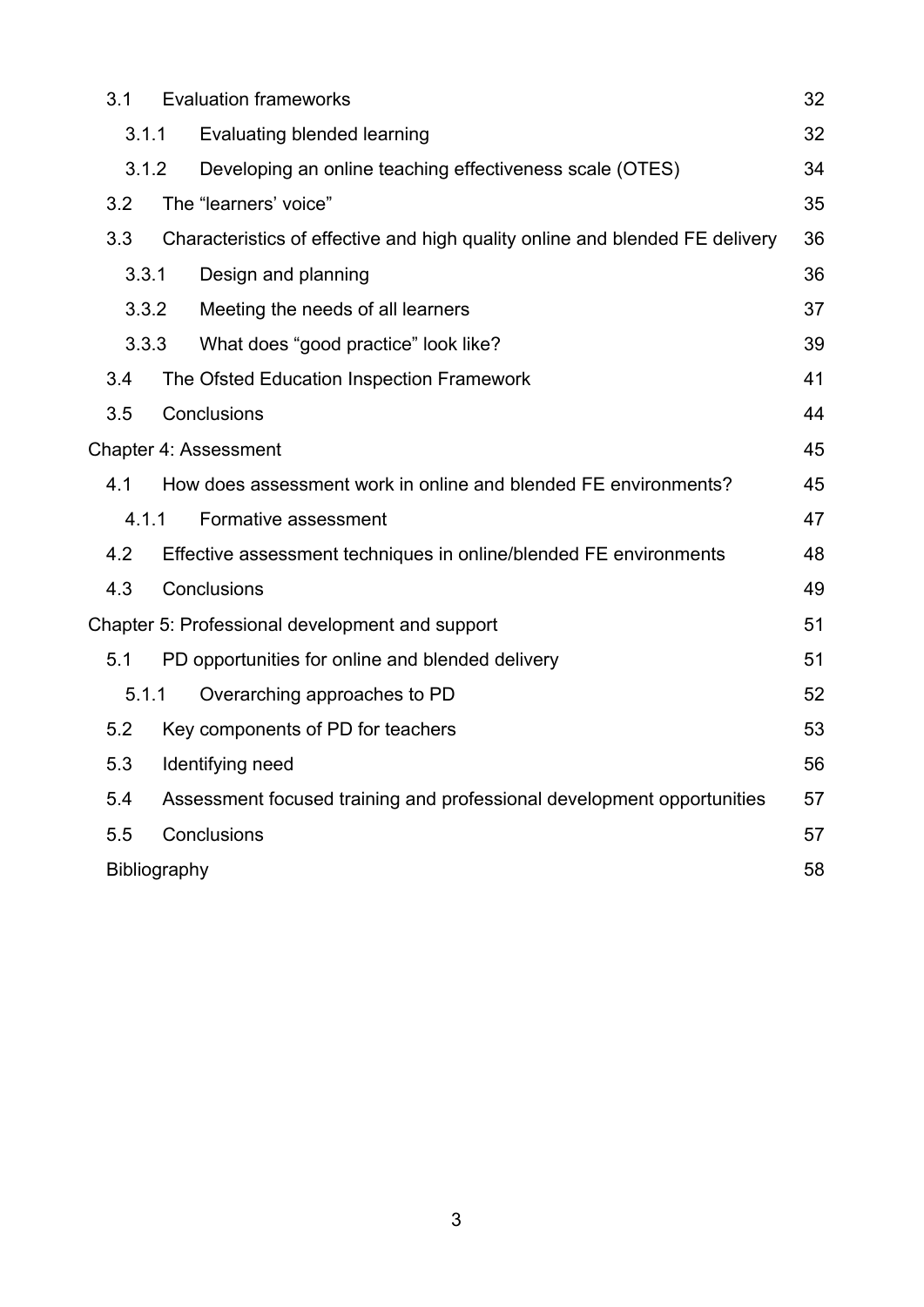| 3.1                       | <b>Evaluation frameworks</b><br>32 |                                                                              |    |  |
|---------------------------|------------------------------------|------------------------------------------------------------------------------|----|--|
| 3.1.1                     | <b>Evaluating blended learning</b> |                                                                              |    |  |
| 3.1.2                     |                                    | Developing an online teaching effectiveness scale (OTES)                     | 34 |  |
| 3.2                       |                                    | The "learners' voice"                                                        | 35 |  |
| 3.3                       |                                    | Characteristics of effective and high quality online and blended FE delivery | 36 |  |
| 3.3.1                     |                                    | Design and planning                                                          | 36 |  |
|                           | 3.3.2                              | Meeting the needs of all learners                                            | 37 |  |
| 3.3.3                     |                                    | What does "good practice" look like?                                         | 39 |  |
| 3.4                       |                                    | The Ofsted Education Inspection Framework                                    | 41 |  |
| 3.5                       |                                    | Conclusions                                                                  | 44 |  |
|                           |                                    | <b>Chapter 4: Assessment</b>                                                 | 45 |  |
| 4.1                       |                                    | How does assessment work in online and blended FE environments?              | 45 |  |
| 4.1.1                     |                                    | Formative assessment                                                         | 47 |  |
| 4.2                       |                                    | Effective assessment techniques in online/blended FE environments            | 48 |  |
| 4.3<br>Conclusions<br>49  |                                    |                                                                              |    |  |
|                           |                                    | Chapter 5: Professional development and support                              | 51 |  |
| 5.1                       |                                    | PD opportunities for online and blended delivery                             | 51 |  |
| 5.1.1                     |                                    | Overarching approaches to PD                                                 | 52 |  |
| 5.2                       |                                    | Key components of PD for teachers                                            | 53 |  |
| 5.3                       |                                    | Identifying need                                                             | 56 |  |
| 5.4                       |                                    | Assessment focused training and professional development opportunities       | 57 |  |
| Conclusions<br>5.5<br>57  |                                    |                                                                              |    |  |
| 58<br><b>Bibliography</b> |                                    |                                                                              |    |  |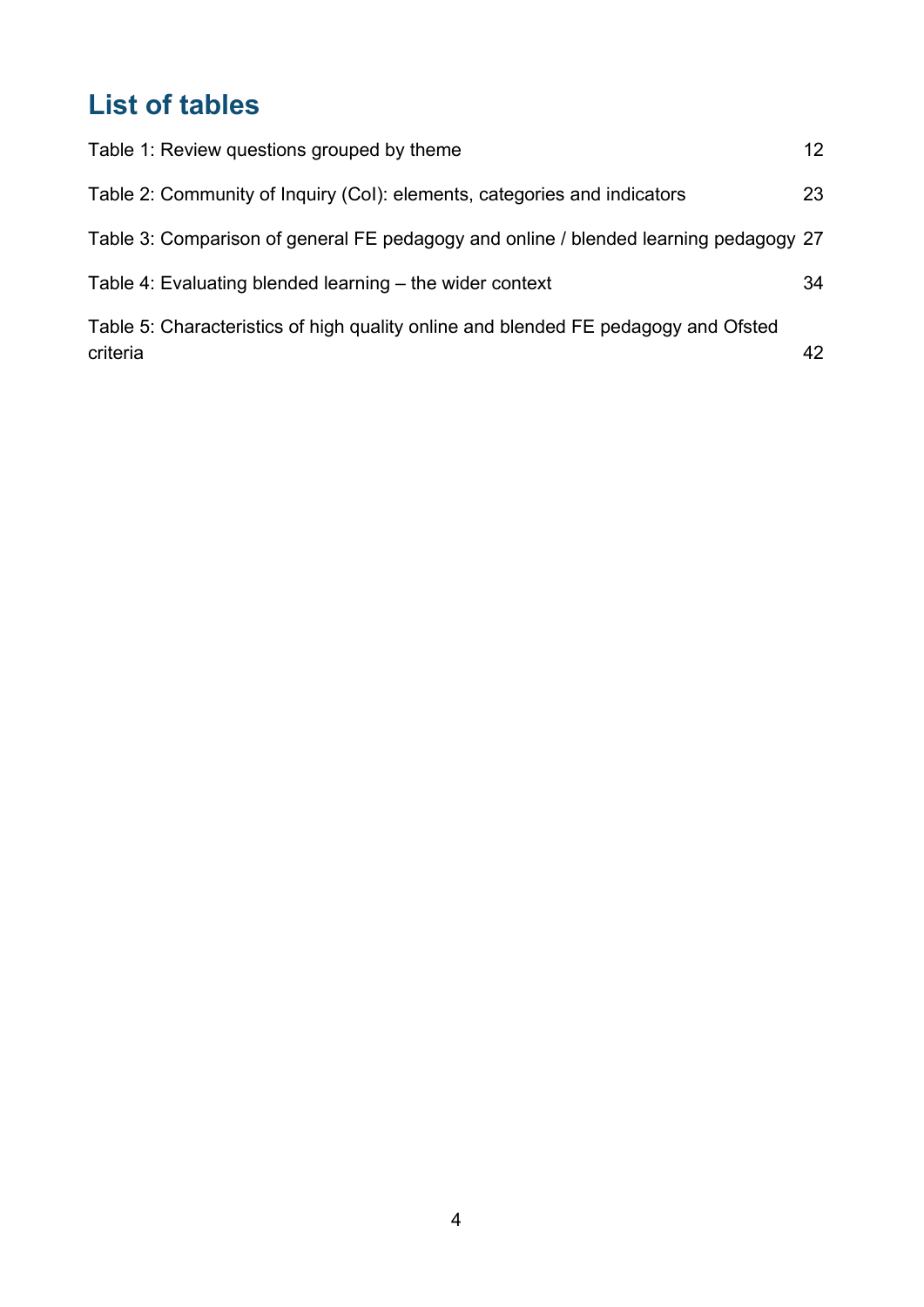# <span id="page-3-0"></span>**List of tables**

| Table 1: Review questions grouped by theme                                                     | 12 |
|------------------------------------------------------------------------------------------------|----|
| Table 2: Community of Inquiry (Col): elements, categories and indicators                       | 23 |
| Table 3: Comparison of general FE pedagogy and online / blended learning pedagogy 27           |    |
| Table 4: Evaluating blended learning – the wider context                                       | 34 |
| Table 5: Characteristics of high quality online and blended FE pedagogy and Ofsted<br>criteria | 42 |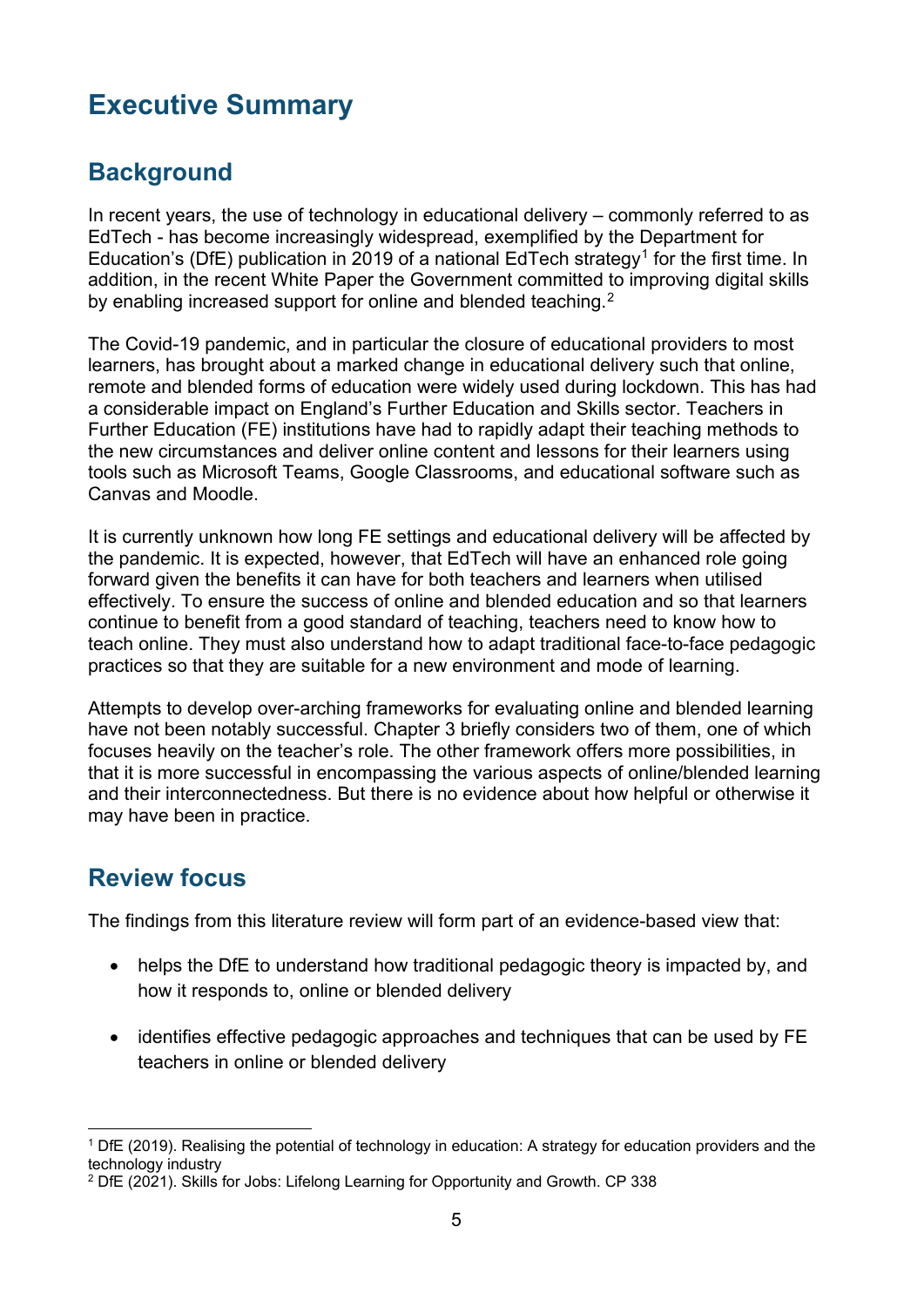# <span id="page-4-0"></span>**Executive Summary**

# <span id="page-4-1"></span>**Background**

In recent years, the use of technology in educational delivery – commonly referred to as EdTech - has become increasingly widespread, exemplified by the Department for Education's (DfE) publication in 20[1](#page-4-3)9 of a national EdTech strategy<sup>1</sup> for the first time. In addition, in the recent White Paper the Government committed to improving digital skills by enabling increased support for online and blended teaching.<sup>2</sup>

The Covid-19 pandemic, and in particular the closure of educational providers to most learners, has brought about a marked change in educational delivery such that online, remote and blended forms of education were widely used during lockdown. This has had a considerable impact on England's Further Education and Skills sector. Teachers in Further Education (FE) institutions have had to rapidly adapt their teaching methods to the new circumstances and deliver online content and lessons for their learners using tools such as Microsoft Teams, Google Classrooms, and educational software such as Canvas and Moodle.

It is currently unknown how long FE settings and educational delivery will be affected by the pandemic. It is expected, however, that EdTech will have an enhanced role going forward given the benefits it can have for both teachers and learners when utilised effectively. To ensure the success of online and blended education and so that learners continue to benefit from a good standard of teaching, teachers need to know how to teach online. They must also understand how to adapt traditional face-to-face pedagogic practices so that they are suitable for a new environment and mode of learning.

Attempts to develop over-arching frameworks for evaluating online and blended learning have not been notably successful. Chapter 3 briefly considers two of them, one of which focuses heavily on the teacher's role. The other framework offers more possibilities, in that it is more successful in encompassing the various aspects of online/blended learning and their interconnectedness. But there is no evidence about how helpful or otherwise it may have been in practice.

## <span id="page-4-2"></span>**Review focus**

The findings from this literature review will form part of an evidence-based view that:

- helps the DfE to understand how traditional pedagogic theory is impacted by, and how it responds to, online or blended delivery
- identifies effective pedagogic approaches and techniques that can be used by FE teachers in online or blended delivery

<span id="page-4-3"></span><sup>1</sup> DfE (2019). Realising the potential of technology in education: A strategy for education providers and the technology industry

<span id="page-4-4"></span><sup>&</sup>lt;sup>2</sup> DfE (2021). Skills for Jobs: Lifelong Learning for Opportunity and Growth. CP 338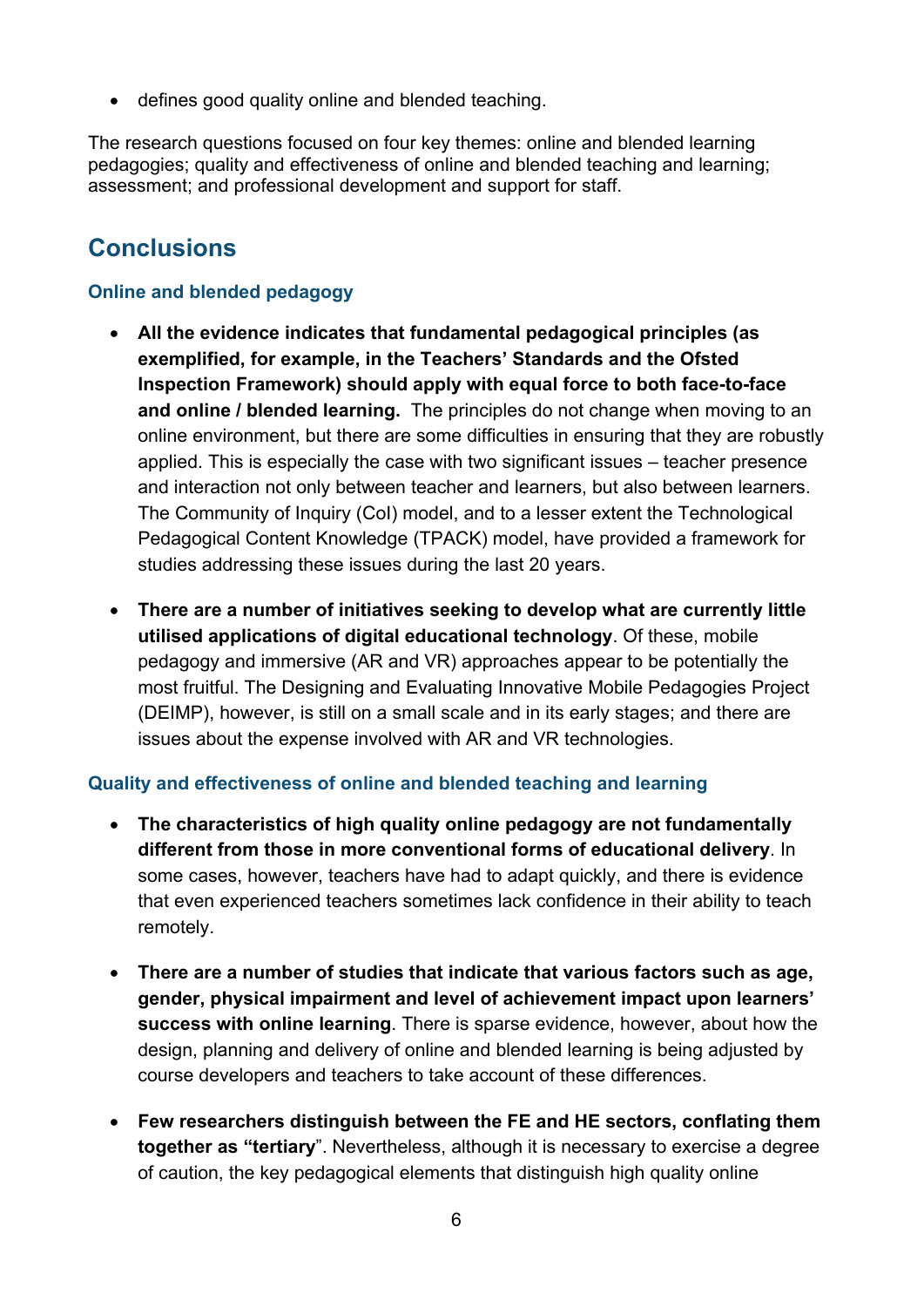• defines good quality online and blended teaching.

The research questions focused on four key themes: online and blended learning pedagogies; quality and effectiveness of online and blended teaching and learning; assessment; and professional development and support for staff.

# <span id="page-5-0"></span>**Conclusions**

#### **Online and blended pedagogy**

- **All the evidence indicates that fundamental pedagogical principles (as exemplified, for example, in the Teachers' Standards and the Ofsted Inspection Framework) should apply with equal force to both face-to-face and online / blended learning.** The principles do not change when moving to an online environment, but there are some difficulties in ensuring that they are robustly applied. This is especially the case with two significant issues – teacher presence and interaction not only between teacher and learners, but also between learners. The Community of Inquiry (CoI) model, and to a lesser extent the Technological Pedagogical Content Knowledge (TPACK) model, have provided a framework for studies addressing these issues during the last 20 years.
- **There are a number of initiatives seeking to develop what are currently little utilised applications of digital educational technology**. Of these, mobile pedagogy and immersive (AR and VR) approaches appear to be potentially the most fruitful. The Designing and Evaluating Innovative Mobile Pedagogies Project (DEIMP), however, is still on a small scale and in its early stages; and there are issues about the expense involved with AR and VR technologies.

#### **Quality and effectiveness of online and blended teaching and learning**

- **The characteristics of high quality online pedagogy are not fundamentally different from those in more conventional forms of educational delivery**. In some cases, however, teachers have had to adapt quickly, and there is evidence that even experienced teachers sometimes lack confidence in their ability to teach remotely.
- **There are a number of studies that indicate that various factors such as age, gender, physical impairment and level of achievement impact upon learners' success with online learning**. There is sparse evidence, however, about how the design, planning and delivery of online and blended learning is being adjusted by course developers and teachers to take account of these differences.
- **Few researchers distinguish between the FE and HE sectors, conflating them together as "tertiary**". Nevertheless, although it is necessary to exercise a degree of caution, the key pedagogical elements that distinguish high quality online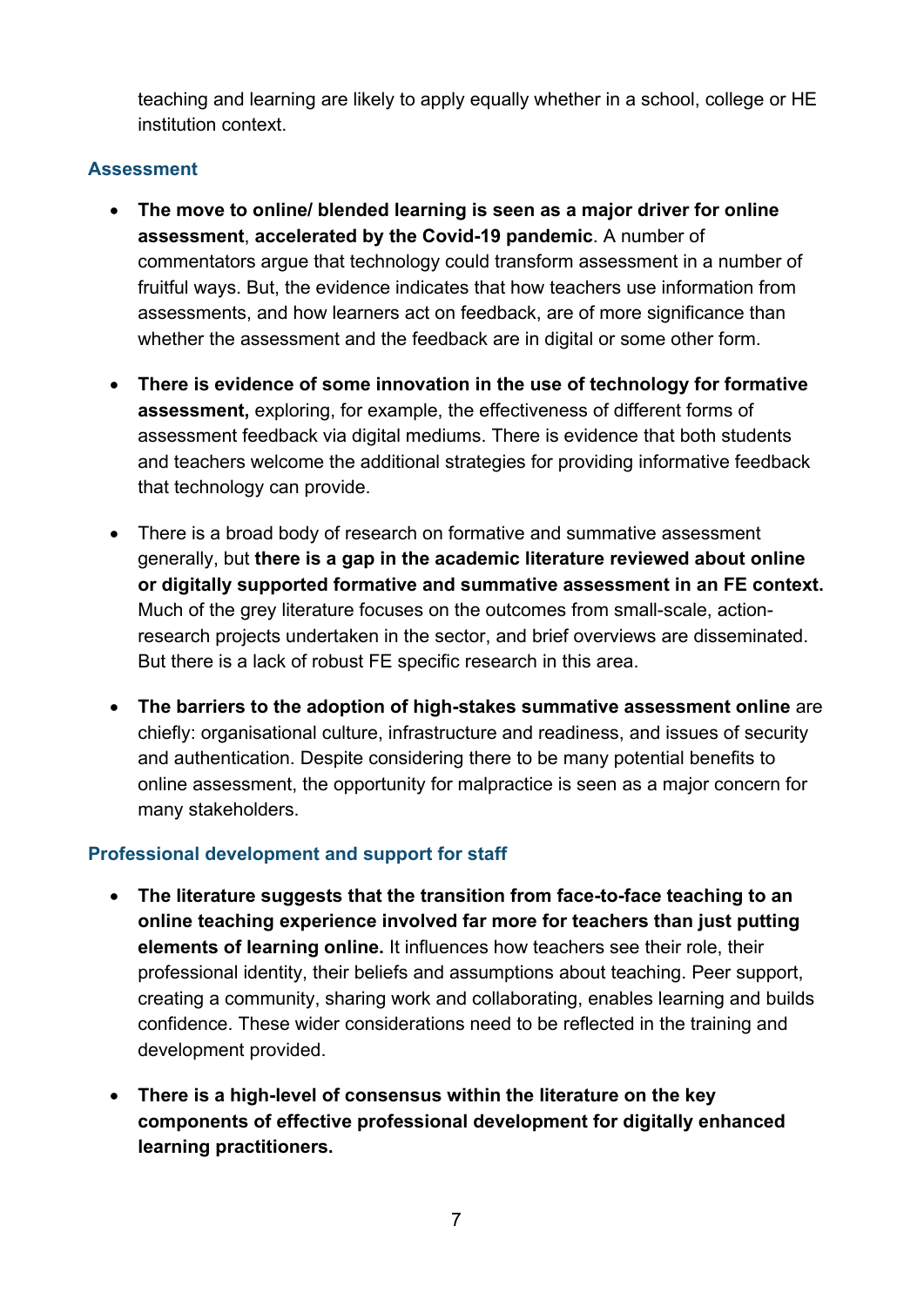teaching and learning are likely to apply equally whether in a school, college or HE institution context.

#### **Assessment**

- **The move to online/ blended learning is seen as a major driver for online assessment**, **accelerated by the Covid-19 pandemic**. A number of commentators argue that technology could transform assessment in a number of fruitful ways. But, the evidence indicates that how teachers use information from assessments, and how learners act on feedback, are of more significance than whether the assessment and the feedback are in digital or some other form.
- **There is evidence of some innovation in the use of technology for formative assessment,** exploring, for example, the effectiveness of different forms of assessment feedback via digital mediums. There is evidence that both students and teachers welcome the additional strategies for providing informative feedback that technology can provide.
- There is a broad body of research on formative and summative assessment generally, but **there is a gap in the academic literature reviewed about online or digitally supported formative and summative assessment in an FE context.**  Much of the grey literature focuses on the outcomes from small-scale, actionresearch projects undertaken in the sector, and brief overviews are disseminated. But there is a lack of robust FE specific research in this area.
- **The barriers to the adoption of high-stakes summative assessment online** are chiefly: organisational culture, infrastructure and readiness, and issues of security and authentication. Despite considering there to be many potential benefits to online assessment, the opportunity for malpractice is seen as a major concern for many stakeholders.

#### **Professional development and support for staff**

- **The literature suggests that the transition from face-to-face teaching to an online teaching experience involved far more for teachers than just putting elements of learning online.** It influences how teachers see their role, their professional identity, their beliefs and assumptions about teaching. Peer support, creating a community, sharing work and collaborating, enables learning and builds confidence. These wider considerations need to be reflected in the training and development provided.
- **There is a high-level of consensus within the literature on the key components of effective professional development for digitally enhanced learning practitioners.**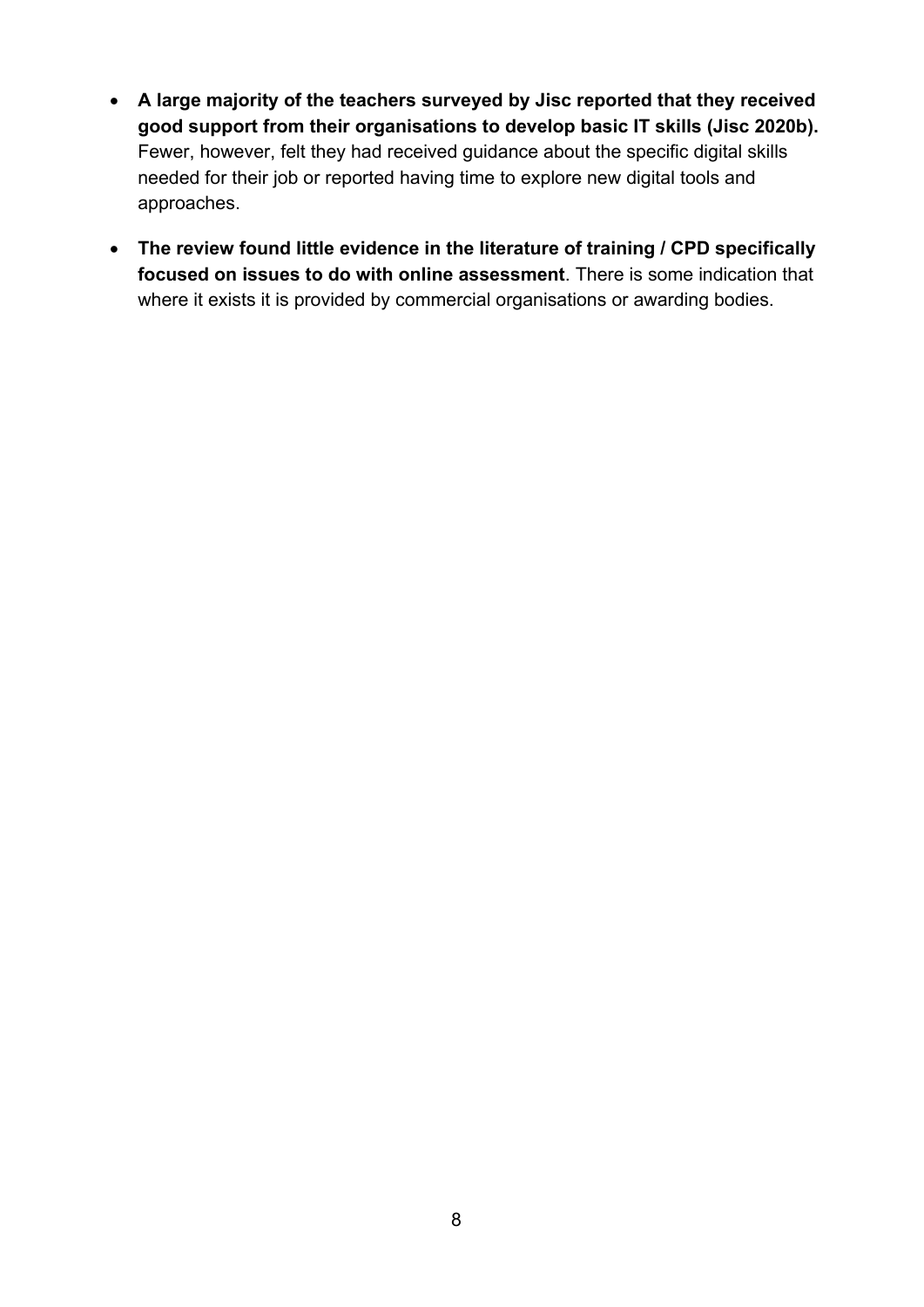- **A large majority of the teachers surveyed by Jisc reported that they received good support from their organisations to develop basic IT skills (Jisc 2020b).** Fewer, however, felt they had received guidance about the specific digital skills needed for their job or reported having time to explore new digital tools and approaches.
- **The review found little evidence in the literature of training / CPD specifically focused on issues to do with online assessment**. There is some indication that where it exists it is provided by commercial organisations or awarding bodies.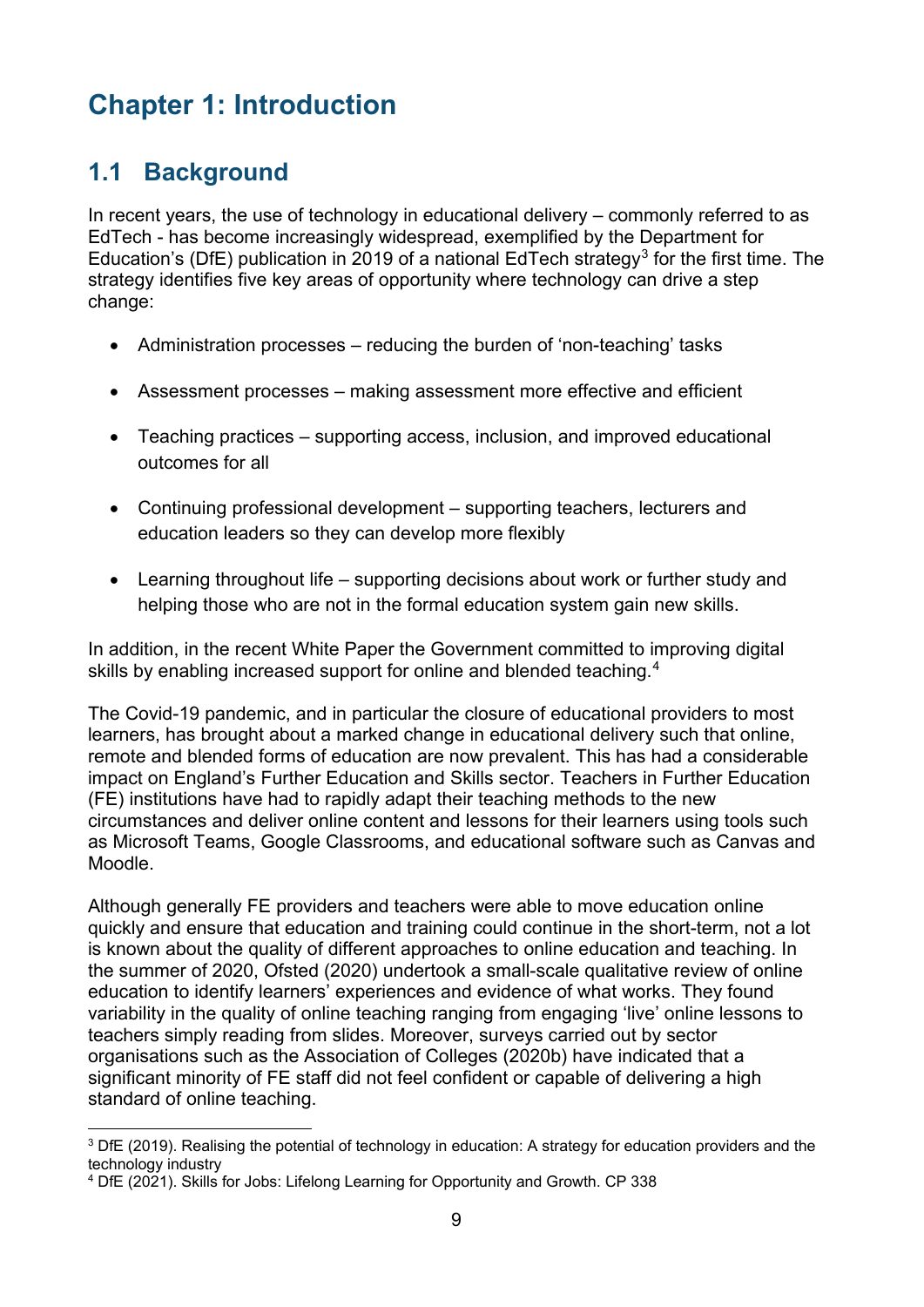# <span id="page-8-0"></span>**Chapter 1: Introduction**

# <span id="page-8-1"></span>**1.1 Background**

In recent years, the use of technology in educational delivery – commonly referred to as EdTech - has become increasingly widespread, exemplified by the Department for Education's (DfE) publication in 2019 of a national EdTech strategy<sup>[3](#page-8-2)</sup> for the first time. The strategy identifies five key areas of opportunity where technology can drive a step change:

- Administration processes reducing the burden of 'non-teaching' tasks
- Assessment processes making assessment more effective and efficient
- Teaching practices supporting access, inclusion, and improved educational outcomes for all
- Continuing professional development supporting teachers, lecturers and education leaders so they can develop more flexibly
- Learning throughout life supporting decisions about work or further study and helping those who are not in the formal education system gain new skills.

In addition, in the recent White Paper the Government committed to improving digital skills by enabling increased support for online and blended teaching.<sup>[4](#page-8-3)</sup>

The Covid-19 pandemic, and in particular the closure of educational providers to most learners, has brought about a marked change in educational delivery such that online, remote and blended forms of education are now prevalent. This has had a considerable impact on England's Further Education and Skills sector. Teachers in Further Education (FE) institutions have had to rapidly adapt their teaching methods to the new circumstances and deliver online content and lessons for their learners using tools such as Microsoft Teams, Google Classrooms, and educational software such as Canvas and Moodle.

Although generally FE providers and teachers were able to move education online quickly and ensure that education and training could continue in the short-term, not a lot is known about the quality of different approaches to online education and teaching. In the summer of 2020, Ofsted (2020) undertook a small-scale qualitative review of online education to identify learners' experiences and evidence of what works. They found variability in the quality of online teaching ranging from engaging 'live' online lessons to teachers simply reading from slides. Moreover, surveys carried out by sector organisations such as the Association of Colleges (2020b) have indicated that a significant minority of FE staff did not feel confident or capable of delivering a high standard of online teaching.

<span id="page-8-2"></span><sup>&</sup>lt;sup>3</sup> DfE (2019). Realising the potential of technology in education: A strategy for education providers and the technology industry

<span id="page-8-3"></span><sup>4</sup> DfE (2021). Skills for Jobs: Lifelong Learning for Opportunity and Growth. CP 338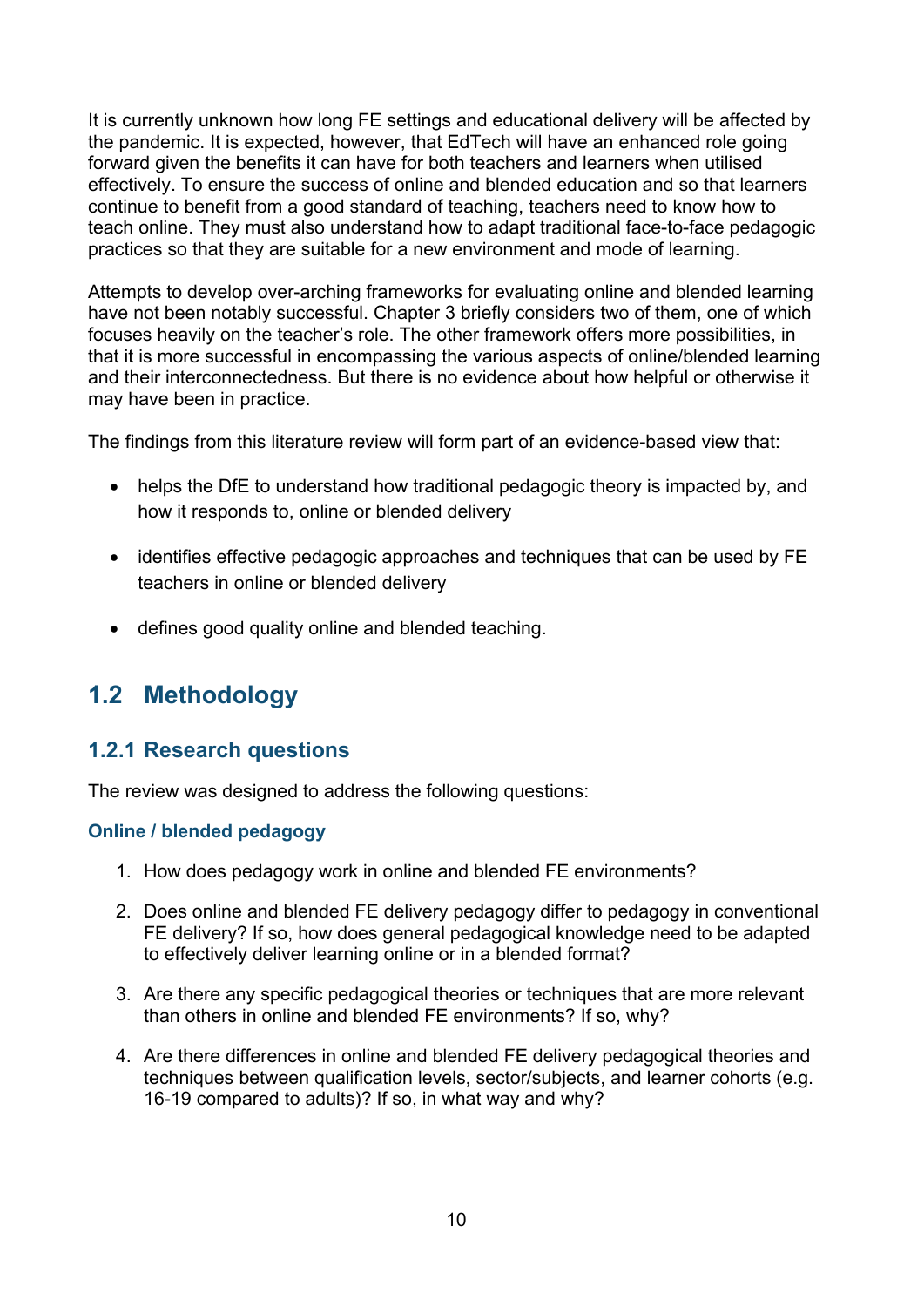It is currently unknown how long FE settings and educational delivery will be affected by the pandemic. It is expected, however, that EdTech will have an enhanced role going forward given the benefits it can have for both teachers and learners when utilised effectively. To ensure the success of online and blended education and so that learners continue to benefit from a good standard of teaching, teachers need to know how to teach online. They must also understand how to adapt traditional face-to-face pedagogic practices so that they are suitable for a new environment and mode of learning.

Attempts to develop over-arching frameworks for evaluating online and blended learning have not been notably successful. Chapter 3 briefly considers two of them, one of which focuses heavily on the teacher's role. The other framework offers more possibilities, in that it is more successful in encompassing the various aspects of online/blended learning and their interconnectedness. But there is no evidence about how helpful or otherwise it may have been in practice.

The findings from this literature review will form part of an evidence-based view that:

- helps the DfE to understand how traditional pedagogic theory is impacted by, and how it responds to, online or blended delivery
- identifies effective pedagogic approaches and techniques that can be used by FE teachers in online or blended delivery
- defines good quality online and blended teaching.

# <span id="page-9-0"></span>**1.2 Methodology**

### <span id="page-9-1"></span>**1.2.1 Research questions**

The review was designed to address the following questions:

#### **Online / blended pedagogy**

- 1. How does pedagogy work in online and blended FE environments?
- 2. Does online and blended FE delivery pedagogy differ to pedagogy in conventional FE delivery? If so, how does general pedagogical knowledge need to be adapted to effectively deliver learning online or in a blended format?
- 3. Are there any specific pedagogical theories or techniques that are more relevant than others in online and blended FE environments? If so, why?
- 4. Are there differences in online and blended FE delivery pedagogical theories and techniques between qualification levels, sector/subjects, and learner cohorts (e.g. 16-19 compared to adults)? If so, in what way and why?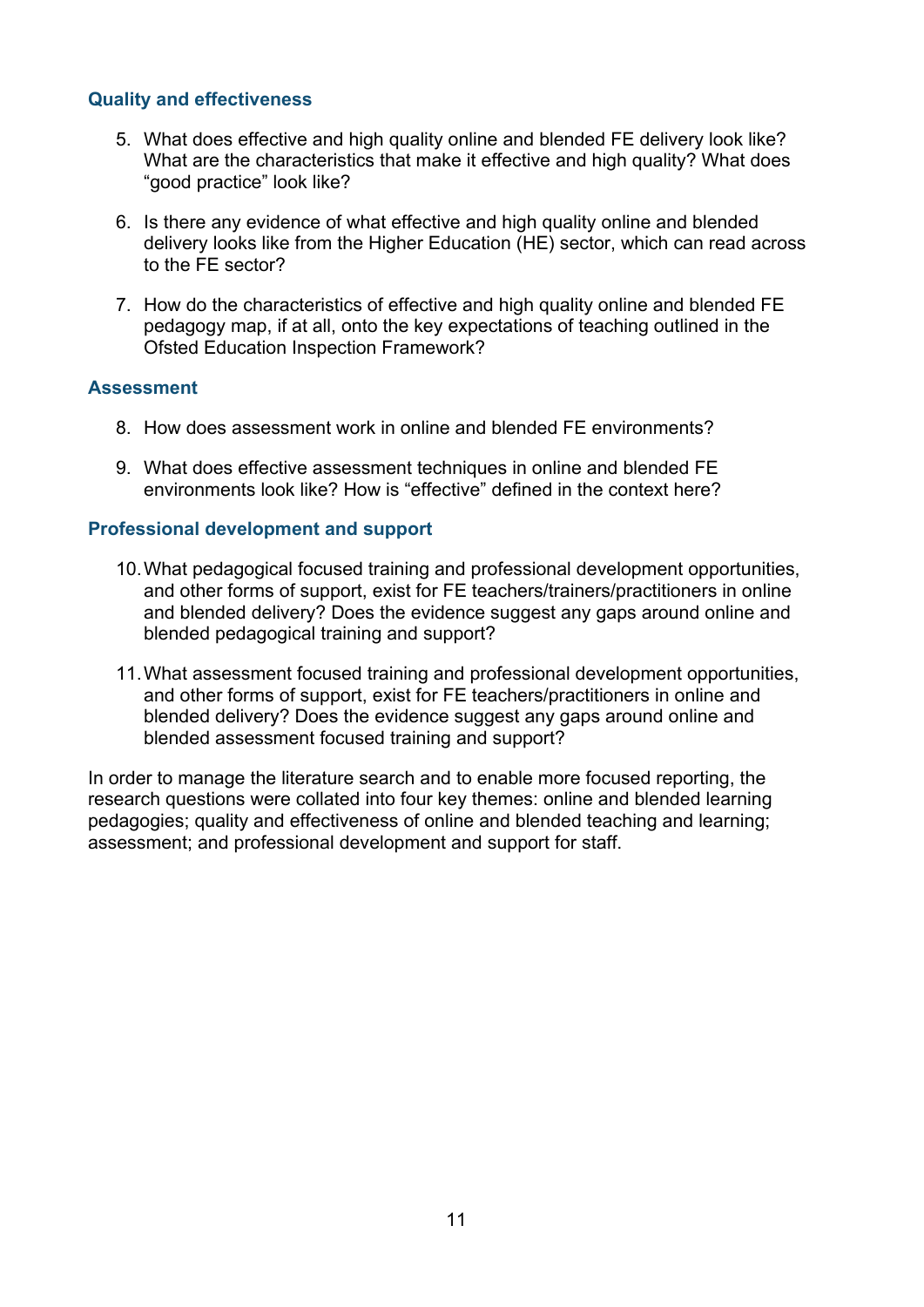#### **Quality and effectiveness**

- 5. What does effective and high quality online and blended FE delivery look like? What are the characteristics that make it effective and high quality? What does "good practice" look like?
- 6. Is there any evidence of what effective and high quality online and blended delivery looks like from the Higher Education (HE) sector, which can read across to the FE sector?
- 7. How do the characteristics of effective and high quality online and blended FE pedagogy map, if at all, onto the key expectations of teaching outlined in the [Ofsted Education Inspection Framework?](https://www.gov.uk/government/publications/education-inspection-framework)

#### **Assessment**

- 8. How does assessment work in online and blended FE environments?
- 9. What does effective assessment techniques in online and blended FE environments look like? How is "effective" defined in the context here?

#### **Professional development and support**

- 10.What pedagogical focused training and professional development opportunities, and other forms of support, exist for FE teachers/trainers/practitioners in online and blended delivery? Does the evidence suggest any gaps around online and blended pedagogical training and support?
- 11.What assessment focused training and professional development opportunities, and other forms of support, exist for FE teachers/practitioners in online and blended delivery? Does the evidence suggest any gaps around online and blended assessment focused training and support?

In order to manage the literature search and to enable more focused reporting, the research questions were collated into four key themes: online and blended learning pedagogies; quality and effectiveness of online and blended teaching and learning; assessment; and professional development and support for staff.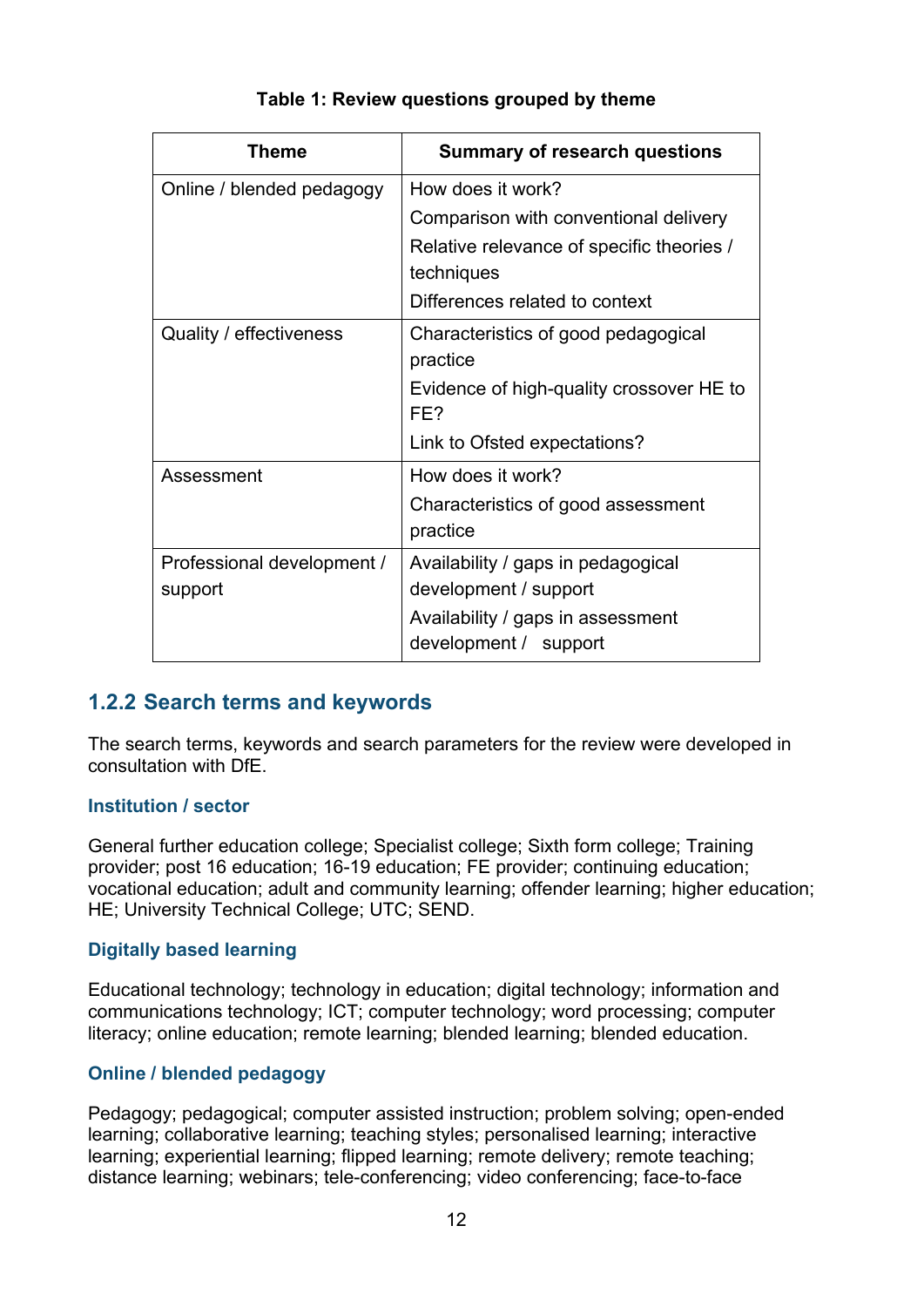<span id="page-11-1"></span>

| Theme                      | <b>Summary of research questions</b>            |
|----------------------------|-------------------------------------------------|
| Online / blended pedagogy  | How does it work?                               |
|                            | Comparison with conventional delivery           |
|                            | Relative relevance of specific theories /       |
|                            | techniques                                      |
|                            | Differences related to context                  |
| Quality / effectiveness    | Characteristics of good pedagogical<br>practice |
|                            | Evidence of high-quality crossover HE to<br>FF? |
|                            | Link to Ofsted expectations?                    |
| Assessment                 | How does it work?                               |
|                            | Characteristics of good assessment<br>practice  |
| Professional development / | Availability / gaps in pedagogical              |
| support                    | development / support                           |
|                            | Availability / gaps in assessment               |
|                            | development / support                           |

#### **Table 1: Review questions grouped by theme**

### <span id="page-11-0"></span>**1.2.2 Search terms and keywords**

The search terms, keywords and search parameters for the review were developed in consultation with DfE.

#### **Institution / sector**

General further education college; Specialist college; Sixth form college; Training provider; post 16 education; 16-19 education; FE provider; continuing education; vocational education; adult and community learning; offender learning; higher education; HE; University Technical College; UTC; SEND.

#### **Digitally based learning**

Educational technology; technology in education; digital technology; information and communications technology; ICT; computer technology; word processing; computer literacy; online education; remote learning; blended learning; blended education.

#### **Online / blended pedagogy**

Pedagogy; pedagogical; computer assisted instruction; problem solving; open-ended learning; collaborative learning; teaching styles; personalised learning; interactive learning; experiential learning; flipped learning; remote delivery; remote teaching; distance learning; webinars; tele-conferencing; video conferencing; face-to-face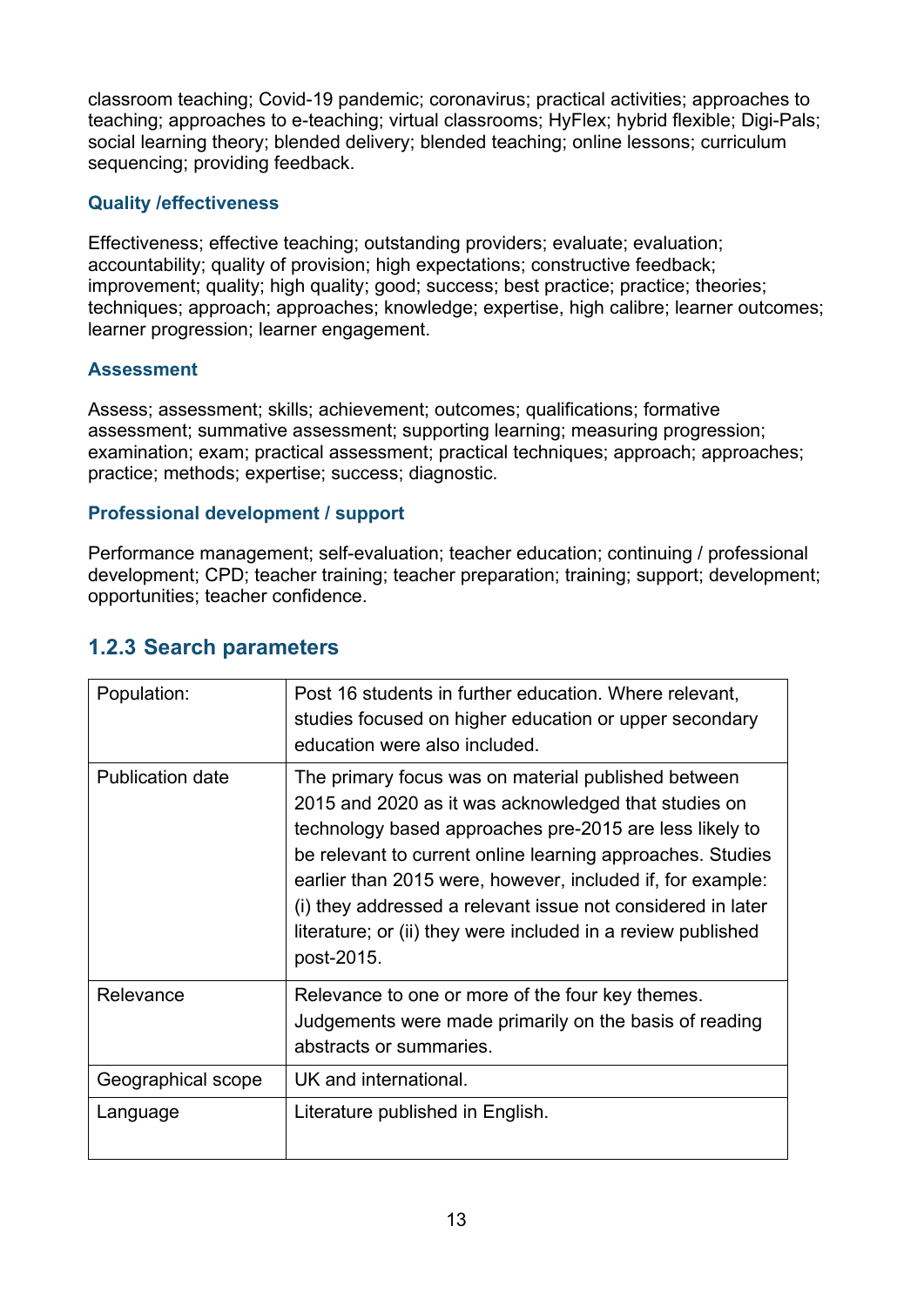classroom teaching; Covid-19 pandemic; coronavirus; practical activities; approaches to teaching; approaches to e-teaching; virtual classrooms; HyFlex; hybrid flexible; Digi-Pals; social learning theory; blended delivery; blended teaching; online lessons; curriculum sequencing; providing feedback.

#### **Quality /effectiveness**

Effectiveness; effective teaching; outstanding providers; evaluate; evaluation; accountability; quality of provision; high expectations; constructive feedback; improvement; quality; high quality; good; success; best practice; practice; theories; techniques; approach; approaches; knowledge; expertise, high calibre; learner outcomes; learner progression; learner engagement.

#### **Assessment**

Assess; assessment; skills; achievement; outcomes; qualifications; formative assessment; summative assessment; supporting learning; measuring progression; examination; exam; practical assessment; practical techniques; approach; approaches; practice; methods; expertise; success; diagnostic.

#### **Professional development / support**

Performance management; self-evaluation; teacher education; continuing / professional development; CPD; teacher training; teacher preparation; training; support; development; opportunities; teacher confidence.

### <span id="page-12-0"></span>**1.2.3 Search parameters**

| Population:             | Post 16 students in further education. Where relevant,<br>studies focused on higher education or upper secondary<br>education were also included.                                                                                                                                                                                                                                                                                               |
|-------------------------|-------------------------------------------------------------------------------------------------------------------------------------------------------------------------------------------------------------------------------------------------------------------------------------------------------------------------------------------------------------------------------------------------------------------------------------------------|
| <b>Publication date</b> | The primary focus was on material published between<br>2015 and 2020 as it was acknowledged that studies on<br>technology based approaches pre-2015 are less likely to<br>be relevant to current online learning approaches. Studies<br>earlier than 2015 were, however, included if, for example:<br>(i) they addressed a relevant issue not considered in later<br>literature; or (ii) they were included in a review published<br>post-2015. |
| Relevance               | Relevance to one or more of the four key themes.<br>Judgements were made primarily on the basis of reading<br>abstracts or summaries.                                                                                                                                                                                                                                                                                                           |
| Geographical scope      | UK and international.                                                                                                                                                                                                                                                                                                                                                                                                                           |
| Language                | Literature published in English.                                                                                                                                                                                                                                                                                                                                                                                                                |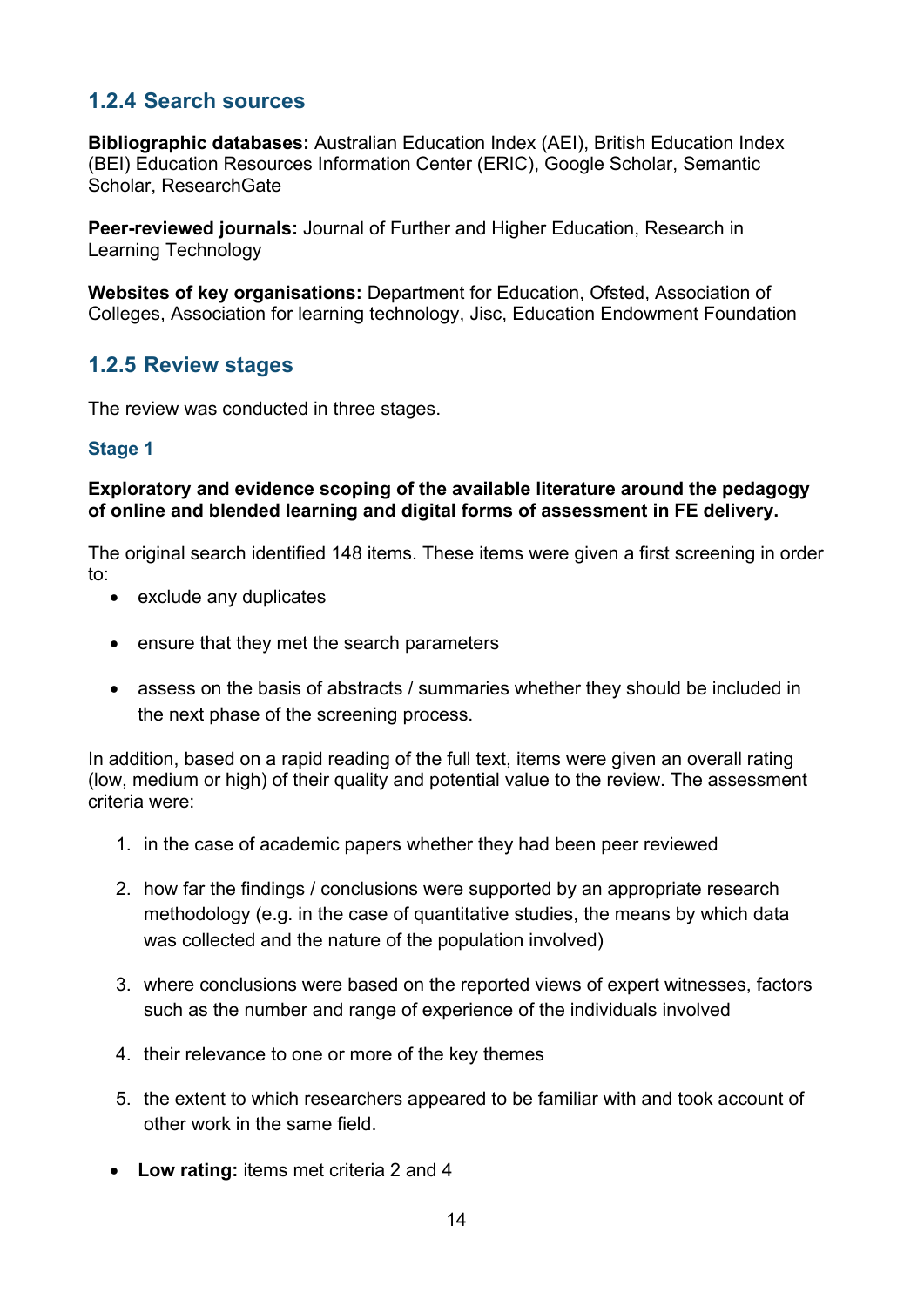### <span id="page-13-0"></span>**1.2.4 Search sources**

**Bibliographic databases:** Australian Education Index (AEI), British Education Index (BEI) Education Resources Information Center (ERIC), Google Scholar, Semantic Scholar, ResearchGate

**Peer-reviewed journals:** Journal of Further and Higher Education, Research in Learning Technology

**Websites of key organisations:** Department for Education, Ofsted, Association of Colleges, Association for learning technology, Jisc, Education Endowment Foundation

### <span id="page-13-1"></span>**1.2.5 Review stages**

The review was conducted in three stages.

#### **Stage 1**

#### **Exploratory and evidence scoping of the available literature around the pedagogy of online and blended learning and digital forms of assessment in FE delivery.**

The original search identified 148 items. These items were given a first screening in order to:

- exclude any duplicates
- ensure that they met the search parameters
- assess on the basis of abstracts / summaries whether they should be included in the next phase of the screening process.

In addition, based on a rapid reading of the full text, items were given an overall rating (low, medium or high) of their quality and potential value to the review. The assessment criteria were:

- 1. in the case of academic papers whether they had been peer reviewed
- 2. how far the findings / conclusions were supported by an appropriate research methodology (e.g. in the case of quantitative studies, the means by which data was collected and the nature of the population involved)
- 3. where conclusions were based on the reported views of expert witnesses, factors such as the number and range of experience of the individuals involved
- 4. their relevance to one or more of the key themes
- 5. the extent to which researchers appeared to be familiar with and took account of other work in the same field.
- **Low rating:** items met criteria 2 and 4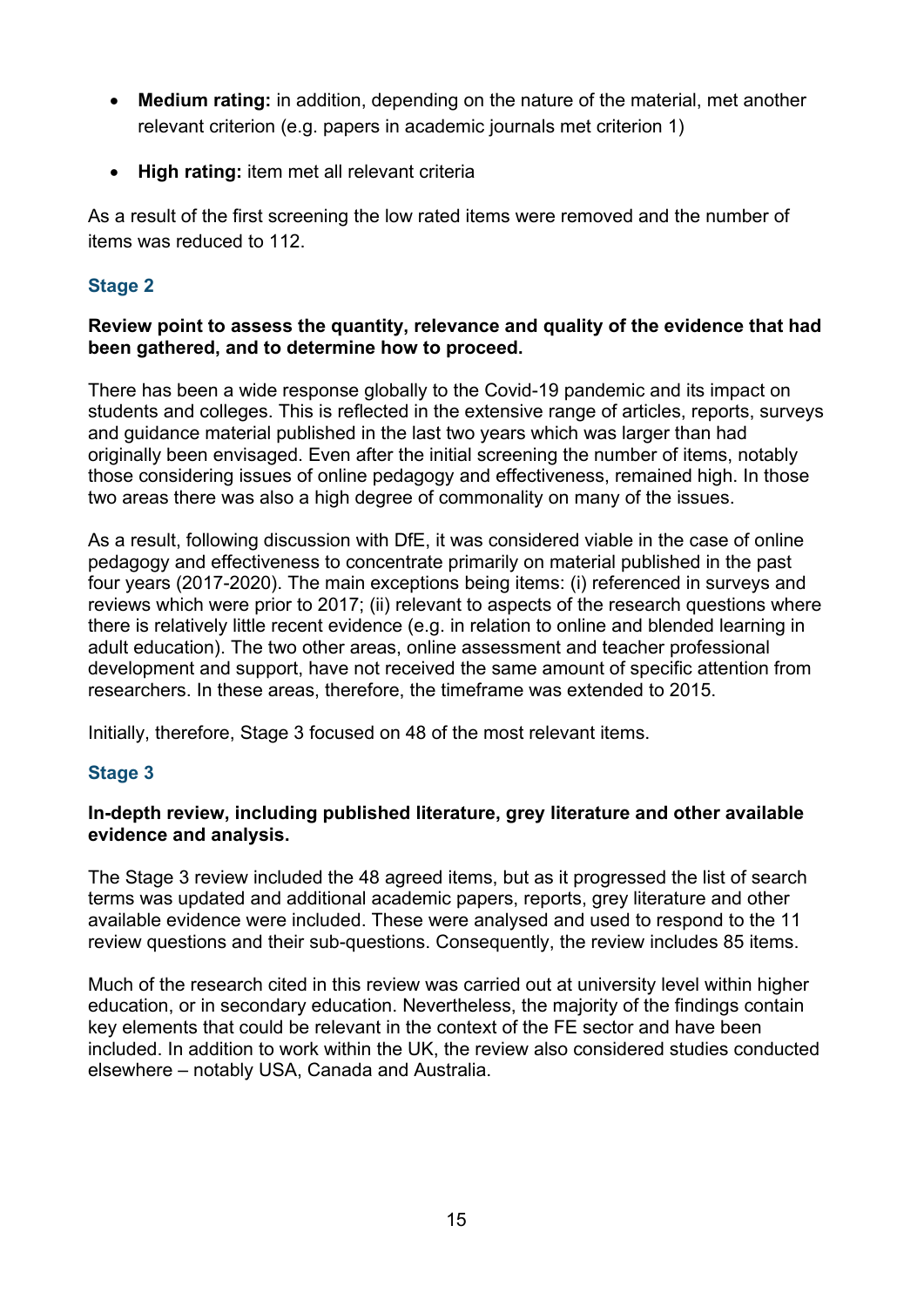- **Medium rating:** in addition, depending on the nature of the material, met another relevant criterion (e.g. papers in academic journals met criterion 1)
- **High rating:** item met all relevant criteria

As a result of the first screening the low rated items were removed and the number of items was reduced to 112.

#### **Stage 2**

#### **Review point to assess the quantity, relevance and quality of the evidence that had been gathered, and to determine how to proceed.**

There has been a wide response globally to the Covid-19 pandemic and its impact on students and colleges. This is reflected in the extensive range of articles, reports, surveys and guidance material published in the last two years which was larger than had originally been envisaged. Even after the initial screening the number of items, notably those considering issues of online pedagogy and effectiveness, remained high. In those two areas there was also a high degree of commonality on many of the issues.

As a result, following discussion with DfE, it was considered viable in the case of online pedagogy and effectiveness to concentrate primarily on material published in the past four years (2017-2020). The main exceptions being items: (i) referenced in surveys and reviews which were prior to 2017; (ii) relevant to aspects of the research questions where there is relatively little recent evidence (e.g. in relation to online and blended learning in adult education). The two other areas, online assessment and teacher professional development and support, have not received the same amount of specific attention from researchers. In these areas, therefore, the timeframe was extended to 2015.

Initially, therefore, Stage 3 focused on 48 of the most relevant items.

#### **Stage 3**

#### **In-depth review, including published literature, grey literature and other available evidence and analysis.**

The Stage 3 review included the 48 agreed items, but as it progressed the list of search terms was updated and additional academic papers, reports, grey literature and other available evidence were included. These were analysed and used to respond to the 11 review questions and their sub-questions. Consequently, the review includes 85 items.

Much of the research cited in this review was carried out at university level within higher education, or in secondary education. Nevertheless, the majority of the findings contain key elements that could be relevant in the context of the FE sector and have been included. In addition to work within the UK, the review also considered studies conducted elsewhere – notably USA, Canada and Australia.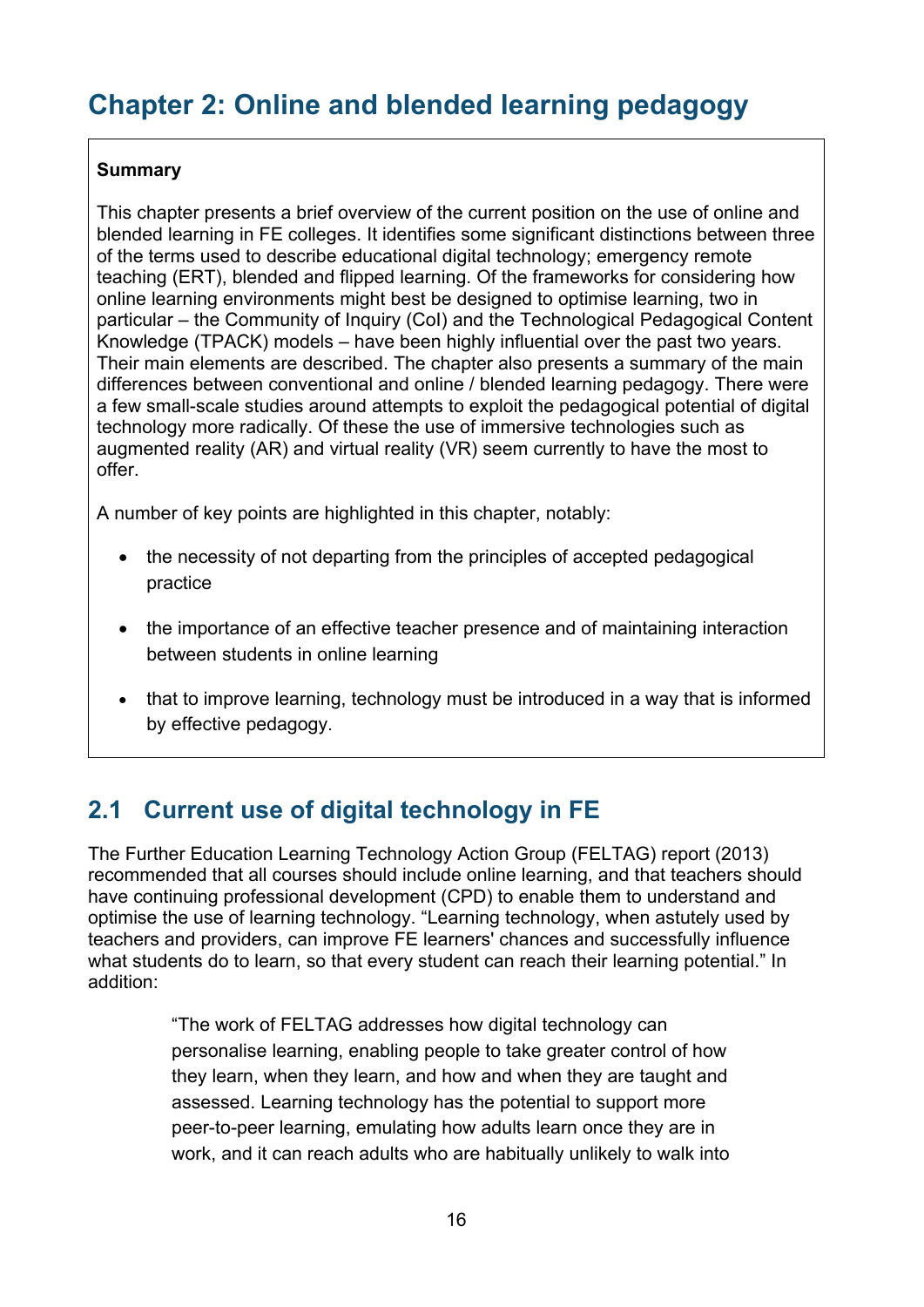# <span id="page-15-0"></span>**Chapter 2: Online and blended learning pedagogy**

#### **Summary**

This chapter presents a brief overview of the current position on the use of online and blended learning in FE colleges. It identifies some significant distinctions between three of the terms used to describe educational digital technology; emergency remote teaching (ERT), blended and flipped learning. Of the frameworks for considering how online learning environments might best be designed to optimise learning, two in particular – the Community of Inquiry (CoI) and the Technological Pedagogical Content Knowledge (TPACK) models – have been highly influential over the past two years. Their main elements are described. The chapter also presents a summary of the main differences between conventional and online / blended learning pedagogy. There were a few small-scale studies around attempts to exploit the pedagogical potential of digital technology more radically. Of these the use of immersive technologies such as augmented reality (AR) and virtual reality (VR) seem currently to have the most to offer.

A number of key points are highlighted in this chapter, notably:

- the necessity of not departing from the principles of accepted pedagogical practice
- the importance of an effective teacher presence and of maintaining interaction between students in online learning
- that to improve learning, technology must be introduced in a way that is informed by effective pedagogy.

# <span id="page-15-1"></span>**2.1 Current use of digital technology in FE**

The Further Education Learning Technology Action Group (FELTAG) report (2013) recommended that all courses should include online learning, and that teachers should have continuing professional development (CPD) to enable them to understand and optimise the use of learning technology. "Learning technology, when astutely used by teachers and providers, can improve FE learners' chances and successfully influence what students do to learn, so that every student can reach their learning potential." In addition:

> "The work of FELTAG addresses how digital technology can personalise learning, enabling people to take greater control of how they learn, when they learn, and how and when they are taught and assessed. Learning technology has the potential to support more peer-to-peer learning, emulating how adults learn once they are in work, and it can reach adults who are habitually unlikely to walk into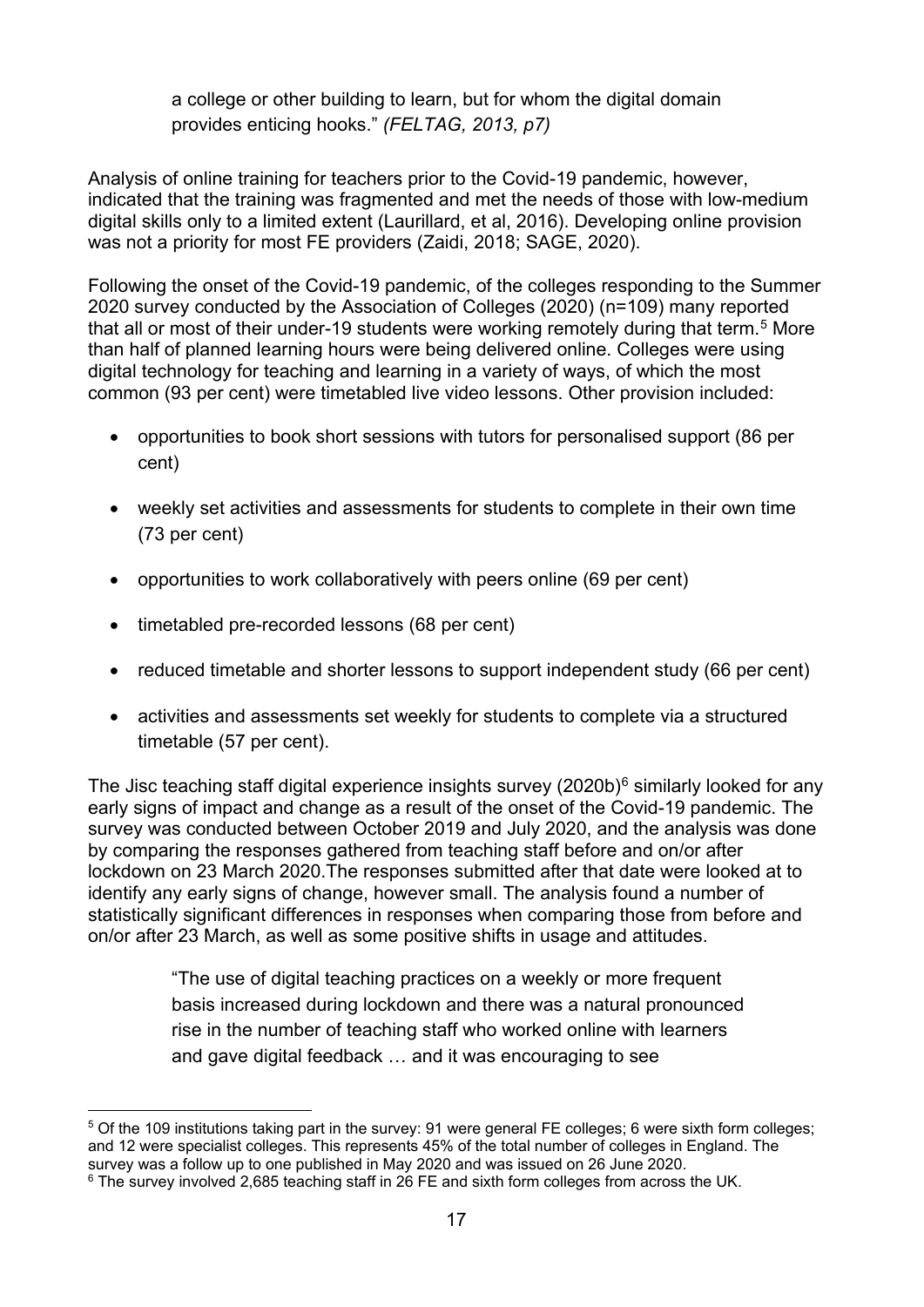a college or other building to learn, but for whom the digital domain provides enticing hooks." *(FELTAG, 2013, p7)*

Analysis of online training for teachers prior to the Covid-19 pandemic, however, indicated that the training was fragmented and met the needs of those with low-medium digital skills only to a limited extent (Laurillard, et al, 2016). Developing online provision was not a priority for most FE providers (Zaidi, 2018; SAGE, 2020).

Following the onset of the Covid-19 pandemic, of the colleges responding to the Summer 2020 survey conducted by the Association of Colleges (2020) (n=109) many reported that all or most of their under-19 students were working remotely during that term.<sup>5</sup> More than half of planned learning hours were being delivered online. Colleges were using digital technology for teaching and learning in a variety of ways, of which the most common (93 per cent) were timetabled live video lessons. Other provision included:

- opportunities to book short sessions with tutors for personalised support (86 per cent)
- weekly set activities and assessments for students to complete in their own time (73 per cent)
- opportunities to work collaboratively with peers online (69 per cent)
- timetabled pre-recorded lessons (68 per cent)
- reduced timetable and shorter lessons to support independent study (66 per cent)
- activities and assessments set weekly for students to complete via a structured timetable (57 per cent).

The Jisc teaching staff digital experience insights survey (2020b) $6$  similarly looked for any early signs of impact and change as a result of the onset of the Covid-19 pandemic. The survey was conducted between October 2019 and July 2020, and the analysis was done by comparing the responses gathered from teaching staff before and on/or after lockdown on 23 March 2020.The responses submitted after that date were looked at to identify any early signs of change, however small. The analysis found a number of statistically significant differences in responses when comparing those from before and on/or after 23 March, as well as some positive shifts in usage and attitudes.

> "The use of digital teaching practices on a weekly or more frequent basis increased during lockdown and there was a natural pronounced rise in the number of teaching staff who worked online with learners and gave digital feedback … and it was encouraging to see

<sup>5</sup> Of the 109 institutions taking part in the survey: 91 were general FE colleges; 6 were sixth form colleges; and 12 were specialist colleges. This represents 45% of the total number of colleges in England. The survey was a follow up to one published in May 2020 and was issued on 26 June 2020.

<span id="page-16-0"></span><sup>&</sup>lt;sup>6</sup> The survey involved 2,685 teaching staff in 26 FE and sixth form colleges from across the UK.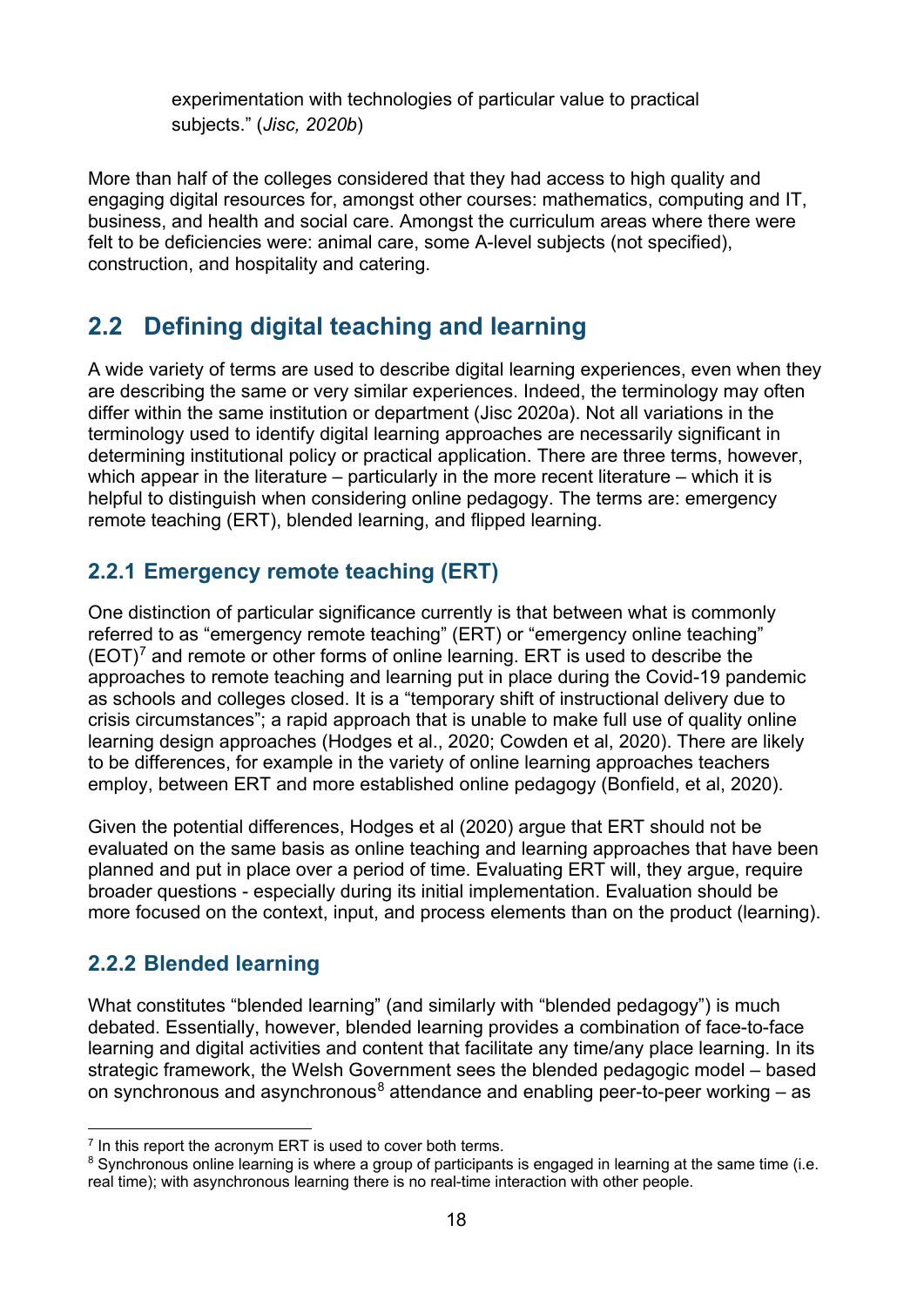experimentation with technologies of particular value to practical subjects." (*Jisc, 2020b*)

More than half of the colleges considered that they had access to high quality and engaging digital resources for, amongst other courses: mathematics, computing and IT, business, and health and social care. Amongst the curriculum areas where there were felt to be deficiencies were: animal care, some A-level subjects (not specified), construction, and hospitality and catering.

# <span id="page-17-0"></span>**2.2 Defining digital teaching and learning**

A wide variety of terms are used to describe digital learning experiences, even when they are describing the same or very similar experiences. Indeed, the terminology may often differ within the same institution or department (Jisc 2020a). Not all variations in the terminology used to identify digital learning approaches are necessarily significant in determining institutional policy or practical application. There are three terms, however, which appear in the literature – particularly in the more recent literature – which it is helpful to distinguish when considering online pedagogy. The terms are: emergency remote teaching (ERT), blended learning, and flipped learning.

### <span id="page-17-1"></span>**2.2.1 Emergency remote teaching (ERT)**

One distinction of particular significance currently is that between what is commonly referred to as "emergency remote teaching" (ERT) or "emergency online teaching"  $(EOT)^7$  $(EOT)^7$  and remote or other forms of online learning. ERT is used to describe the approaches to remote teaching and learning put in place during the Covid-19 pandemic as schools and colleges closed. It is a "temporary shift of instructional delivery due to crisis circumstances"; a rapid approach that is unable to make full use of quality online learning design approaches (Hodges et al., 2020; Cowden et al, 2020). There are likely to be differences, for example in the variety of online learning approaches teachers employ, between ERT and more established online pedagogy (Bonfield, et al, 2020).

Given the potential differences, Hodges et al (2020) argue that ERT should not be evaluated on the same basis as online teaching and learning approaches that have been planned and put in place over a period of time. Evaluating ERT will, they argue, require broader questions - especially during its initial implementation. Evaluation should be more focused on the context, input, and process elements than on the product (learning).

### <span id="page-17-2"></span>**2.2.2 Blended learning**

What constitutes "blended learning" (and similarly with "blended pedagogy") is much debated. Essentially, however, blended learning provides a combination of face-to-face learning and digital activities and content that facilitate any time/any place learning. In its strategic framework, the Welsh Government sees the blended pedagogic model – based on synchronous and asynchronous<sup>[8](#page-17-4)</sup> attendance and enabling peer-to-peer working – as

<span id="page-17-3"></span> $<sup>7</sup>$  In this report the acronym ERT is used to cover both terms.</sup>

<span id="page-17-4"></span><sup>&</sup>lt;sup>8</sup> Synchronous online learning is where a group of participants is engaged in learning at the same time (i.e. real time); with asynchronous learning there is no real-time interaction with other people.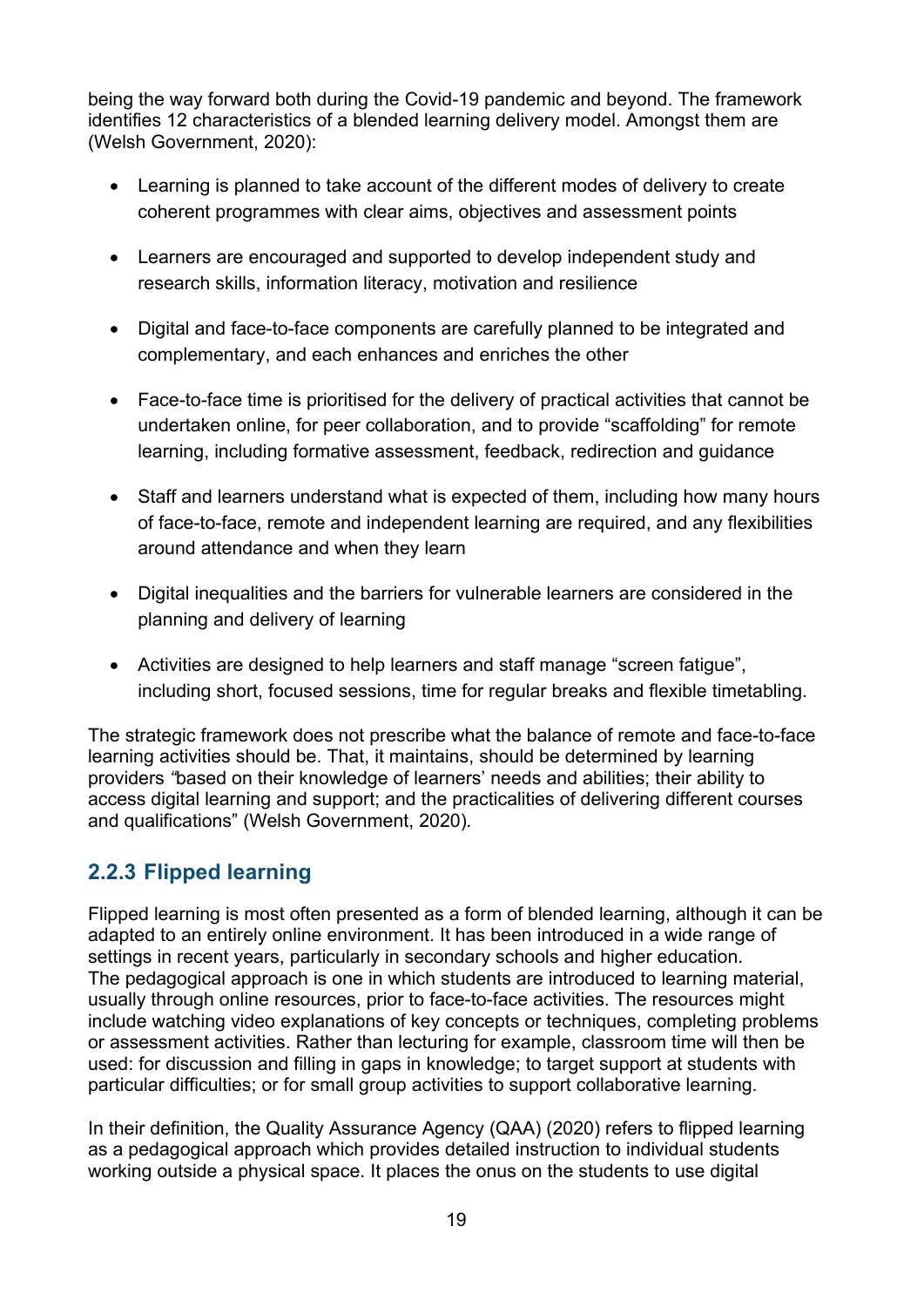being the way forward both during the Covid-19 pandemic and beyond. The framework identifies 12 characteristics of a blended learning delivery model. Amongst them are (Welsh Government, 2020):

- Learning is planned to take account of the different modes of delivery to create coherent programmes with clear aims, objectives and assessment points
- Learners are encouraged and supported to develop independent study and research skills, information literacy, motivation and resilience
- Digital and face-to-face components are carefully planned to be integrated and complementary, and each enhances and enriches the other
- Face-to-face time is prioritised for the delivery of practical activities that cannot be undertaken online, for peer collaboration, and to provide "scaffolding" for remote learning, including formative assessment, feedback, redirection and guidance
- Staff and learners understand what is expected of them, including how many hours of face-to-face, remote and independent learning are required, and any flexibilities around attendance and when they learn
- Digital inequalities and the barriers for vulnerable learners are considered in the planning and delivery of learning
- Activities are designed to help learners and staff manage "screen fatigue", including short, focused sessions, time for regular breaks and flexible timetabling.

The strategic framework does not prescribe what the balance of remote and face-to-face learning activities should be. That, it maintains, should be determined by learning providers *"*based on their knowledge of learners' needs and abilities; their ability to access digital learning and support; and the practicalities of delivering different courses and qualifications" (Welsh Government, 2020)*.*

### <span id="page-18-0"></span>**2.2.3 Flipped learning**

Flipped learning is most often presented as a form of blended learning, although it can be adapted to an entirely online environment. It has been introduced in a wide range of settings in recent years, particularly in secondary schools and higher education. The pedagogical approach is one in which students are introduced to learning material, usually through online resources, prior to face-to-face activities. The resources might include watching video explanations of key concepts or techniques, completing problems or assessment activities. Rather than lecturing for example, classroom time will then be used: for discussion and filling in gaps in knowledge; to target support at students with particular difficulties; or for small group activities to support collaborative learning.

In their definition, the Quality Assurance Agency (QAA) (2020) refers to flipped learning as a pedagogical approach which provides detailed instruction to individual students working outside a physical space. It places the onus on the students to use digital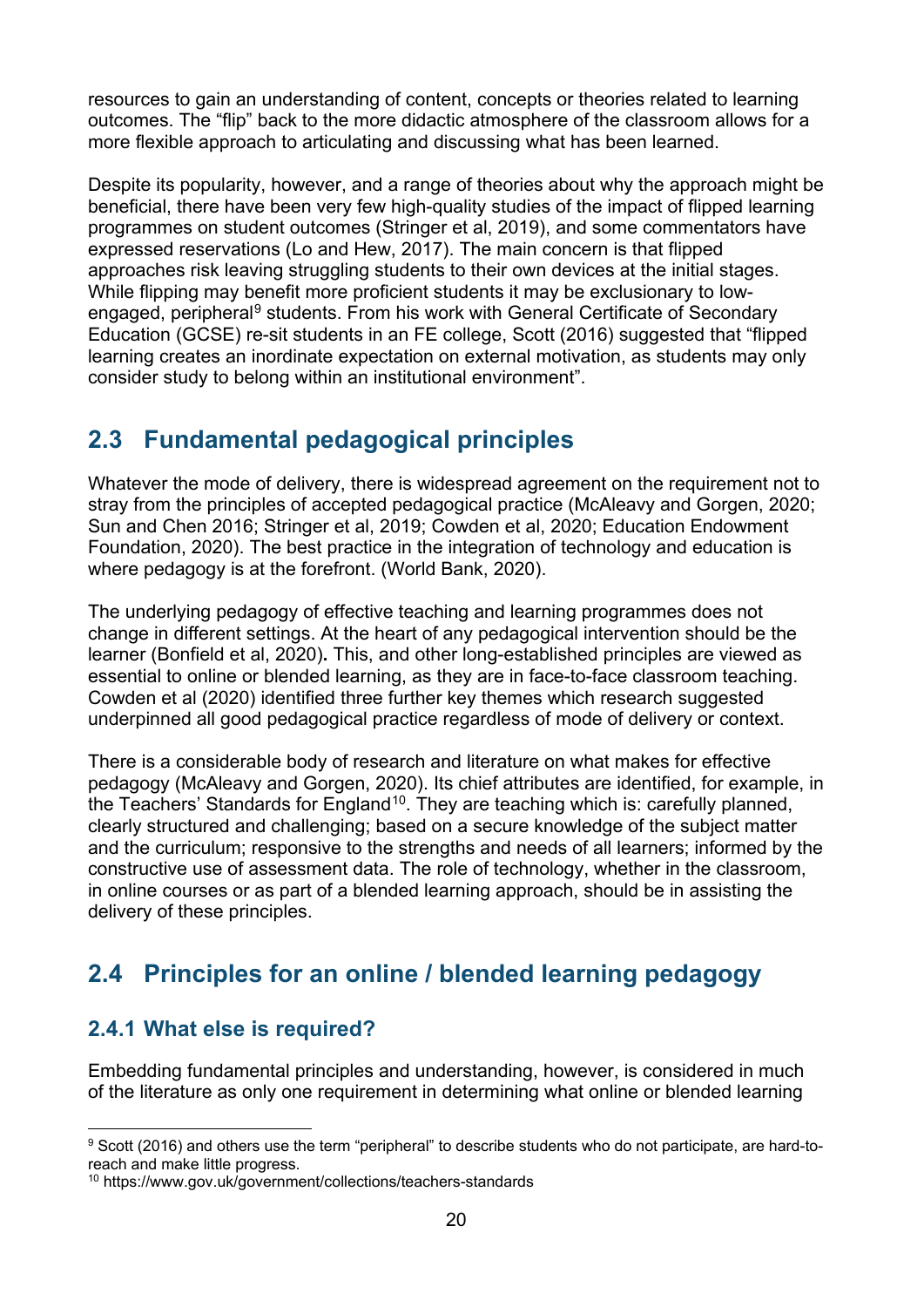resources to gain an understanding of content, concepts or theories related to learning outcomes. The "flip" back to the more didactic atmosphere of the classroom allows for a more flexible approach to articulating and discussing what has been learned.

Despite its popularity, however, and a range of theories about why the approach might be beneficial, there have been very few high-quality studies of the impact of flipped learning programmes on student outcomes (Stringer et al, 2019), and some commentators have expressed reservations (Lo and Hew, 2017). The main concern is that flipped approaches risk leaving struggling students to their own devices at the initial stages. While flipping may benefit more proficient students it may be exclusionary to low-engaged, peripheral<sup>[9](#page-19-3)</sup> students. From his work with General Certificate of Secondary Education (GCSE) re-sit students in an FE college, Scott (2016) suggested that "flipped learning creates an inordinate expectation on external motivation, as students may only consider study to belong within an institutional environment".

# <span id="page-19-0"></span>**2.3 Fundamental pedagogical principles**

Whatever the mode of delivery, there is widespread agreement on the requirement not to stray from the principles of accepted pedagogical practice (McAleavy and Gorgen, 2020; Sun and Chen 2016; Stringer et al, 2019; Cowden et al, 2020; Education Endowment Foundation, 2020). The best practice in the integration of technology and education is where pedagogy is at the forefront. (World Bank, 2020).

The underlying pedagogy of effective teaching and learning programmes does not change in different settings. At the heart of any pedagogical intervention should be the learner (Bonfield et al, 2020)**.** This, and other long-established principles are viewed as essential to online or blended learning, as they are in face-to-face classroom teaching. Cowden et al (2020) identified three further key themes which research suggested underpinned all good pedagogical practice regardless of mode of delivery or context.

There is a considerable body of research and literature on what makes for effective pedagogy (McAleavy and Gorgen, 2020). Its chief attributes are identified, for example, in the Teachers' Standards for England<sup>10</sup>. They are teaching which is: carefully planned, clearly structured and challenging; based on a secure knowledge of the subject matter and the curriculum; responsive to the strengths and needs of all learners; informed by the constructive use of assessment data. The role of technology, whether in the classroom, in online courses or as part of a blended learning approach, should be in assisting the delivery of these principles.

# <span id="page-19-1"></span>**2.4 Principles for an online / blended learning pedagogy**

### <span id="page-19-2"></span>**2.4.1 What else is required?**

Embedding fundamental principles and understanding, however, is considered in much of the literature as only one requirement in determining what online or blended learning

<span id="page-19-3"></span><sup>9</sup> Scott (2016) and others use the term "peripheral" to describe students who do not participate, are hard-toreach and make little progress.

<span id="page-19-4"></span><sup>10</sup> https://www.gov.uk/government/collections/teachers-standards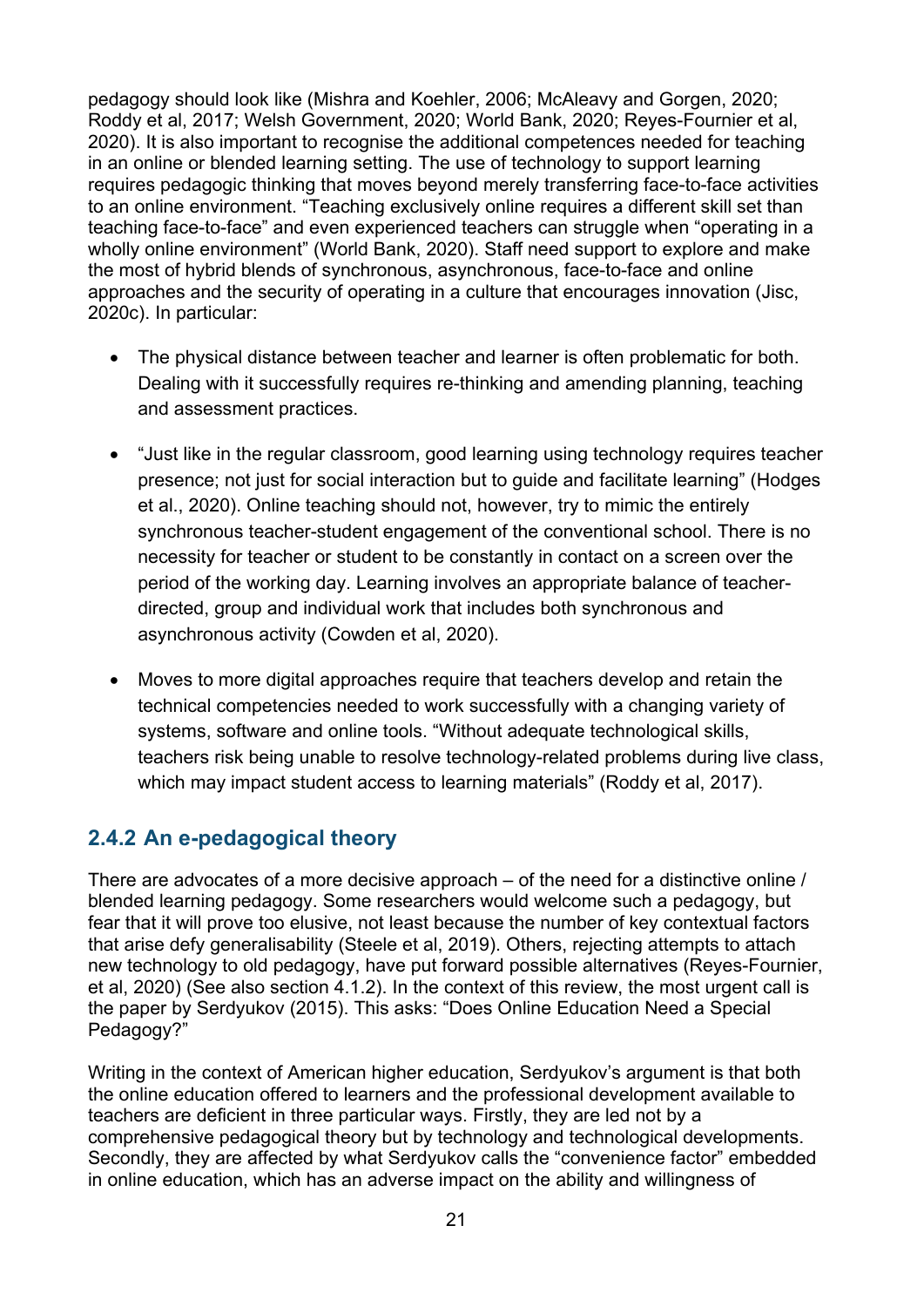pedagogy should look like (Mishra and Koehler, 2006; McAleavy and Gorgen, 2020; Roddy et al, 2017; Welsh Government, 2020; World Bank, 2020; Reyes-Fournier et al, 2020). It is also important to recognise the additional competences needed for teaching in an online or blended learning setting. The use of technology to support learning requires pedagogic thinking that moves beyond merely transferring face-to-face activities to an online environment. "Teaching exclusively online requires a different skill set than teaching face-to-face" and even experienced teachers can struggle when "operating in a wholly online environment" (World Bank, 2020). Staff need support to explore and make the most of hybrid blends of synchronous, asynchronous, face-to-face and online approaches and the security of operating in a culture that encourages innovation (Jisc, 2020c). In particular:

- The physical distance between teacher and learner is often problematic for both. Dealing with it successfully requires re-thinking and amending planning, teaching and assessment practices.
- "Just like in the regular classroom, good learning using technology requires teacher presence; not just for social interaction but to guide and facilitate learning" (Hodges et al., 2020). Online teaching should not, however, try to mimic the entirely synchronous teacher-student engagement of the conventional school. There is no necessity for teacher or student to be constantly in contact on a screen over the period of the working day. Learning involves an appropriate balance of teacherdirected, group and individual work that includes both synchronous and asynchronous activity (Cowden et al, 2020).
- Moves to more digital approaches require that teachers develop and retain the technical competencies needed to work successfully with a changing variety of systems, software and online tools. "Without adequate technological skills, teachers risk being unable to resolve technology-related problems during live class, which may impact student access to learning materials" (Roddy et al, 2017).

### <span id="page-20-0"></span>**2.4.2 An e-pedagogical theory**

There are advocates of a more decisive approach – of the need for a distinctive online / blended learning pedagogy. Some researchers would welcome such a pedagogy, but fear that it will prove too elusive, not least because the number of key contextual factors that arise defy generalisability (Steele et al, 2019). Others, rejecting attempts to attach new technology to old pedagogy, have put forward possible alternatives (Reyes-Fournier, et al, 2020) (See also section 4.1.2). In the context of this review, the most urgent call is the paper by Serdyukov (2015). This asks: "Does Online Education Need a Special Pedagogy?"

Writing in the context of American higher education, Serdyukov's argument is that both the online education offered to learners and the professional development available to teachers are deficient in three particular ways. Firstly, they are led not by a comprehensive pedagogical theory but by technology and technological developments. Secondly, they are affected by what Serdyukov calls the "convenience factor" embedded in online education, which has an adverse impact on the ability and willingness of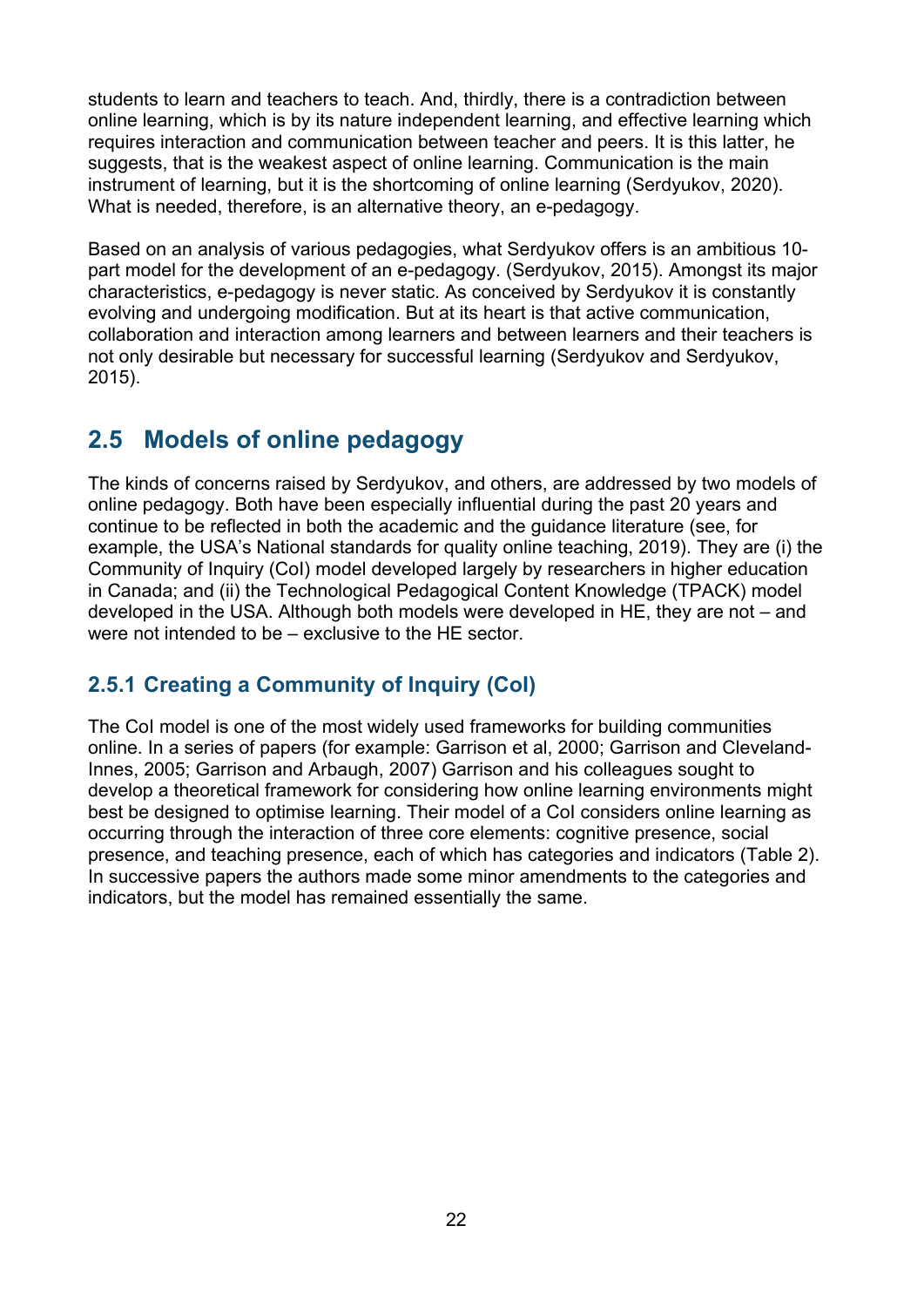students to learn and teachers to teach. And, thirdly, there is a contradiction between online learning, which is by its nature independent learning, and effective learning which requires interaction and communication between teacher and peers. It is this latter, he suggests, that is the weakest aspect of online learning. Communication is the main instrument of learning, but it is the shortcoming of online learning (Serdyukov, 2020). What is needed, therefore, is an alternative theory, an e-pedagogy.

Based on an analysis of various pedagogies, what Serdyukov offers is an ambitious 10 part model for the development of an e-pedagogy. (Serdyukov, 2015). Amongst its major characteristics, e-pedagogy is never static. As conceived by Serdyukov it is constantly evolving and undergoing modification. But at its heart is that active communication, collaboration and interaction among learners and between learners and their teachers is not only desirable but necessary for successful learning (Serdyukov and Serdyukov, 2015).

## <span id="page-21-0"></span>**2.5 Models of online pedagogy**

The kinds of concerns raised by Serdyukov, and others, are addressed by two models of online pedagogy. Both have been especially influential during the past 20 years and continue to be reflected in both the academic and the guidance literature (see, for example, the USA's National standards for quality online teaching, 2019). They are (i) the Community of Inquiry (CoI) model developed largely by researchers in higher education in Canada; and (ii) the Technological Pedagogical Content Knowledge (TPACK) model developed in the USA. Although both models were developed in HE, they are not – and were not intended to be – exclusive to the HE sector.

### <span id="page-21-1"></span>**2.5.1 Creating a Community of Inquiry (CoI)**

The CoI model is one of the most widely used frameworks for building communities online. In a series of papers (for example: Garrison et al, 2000; Garrison and Cleveland-Innes, 2005; Garrison and Arbaugh, 2007) Garrison and his colleagues sought to develop a theoretical framework for considering how online learning environments might best be designed to optimise learning. Their model of a CoI considers online learning as occurring through the interaction of three core elements: cognitive presence, social presence, and teaching presence, each of which has categories and indicators (Table 2). In successive papers the authors made some minor amendments to the categories and indicators, but the model has remained essentially the same.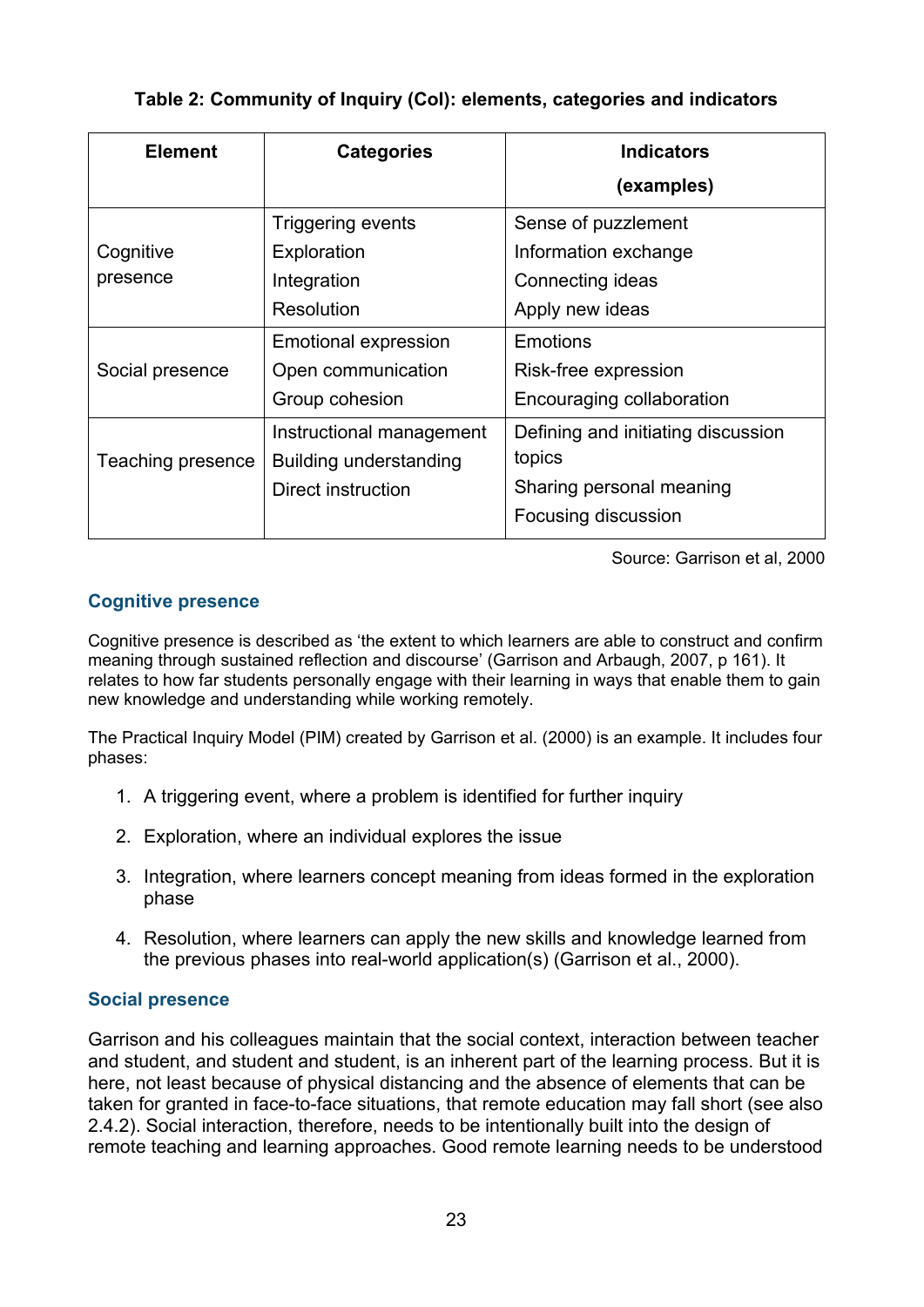#### **Table 2: Community of Inquiry (CoI): elements, categories and indicators**

<span id="page-22-0"></span>

| <b>Element</b>    | <b>Categories</b>           | <b>Indicators</b>                  |
|-------------------|-----------------------------|------------------------------------|
|                   |                             | (examples)                         |
|                   | <b>Triggering events</b>    | Sense of puzzlement                |
| Cognitive         | Exploration                 | Information exchange               |
| presence          | Integration                 | Connecting ideas                   |
|                   | Resolution                  | Apply new ideas                    |
|                   | <b>Emotional expression</b> | Emotions                           |
| Social presence   | Open communication          | Risk-free expression               |
|                   | Group cohesion              | Encouraging collaboration          |
|                   | Instructional management    | Defining and initiating discussion |
| Teaching presence | Building understanding      | topics                             |
|                   | <b>Direct instruction</b>   | Sharing personal meaning           |
|                   |                             | Focusing discussion                |

Source: Garrison et al, 2000

#### **Cognitive presence**

Cognitive presence is described as 'the extent to which learners are able to construct and confirm meaning through sustained reflection and discourse' (Garrison and Arbaugh, 2007, p 161). It relates to how far students personally engage with their learning in ways that enable them to gain new knowledge and understanding while working remotely.

The Practical Inquiry Model (PIM) created by Garrison et al. (2000) is an example. It includes four phases:

- 1. A triggering event, where a problem is identified for further inquiry
- 2. Exploration, where an individual explores the issue
- 3. Integration, where learners concept meaning from ideas formed in the exploration phase
- 4. Resolution, where learners can apply the new skills and knowledge learned from the previous phases into real-world application(s) (Garrison et al., 2000).

#### **Social presence**

Garrison and his colleagues maintain that the social context, interaction between teacher and student, and student and student, is an inherent part of the learning process. But it is here, not least because of physical distancing and the absence of elements that can be taken for granted in face-to-face situations, that remote education may fall short (see also 2.4.2). Social interaction, therefore, needs to be intentionally built into the design of remote teaching and learning approaches. Good remote learning needs to be understood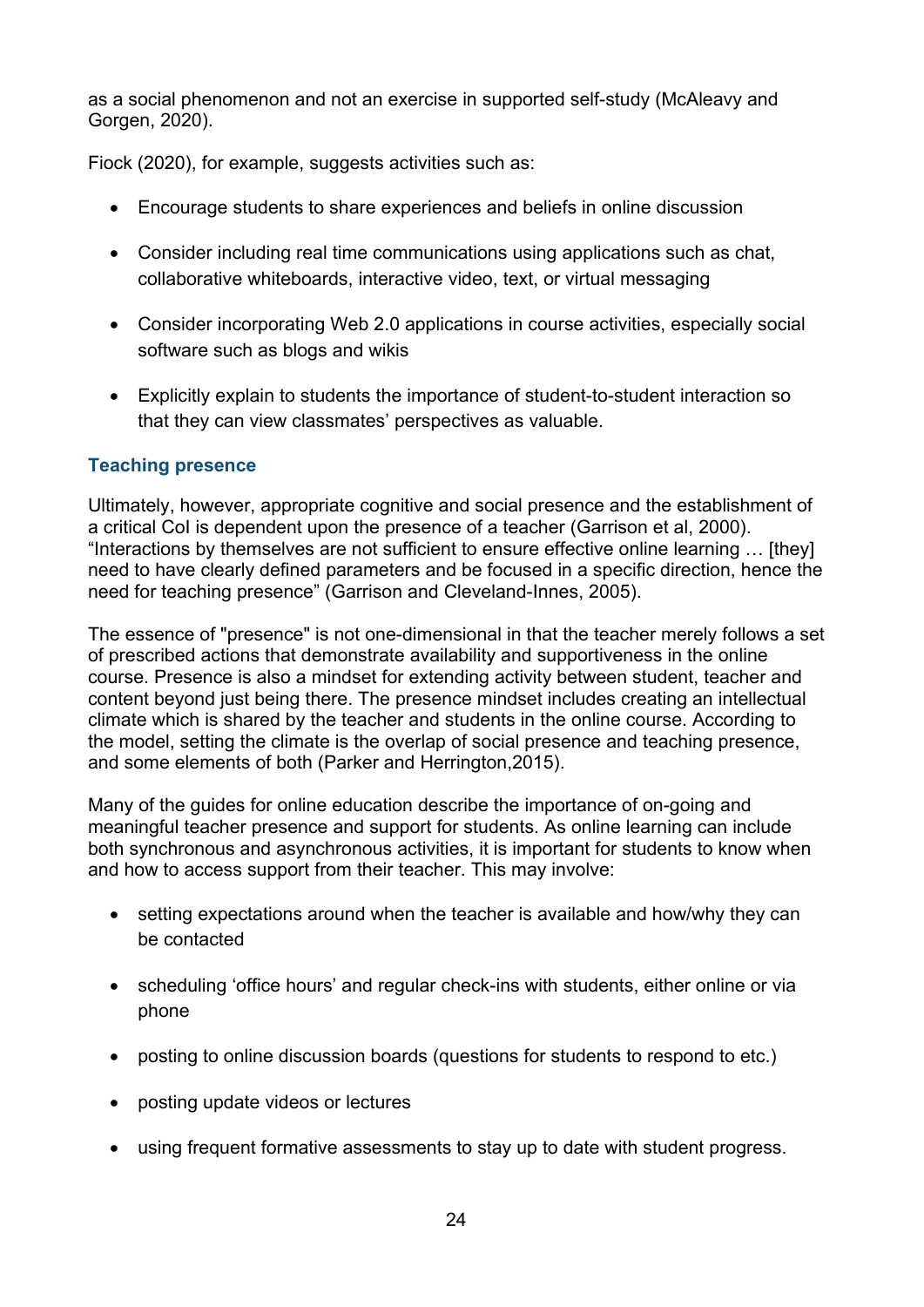as a social phenomenon and not an exercise in supported self-study (McAleavy and Gorgen, 2020).

Fiock (2020), for example, suggests activities such as:

- Encourage students to share experiences and beliefs in online discussion
- Consider including real time communications using applications such as chat, collaborative whiteboards, interactive video, text, or virtual messaging
- Consider incorporating Web 2.0 applications in course activities, especially social software such as blogs and wikis
- Explicitly explain to students the importance of student-to-student interaction so that they can view classmates' perspectives as valuable.

#### **Teaching presence**

Ultimately, however, appropriate cognitive and social presence and the establishment of a critical CoI is dependent upon the presence of a teacher (Garrison et al, 2000). "Interactions by themselves are not sufficient to ensure effective online learning … [they] need to have clearly defined parameters and be focused in a specific direction, hence the need for teaching presence" (Garrison and Cleveland-Innes, 2005).

The essence of "presence" is not one-dimensional in that the teacher merely follows a set of prescribed actions that demonstrate availability and supportiveness in the online course. Presence is also a mindset for extending activity between student, teacher and content beyond just being there. The presence mindset includes creating an intellectual climate which is shared by the teacher and students in the online course. According to the model, setting the climate is the overlap of social presence and teaching presence, and some elements of both (Parker and Herrington,2015).

Many of the guides for online education describe the importance of on-going and meaningful teacher presence and support for students. As online learning can include both synchronous and asynchronous activities, it is important for students to know when and how to access support from their teacher. This may involve:

- setting expectations around when the teacher is available and how/why they can be contacted
- scheduling 'office hours' and regular check-ins with students, either online or via phone
- posting to online discussion boards (questions for students to respond to etc.)
- posting update videos or lectures
- using frequent formative assessments to stay up to date with student progress.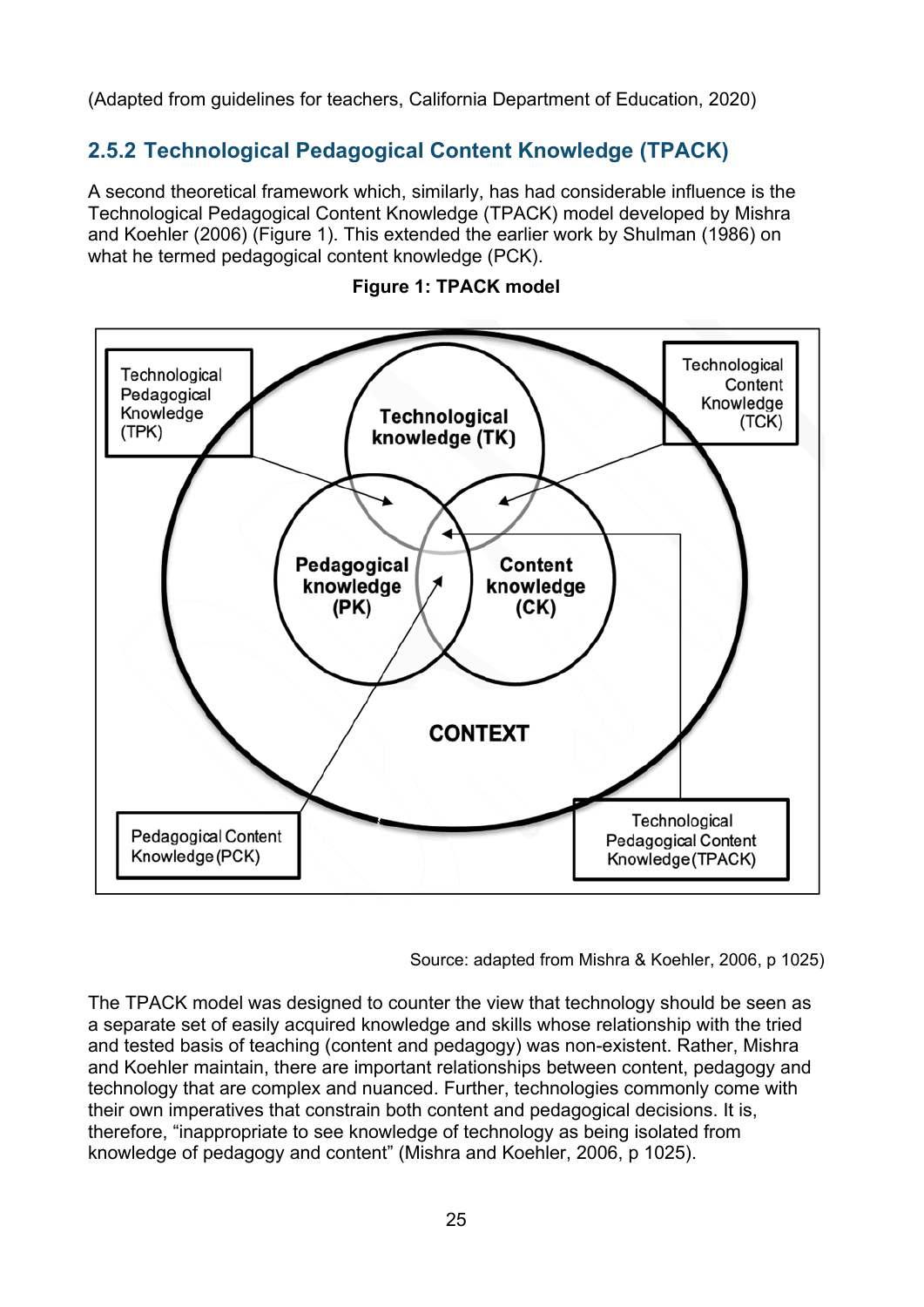<span id="page-24-0"></span>(Adapted from guidelines for teachers, California Department of Education, 2020)

### **2.5.2 Technological Pedagogical Content Knowledge (TPACK)**

A second theoretical framework which, similarly, has had considerable influence is the Technological Pedagogical Content Knowledge (TPACK) model developed by Mishra and Koehler (2006) (Figure 1). This extended the earlier work by Shulman (1986) on what he termed pedagogical content knowledge (PCK).





Source: adapted from Mishra & Koehler, 2006, p 1025)

The TPACK model was designed to counter the view that technology should be seen as a separate set of easily acquired knowledge and skills whose relationship with the tried and tested basis of teaching (content and pedagogy) was non-existent. Rather, Mishra and Koehler maintain, there are important relationships between content, pedagogy and technology that are complex and nuanced. Further, technologies commonly come with their own imperatives that constrain both content and pedagogical decisions. It is, therefore, "inappropriate to see knowledge of technology as being isolated from knowledge of pedagogy and content" (Mishra and Koehler, 2006, p 1025).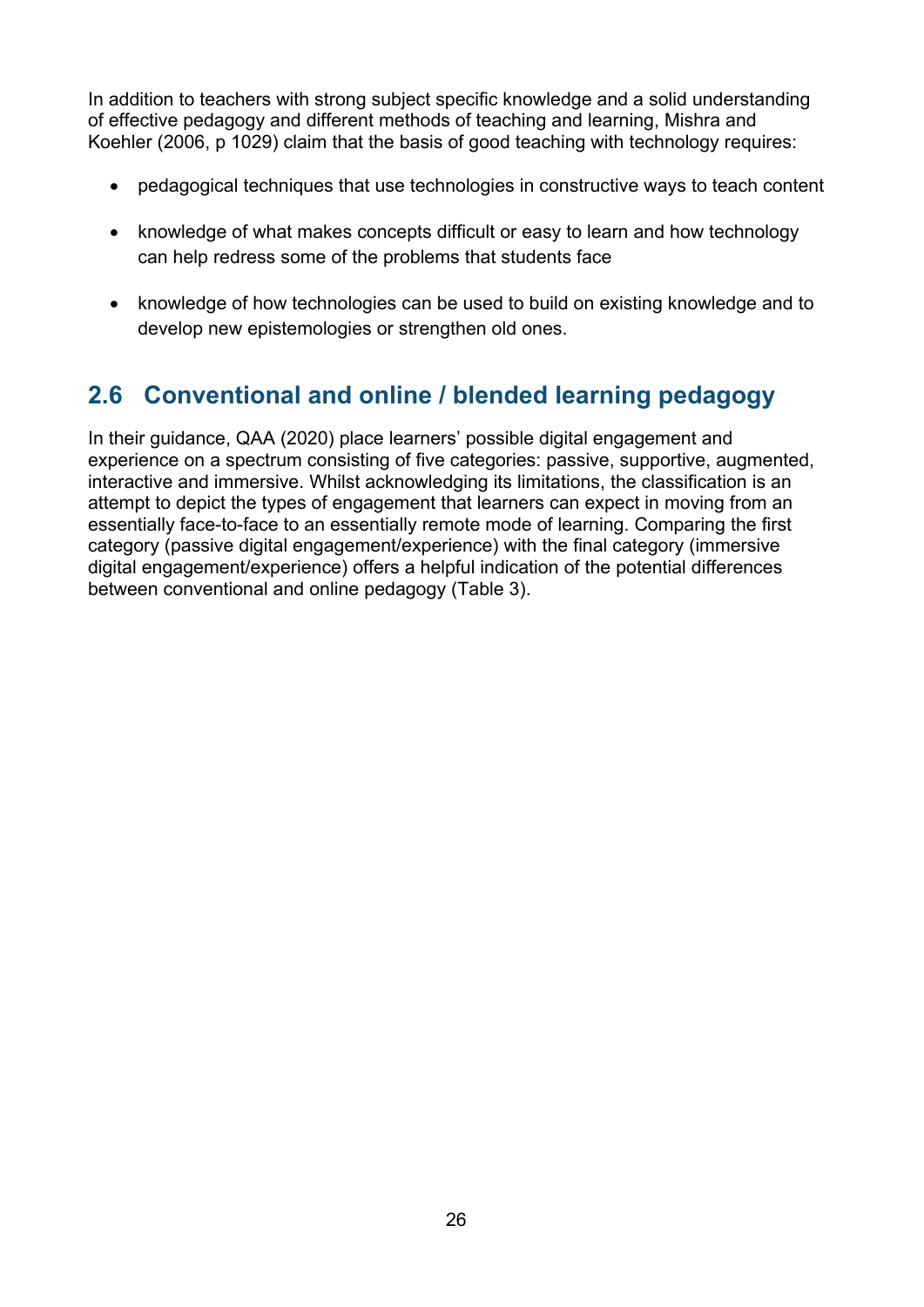In addition to teachers with strong subject specific knowledge and a solid understanding of effective pedagogy and different methods of teaching and learning, Mishra and Koehler (2006, p 1029) claim that the basis of good teaching with technology requires:

- pedagogical techniques that use technologies in constructive ways to teach content
- knowledge of what makes concepts difficult or easy to learn and how technology can help redress some of the problems that students face
- knowledge of how technologies can be used to build on existing knowledge and to develop new epistemologies or strengthen old ones.

# <span id="page-25-0"></span>**2.6 Conventional and online / blended learning pedagogy**

In their guidance, QAA (2020) place learners' possible digital engagement and experience on a spectrum consisting of five categories: passive, supportive, augmented, interactive and immersive. Whilst acknowledging its limitations, the classification is an attempt to depict the types of engagement that learners can expect in moving from an essentially face-to-face to an essentially remote mode of learning. Comparing the first category (passive digital engagement/experience) with the final category (immersive digital engagement/experience) offers a helpful indication of the potential differences between conventional and online pedagogy (Table 3).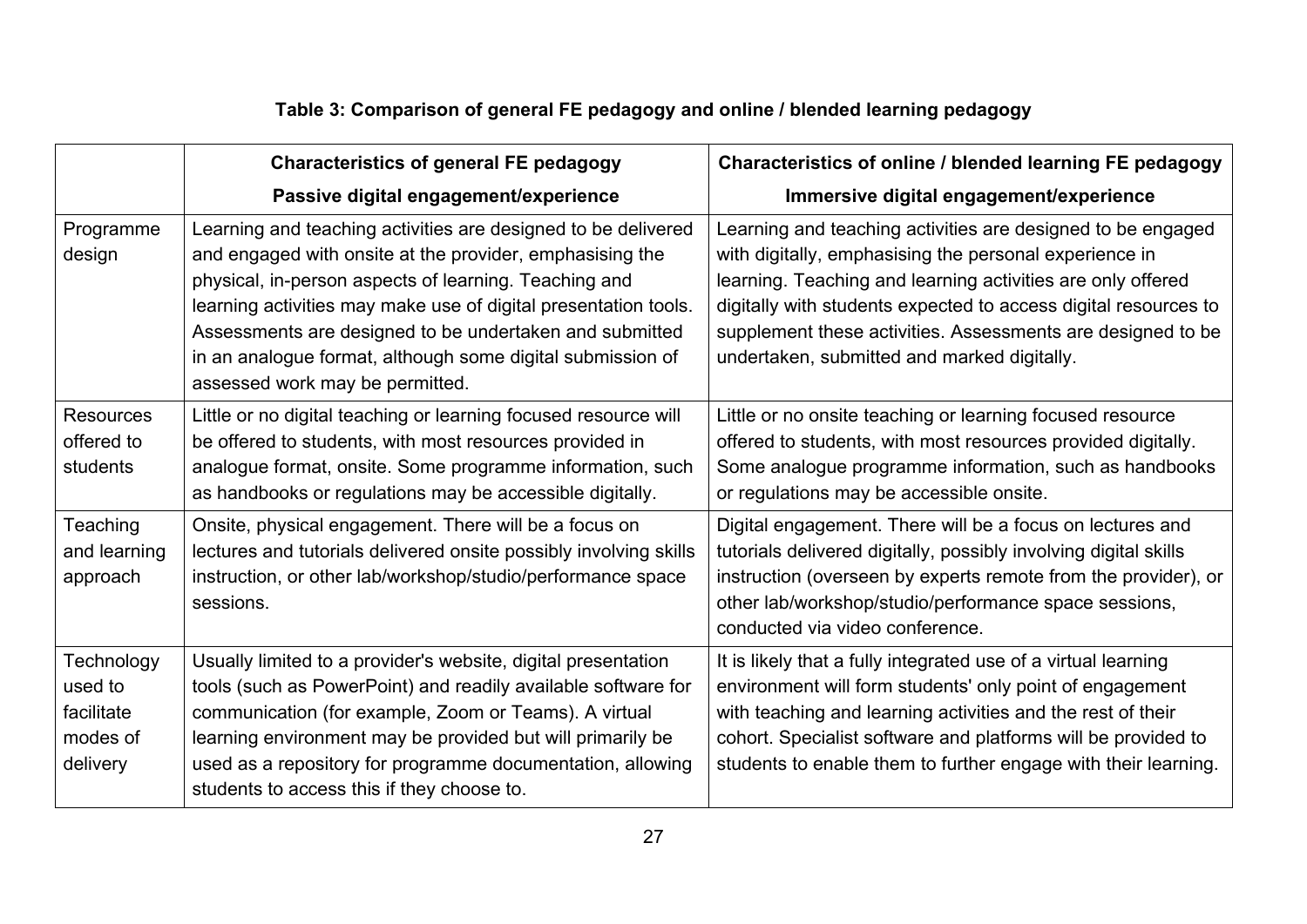## **Table 3: Comparison of general FE pedagogy and online / blended learning pedagogy**

<span id="page-26-0"></span>

|                                                             | <b>Characteristics of general FE pedagogy</b>                                                                                                                                                                                                                                                                                                                                                                     | Characteristics of online / blended learning FE pedagogy                                                                                                                                                                                                                                                                                                              |
|-------------------------------------------------------------|-------------------------------------------------------------------------------------------------------------------------------------------------------------------------------------------------------------------------------------------------------------------------------------------------------------------------------------------------------------------------------------------------------------------|-----------------------------------------------------------------------------------------------------------------------------------------------------------------------------------------------------------------------------------------------------------------------------------------------------------------------------------------------------------------------|
|                                                             | Passive digital engagement/experience                                                                                                                                                                                                                                                                                                                                                                             | Immersive digital engagement/experience                                                                                                                                                                                                                                                                                                                               |
| Programme<br>design                                         | Learning and teaching activities are designed to be delivered<br>and engaged with onsite at the provider, emphasising the<br>physical, in-person aspects of learning. Teaching and<br>learning activities may make use of digital presentation tools.<br>Assessments are designed to be undertaken and submitted<br>in an analogue format, although some digital submission of<br>assessed work may be permitted. | Learning and teaching activities are designed to be engaged<br>with digitally, emphasising the personal experience in<br>learning. Teaching and learning activities are only offered<br>digitally with students expected to access digital resources to<br>supplement these activities. Assessments are designed to be<br>undertaken, submitted and marked digitally. |
| <b>Resources</b><br>offered to<br>students                  | Little or no digital teaching or learning focused resource will<br>be offered to students, with most resources provided in<br>analogue format, onsite. Some programme information, such<br>as handbooks or regulations may be accessible digitally.                                                                                                                                                               | Little or no onsite teaching or learning focused resource<br>offered to students, with most resources provided digitally.<br>Some analogue programme information, such as handbooks<br>or regulations may be accessible onsite.                                                                                                                                       |
| Teaching<br>and learning<br>approach                        | Onsite, physical engagement. There will be a focus on<br>lectures and tutorials delivered onsite possibly involving skills<br>instruction, or other lab/workshop/studio/performance space<br>sessions.                                                                                                                                                                                                            | Digital engagement. There will be a focus on lectures and<br>tutorials delivered digitally, possibly involving digital skills<br>instruction (overseen by experts remote from the provider), or<br>other lab/workshop/studio/performance space sessions,<br>conducted via video conference.                                                                           |
| Technology<br>used to<br>facilitate<br>modes of<br>delivery | Usually limited to a provider's website, digital presentation<br>tools (such as PowerPoint) and readily available software for<br>communication (for example, Zoom or Teams). A virtual<br>learning environment may be provided but will primarily be<br>used as a repository for programme documentation, allowing<br>students to access this if they choose to.                                                 | It is likely that a fully integrated use of a virtual learning<br>environment will form students' only point of engagement<br>with teaching and learning activities and the rest of their<br>cohort. Specialist software and platforms will be provided to<br>students to enable them to further engage with their learning.                                          |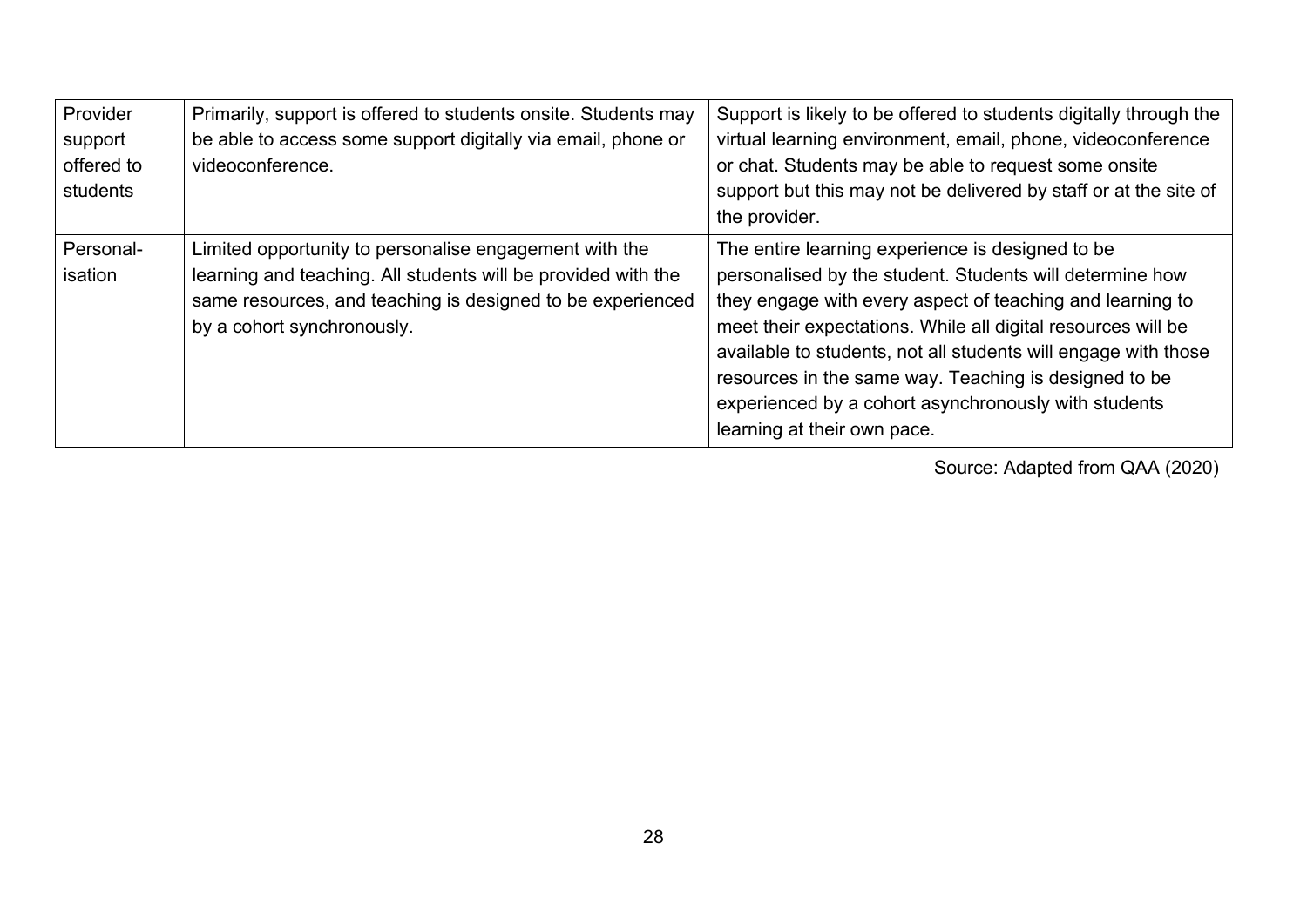| Provider<br>support<br>offered to<br>students | Primarily, support is offered to students onsite. Students may<br>be able to access some support digitally via email, phone or<br>videoconference.                                                                  | Support is likely to be offered to students digitally through the<br>virtual learning environment, email, phone, videoconference<br>or chat. Students may be able to request some onsite<br>support but this may not be delivered by staff or at the site of<br>the provider.                                                                                                                                                                               |
|-----------------------------------------------|---------------------------------------------------------------------------------------------------------------------------------------------------------------------------------------------------------------------|-------------------------------------------------------------------------------------------------------------------------------------------------------------------------------------------------------------------------------------------------------------------------------------------------------------------------------------------------------------------------------------------------------------------------------------------------------------|
| Personal-<br>isation                          | Limited opportunity to personalise engagement with the<br>learning and teaching. All students will be provided with the<br>same resources, and teaching is designed to be experienced<br>by a cohort synchronously. | The entire learning experience is designed to be<br>personalised by the student. Students will determine how<br>they engage with every aspect of teaching and learning to<br>meet their expectations. While all digital resources will be<br>available to students, not all students will engage with those<br>resources in the same way. Teaching is designed to be<br>experienced by a cohort asynchronously with students<br>learning at their own pace. |

Source: Adapted from QAA (2020)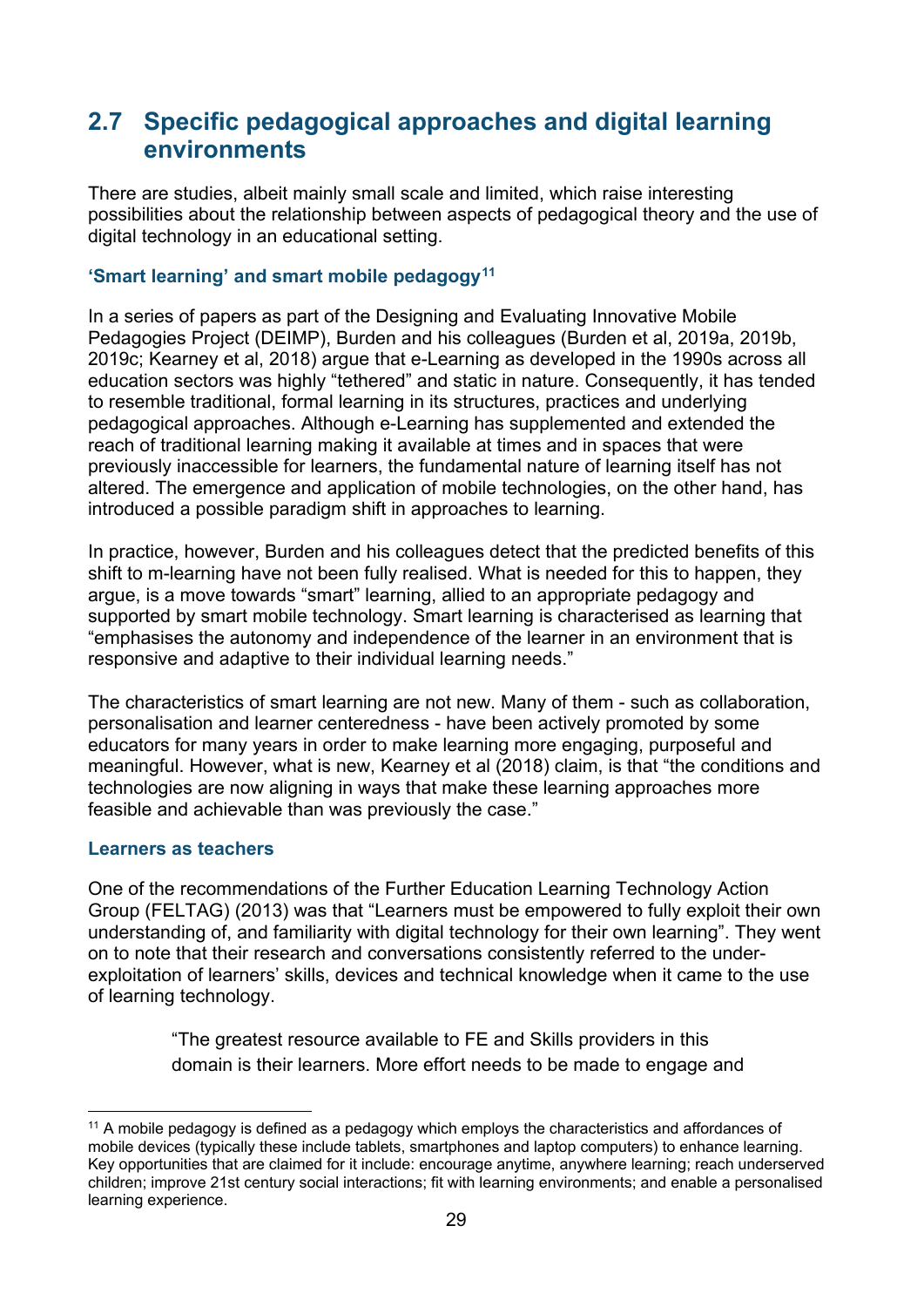### <span id="page-28-0"></span>**2.7 Specific pedagogical approaches and digital learning environments**

There are studies, albeit mainly small scale and limited, which raise interesting possibilities about the relationship between aspects of pedagogical theory and the use of digital technology in an educational setting.

#### **'Smart learning' and smart mobile pedagogy[11](#page-28-1)**

In a series of papers as part of the Designing and Evaluating Innovative Mobile Pedagogies Project (DEIMP), Burden and his colleagues (Burden et al, 2019a, 2019b, 2019c; Kearney et al, 2018) argue that e-Learning as developed in the 1990s across all education sectors was highly "tethered" and static in nature. Consequently, it has tended to resemble traditional, formal learning in its structures, practices and underlying pedagogical approaches. Although e-Learning has supplemented and extended the reach of traditional learning making it available at times and in spaces that were previously inaccessible for learners, the fundamental nature of learning itself has not altered. The emergence and application of mobile technologies, on the other hand, has introduced a possible paradigm shift in approaches to learning.

In practice, however, Burden and his colleagues detect that the predicted benefits of this shift to m-learning have not been fully realised. What is needed for this to happen, they argue, is a move towards "smart" learning, allied to an appropriate pedagogy and supported by smart mobile technology. Smart learning is characterised as learning that "emphasises the autonomy and independence of the learner in an environment that is responsive and adaptive to their individual learning needs."

The characteristics of smart learning are not new. Many of them - such as collaboration, personalisation and learner centeredness - have been actively promoted by some educators for many years in order to make learning more engaging, purposeful and meaningful. However, what is new, Kearney et al (2018) claim, is that "the conditions and technologies are now aligning in ways that make these learning approaches more feasible and achievable than was previously the case."

#### **Learners as teachers**

One of the recommendations of the Further Education Learning Technology Action Group (FELTAG) (2013) was that "Learners must be empowered to fully exploit their own understanding of, and familiarity with digital technology for their own learning". They went on to note that their research and conversations consistently referred to the underexploitation of learners' skills, devices and technical knowledge when it came to the use of learning technology.

> "The greatest resource available to FE and Skills providers in this domain is their learners. More effort needs to be made to engage and

<span id="page-28-1"></span><sup>&</sup>lt;sup>11</sup> A mobile pedagogy is defined as a pedagogy which employs the characteristics and affordances of mobile devices (typically these include tablets, smartphones and laptop computers) to enhance learning. Key opportunities that are claimed for it include: encourage anytime, anywhere learning; reach underserved children; improve 21st century social interactions; fit with learning environments; and enable a personalised learning experience.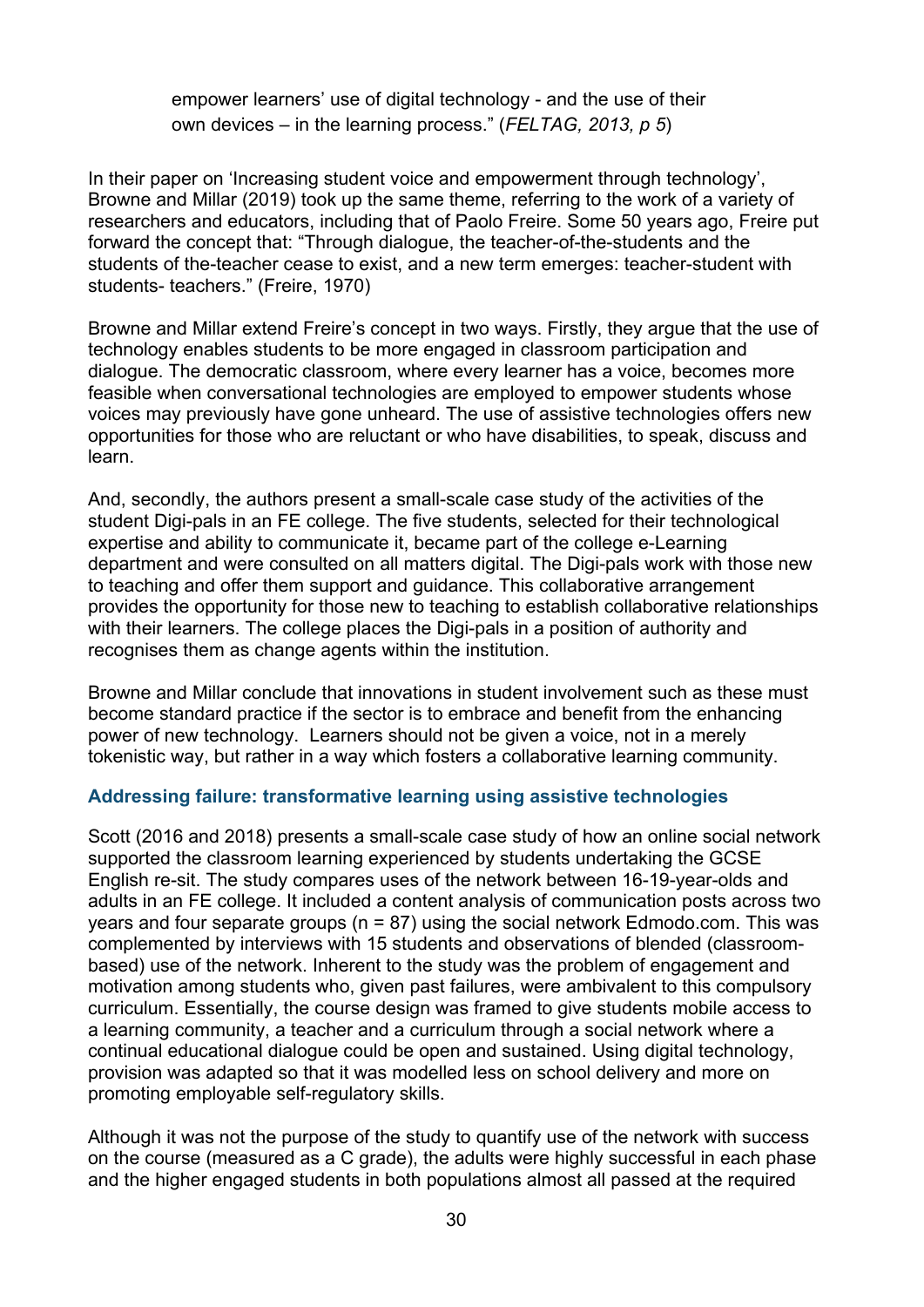empower learners' use of digital technology - and the use of their own devices – in the learning process." (*FELTAG, 2013, p 5*)

In their paper on 'Increasing student voice and empowerment through technology', Browne and Millar (2019) took up the same theme, referring to the work of a variety of researchers and educators, including that of Paolo Freire. Some 50 years ago, Freire put forward the concept that: "Through dialogue, the teacher-of-the-students and the students of the-teacher cease to exist, and a new term emerges: teacher-student with students- teachers." (Freire, 1970)

Browne and Millar extend Freire's concept in two ways. Firstly, they argue that the use of technology enables students to be more engaged in classroom participation and dialogue. The democratic classroom, where every learner has a voice, becomes more feasible when conversational technologies are employed to empower students whose voices may previously have gone unheard. The use of assistive technologies offers new opportunities for those who are reluctant or who have disabilities, to speak, discuss and learn.

And, secondly, the authors present a small-scale case study of the activities of the student Digi-pals in an FE college. The five students, selected for their technological expertise and ability to communicate it, became part of the college e-Learning department and were consulted on all matters digital. The Digi-pals work with those new to teaching and offer them support and guidance. This collaborative arrangement provides the opportunity for those new to teaching to establish collaborative relationships with their learners. The college places the Digi-pals in a position of authority and recognises them as change agents within the institution.

Browne and Millar conclude that innovations in student involvement such as these must become standard practice if the sector is to embrace and benefit from the enhancing power of new technology. Learners should not be given a voice, not in a merely tokenistic way, but rather in a way which fosters a collaborative learning community.

#### **Addressing failure: transformative learning using assistive technologies**

Scott (2016 and 2018) presents a small-scale case study of how an online social network supported the classroom learning experienced by students undertaking the GCSE English re-sit. The study compares uses of the network between 16-19-year-olds and adults in an FE college. It included a content analysis of communication posts across two years and four separate groups ( $n = 87$ ) using the social network Edmodo.com. This was complemented by interviews with 15 students and observations of blended (classroombased) use of the network. Inherent to the study was the problem of engagement and motivation among students who, given past failures, were ambivalent to this compulsory curriculum. Essentially, the course design was framed to give students mobile access to a learning community, a teacher and a curriculum through a social network where a continual educational dialogue could be open and sustained. Using digital technology, provision was adapted so that it was modelled less on school delivery and more on promoting employable self-regulatory skills.

Although it was not the purpose of the study to quantify use of the network with success on the course (measured as a C grade), the adults were highly successful in each phase and the higher engaged students in both populations almost all passed at the required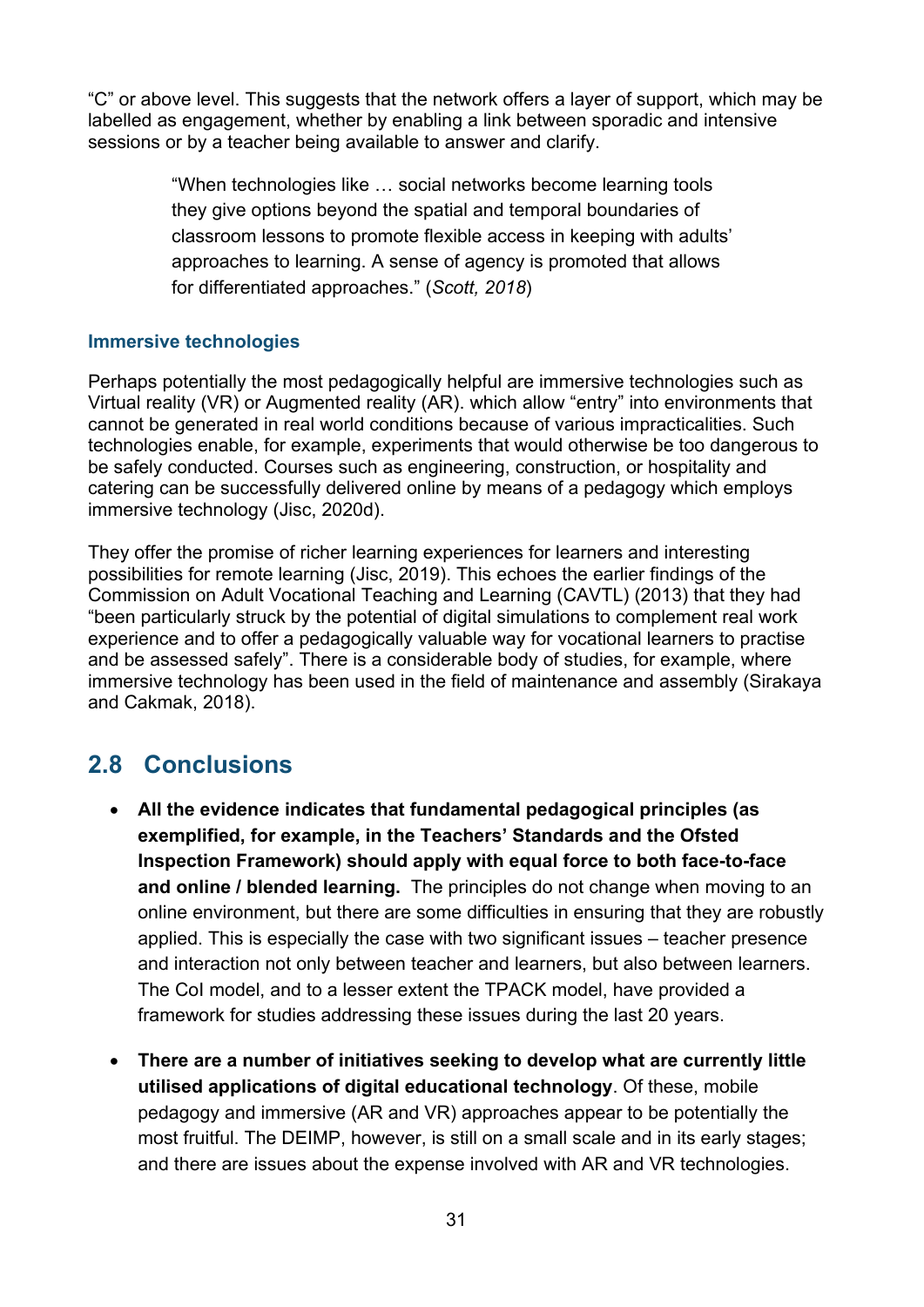"C" or above level. This suggests that the network offers a layer of support, which may be labelled as engagement, whether by enabling a link between sporadic and intensive sessions or by a teacher being available to answer and clarify.

> "When technologies like … social networks become learning tools they give options beyond the spatial and temporal boundaries of classroom lessons to promote flexible access in keeping with adults' approaches to learning. A sense of agency is promoted that allows for differentiated approaches." (*Scott, 2018*)

#### **Immersive technologies**

Perhaps potentially the most pedagogically helpful are immersive technologies such as Virtual reality (VR) or Augmented reality (AR). which allow "entry" into environments that cannot be generated in real world conditions because of various impracticalities. Such technologies enable, for example, experiments that would otherwise be too dangerous to be safely conducted. Courses such as engineering, construction, or hospitality and catering can be successfully delivered online by means of a pedagogy which employs immersive technology (Jisc, 2020d).

They offer the promise of richer learning experiences for learners and interesting possibilities for remote learning (Jisc, 2019). This echoes the earlier findings of the Commission on Adult Vocational Teaching and Learning (CAVTL) (2013) that they had "been particularly struck by the potential of digital simulations to complement real work experience and to offer a pedagogically valuable way for vocational learners to practise and be assessed safely". There is a considerable body of studies, for example, where immersive technology has been used in the field of maintenance and assembly (Sirakaya and Cakmak, 2018).

## <span id="page-30-0"></span>**2.8 Conclusions**

- **All the evidence indicates that fundamental pedagogical principles (as exemplified, for example, in the Teachers' Standards and the Ofsted Inspection Framework) should apply with equal force to both face-to-face and online / blended learning.** The principles do not change when moving to an online environment, but there are some difficulties in ensuring that they are robustly applied. This is especially the case with two significant issues – teacher presence and interaction not only between teacher and learners, but also between learners. The CoI model, and to a lesser extent the TPACK model, have provided a framework for studies addressing these issues during the last 20 years.
- **There are a number of initiatives seeking to develop what are currently little utilised applications of digital educational technology**. Of these, mobile pedagogy and immersive (AR and VR) approaches appear to be potentially the most fruitful. The DEIMP, however, is still on a small scale and in its early stages; and there are issues about the expense involved with AR and VR technologies.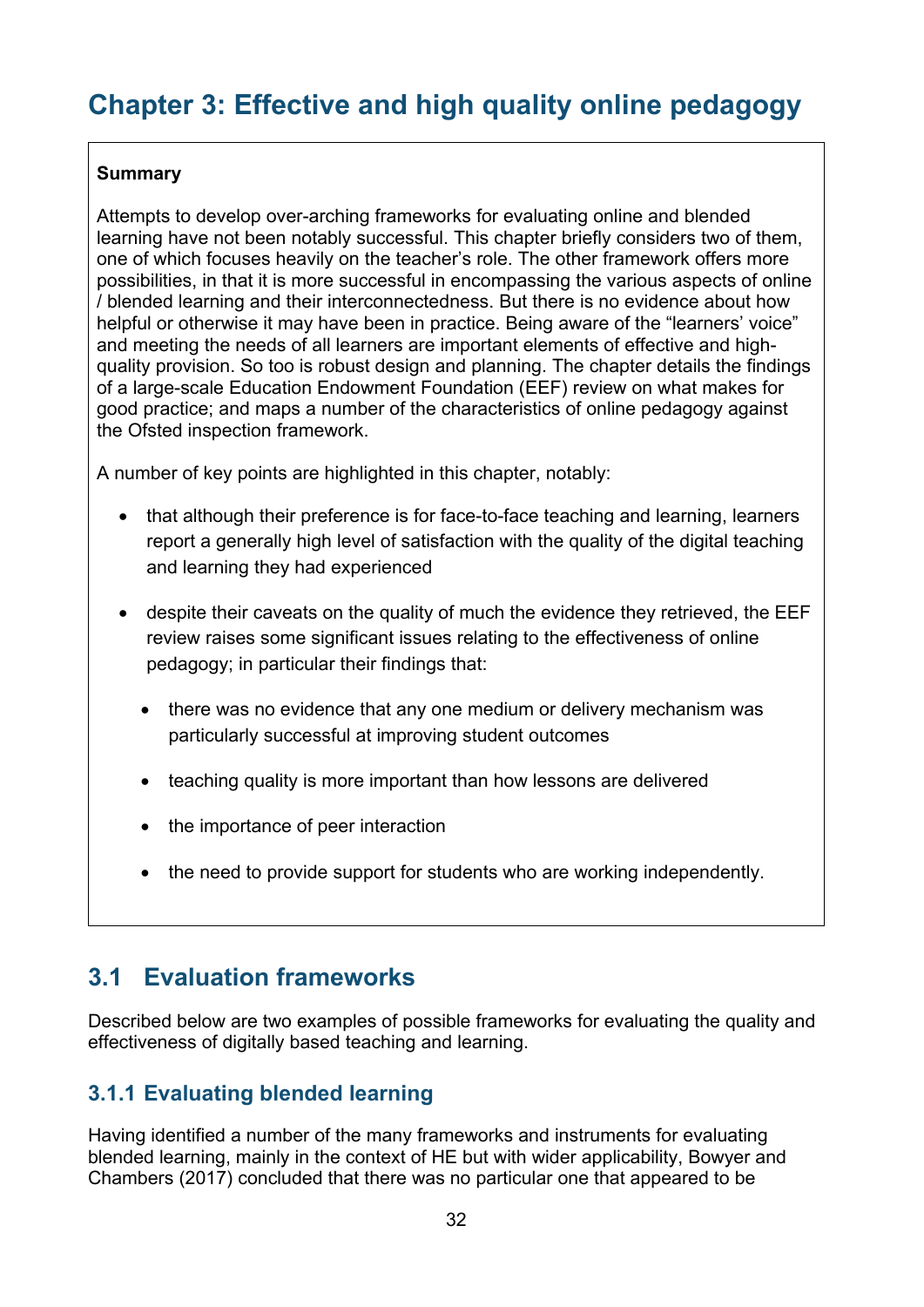# <span id="page-31-0"></span>**Chapter 3: Effective and high quality online pedagogy**

#### **Summary**

Attempts to develop over-arching frameworks for evaluating online and blended learning have not been notably successful. This chapter briefly considers two of them, one of which focuses heavily on the teacher's role. The other framework offers more possibilities, in that it is more successful in encompassing the various aspects of online / blended learning and their interconnectedness. But there is no evidence about how helpful or otherwise it may have been in practice. Being aware of the "learners' voice" and meeting the needs of all learners are important elements of effective and highquality provision. So too is robust design and planning. The chapter details the findings of a large-scale Education Endowment Foundation (EEF) review on what makes for good practice; and maps a number of the characteristics of online pedagogy against the Ofsted inspection framework.

A number of key points are highlighted in this chapter, notably:

- that although their preference is for face-to-face teaching and learning, learners report a generally high level of satisfaction with the quality of the digital teaching and learning they had experienced
- despite their caveats on the quality of much the evidence they retrieved, the EEF review raises some significant issues relating to the effectiveness of online pedagogy; in particular their findings that:
	- there was no evidence that any one medium or delivery mechanism was particularly successful at improving student outcomes
	- teaching quality is more important than how lessons are delivered
	- the importance of peer interaction
	- the need to provide support for students who are working independently.

### <span id="page-31-1"></span>**3.1 Evaluation frameworks**

Described below are two examples of possible frameworks for evaluating the quality and effectiveness of digitally based teaching and learning.

### <span id="page-31-2"></span>**3.1.1 Evaluating blended learning**

Having identified a number of the many frameworks and instruments for evaluating blended learning, mainly in the context of HE but with wider applicability, Bowyer and Chambers (2017) concluded that there was no particular one that appeared to be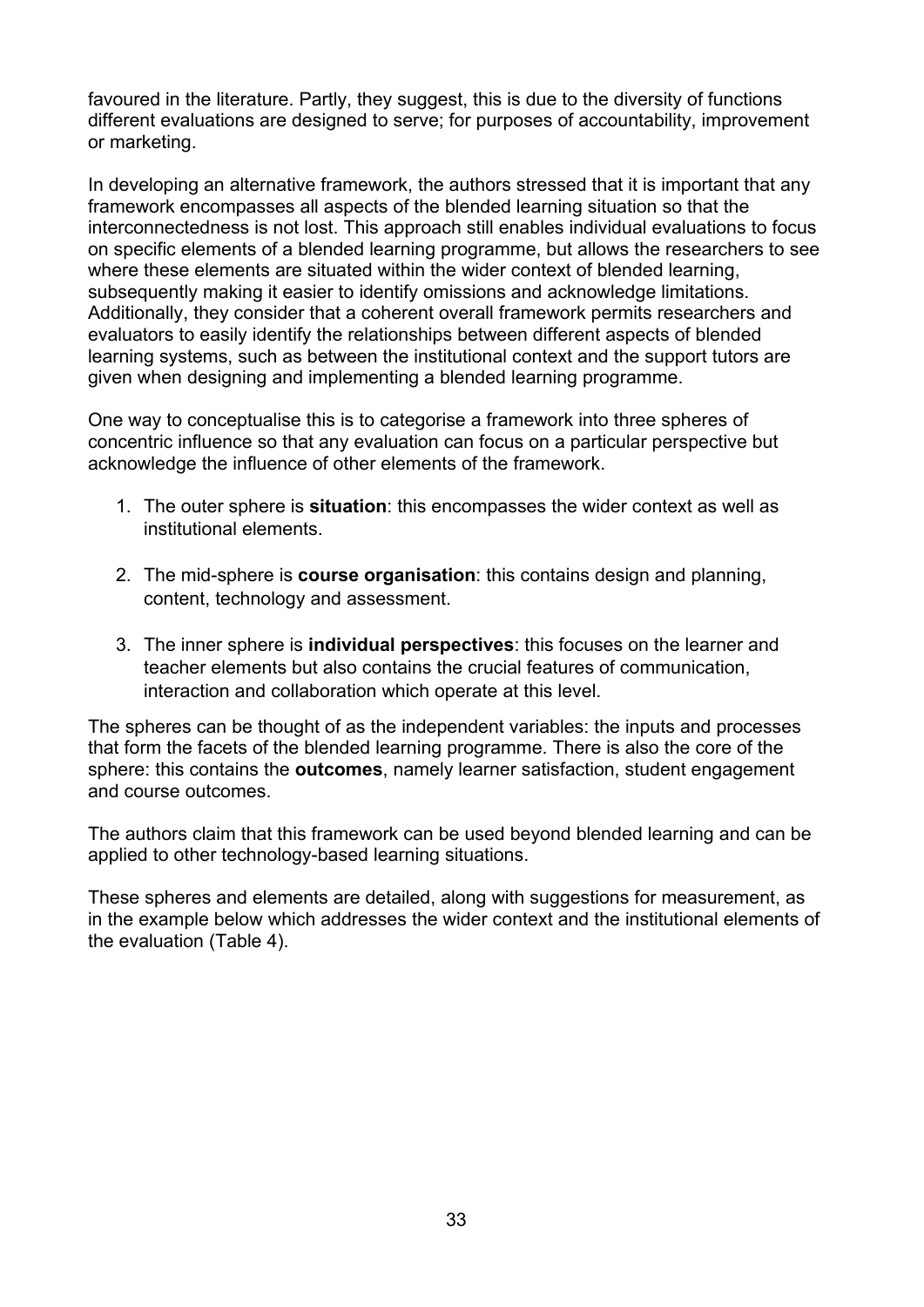favoured in the literature. Partly, they suggest, this is due to the diversity of functions different evaluations are designed to serve; for purposes of accountability, improvement or marketing.

In developing an alternative framework, the authors stressed that it is important that any framework encompasses all aspects of the blended learning situation so that the interconnectedness is not lost. This approach still enables individual evaluations to focus on specific elements of a blended learning programme, but allows the researchers to see where these elements are situated within the wider context of blended learning, subsequently making it easier to identify omissions and acknowledge limitations. Additionally, they consider that a coherent overall framework permits researchers and evaluators to easily identify the relationships between different aspects of blended learning systems, such as between the institutional context and the support tutors are given when designing and implementing a blended learning programme.

One way to conceptualise this is to categorise a framework into three spheres of concentric influence so that any evaluation can focus on a particular perspective but acknowledge the influence of other elements of the framework.

- 1. The outer sphere is **situation**: this encompasses the wider context as well as institutional elements.
- 2. The mid-sphere is **course organisation**: this contains design and planning, content, technology and assessment.
- 3. The inner sphere is **individual perspectives**: this focuses on the learner and teacher elements but also contains the crucial features of communication, interaction and collaboration which operate at this level.

The spheres can be thought of as the independent variables: the inputs and processes that form the facets of the blended learning programme. There is also the core of the sphere: this contains the **outcomes**, namely learner satisfaction, student engagement and course outcomes.

The authors claim that this framework can be used beyond blended learning and can be applied to other technology-based learning situations.

These spheres and elements are detailed, along with suggestions for measurement, as in the example below which addresses the wider context and the institutional elements of the evaluation (Table 4).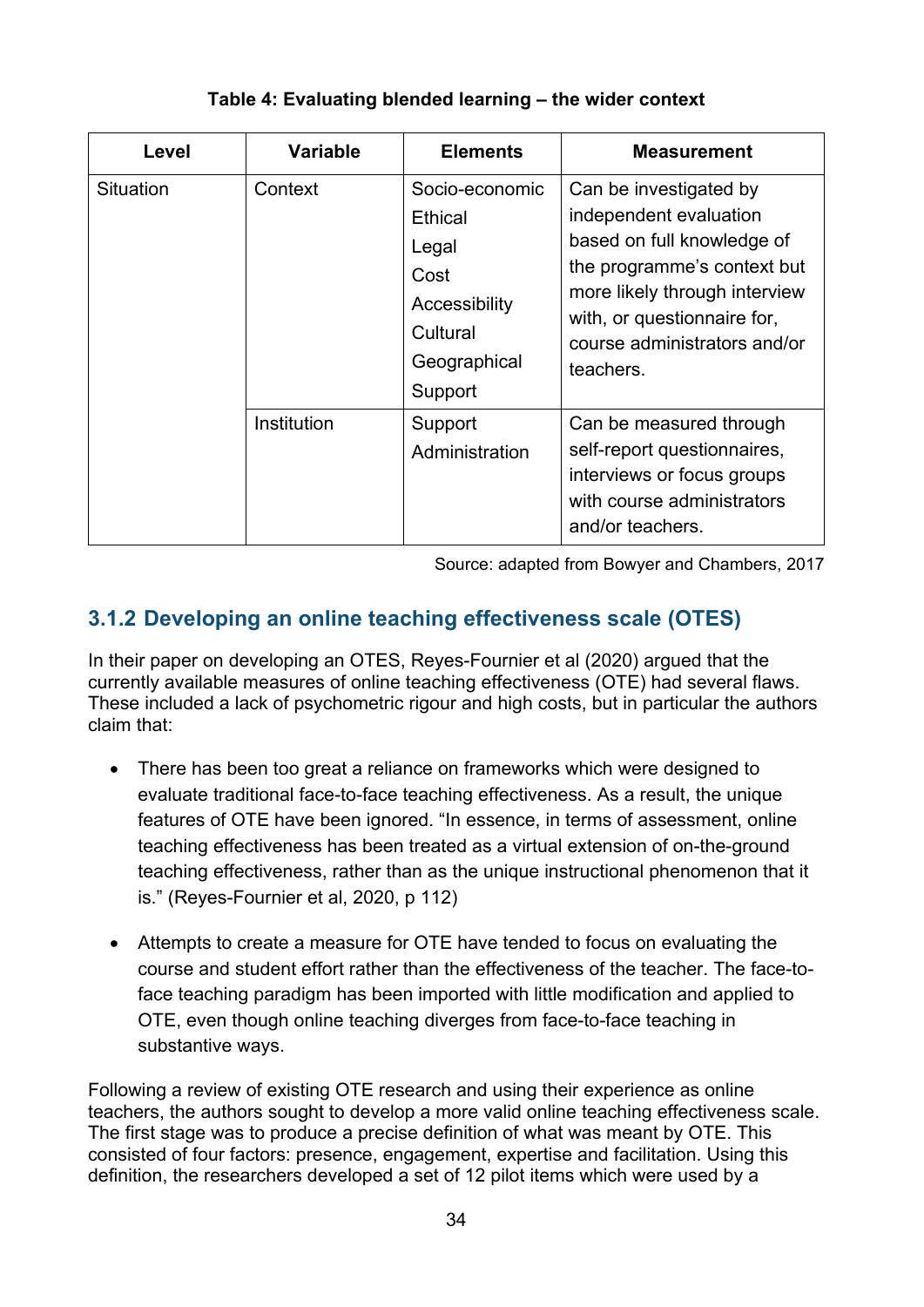<span id="page-33-1"></span>

| Level     | <b>Variable</b> | <b>Elements</b>                                                                                    | <b>Measurement</b>                                                                                                                                                                                                         |
|-----------|-----------------|----------------------------------------------------------------------------------------------------|----------------------------------------------------------------------------------------------------------------------------------------------------------------------------------------------------------------------------|
| Situation | Context         | Socio-economic<br>Ethical<br>Legal<br>Cost<br>Accessibility<br>Cultural<br>Geographical<br>Support | Can be investigated by<br>independent evaluation<br>based on full knowledge of<br>the programme's context but<br>more likely through interview<br>with, or questionnaire for,<br>course administrators and/or<br>teachers. |
|           | Institution     | Support<br>Administration                                                                          | Can be measured through<br>self-report questionnaires,<br>interviews or focus groups<br>with course administrators<br>and/or teachers.                                                                                     |

#### **Table 4: Evaluating blended learning – the wider context**

Source: adapted from Bowyer and Chambers, 2017

### <span id="page-33-0"></span>**3.1.2 Developing an online teaching effectiveness scale (OTES)**

In their paper on developing an OTES, Reyes-Fournier et al (2020) argued that the currently available measures of online teaching effectiveness (OTE) had several flaws. These included a lack of psychometric rigour and high costs, but in particular the authors claim that:

- There has been too great a reliance on frameworks which were designed to evaluate traditional face-to-face teaching effectiveness. As a result, the unique features of OTE have been ignored. "In essence, in terms of assessment, online teaching effectiveness has been treated as a virtual extension of on-the-ground teaching effectiveness, rather than as the unique instructional phenomenon that it is." (Reyes-Fournier et al, 2020, p 112)
- Attempts to create a measure for OTE have tended to focus on evaluating the course and student effort rather than the effectiveness of the teacher. The face-toface teaching paradigm has been imported with little modification and applied to OTE, even though online teaching diverges from face-to-face teaching in substantive ways.

Following a review of existing OTE research and using their experience as online teachers, the authors sought to develop a more valid online teaching effectiveness scale. The first stage was to produce a precise definition of what was meant by OTE. This consisted of four factors: presence, engagement, expertise and facilitation. Using this definition, the researchers developed a set of 12 pilot items which were used by a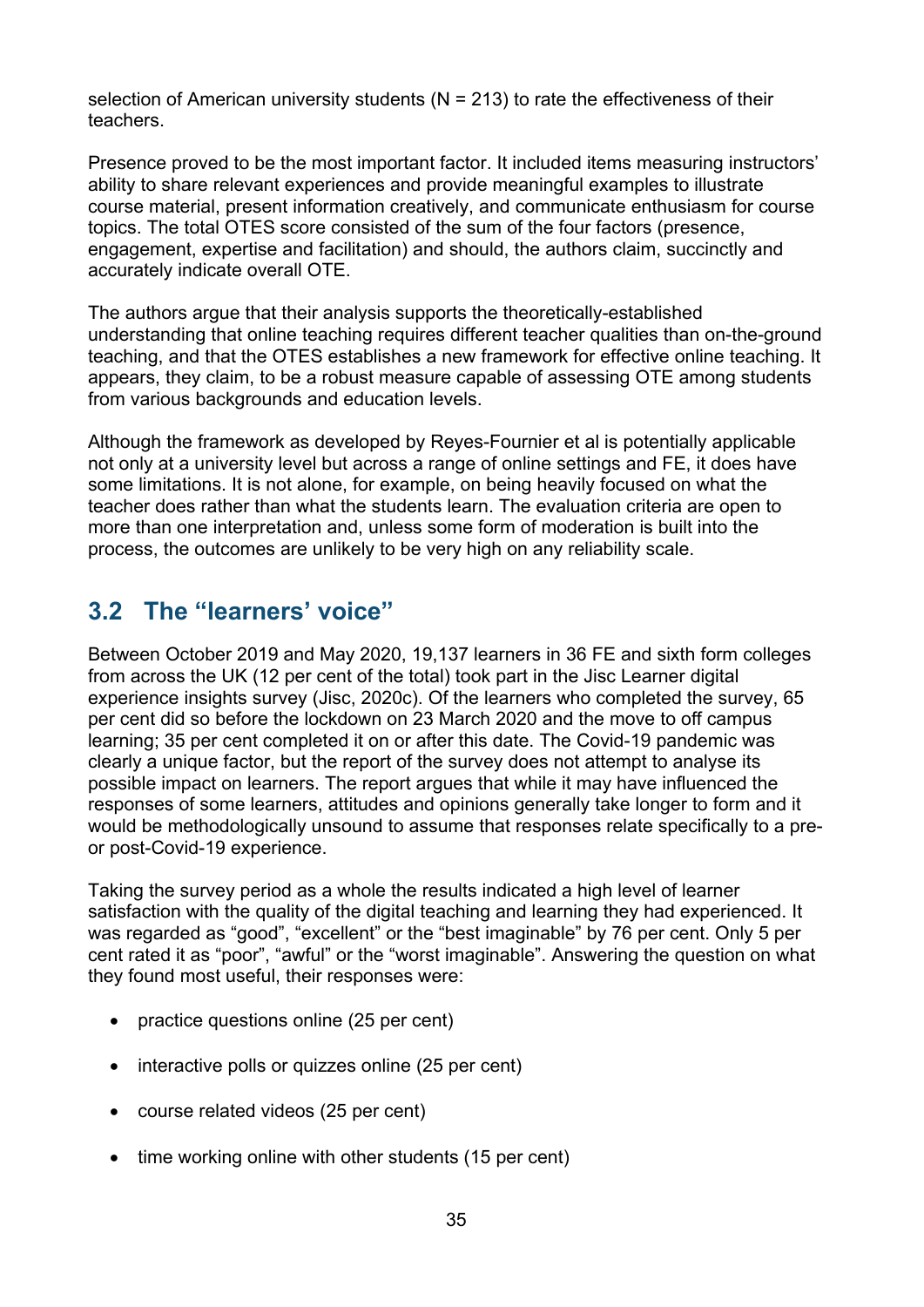selection of American university students ( $N = 213$ ) to rate the effectiveness of their teachers.

Presence proved to be the most important factor. It included items measuring instructors' ability to share relevant experiences and provide meaningful examples to illustrate course material, present information creatively, and communicate enthusiasm for course topics. The total OTES score consisted of the sum of the four factors (presence, engagement, expertise and facilitation) and should, the authors claim, succinctly and accurately indicate overall OTE.

The authors argue that their analysis supports the theoretically-established understanding that online teaching requires different teacher qualities than on-the-ground teaching, and that the OTES establishes a new framework for effective online teaching. It appears, they claim, to be a robust measure capable of assessing OTE among students from various backgrounds and education levels.

Although the framework as developed by Reyes-Fournier et al is potentially applicable not only at a university level but across a range of online settings and FE, it does have some limitations. It is not alone, for example, on being heavily focused on what the teacher does rather than what the students learn. The evaluation criteria are open to more than one interpretation and, unless some form of moderation is built into the process, the outcomes are unlikely to be very high on any reliability scale.

# <span id="page-34-0"></span>**3.2 The "learners' voice"**

Between October 2019 and May 2020, 19,137 learners in 36 FE and sixth form colleges from across the UK (12 per cent of the total) took part in the Jisc Learner digital experience insights survey (Jisc, 2020c). Of the learners who completed the survey, 65 per cent did so before the lockdown on 23 March 2020 and the move to off campus learning; 35 per cent completed it on or after this date. The Covid-19 pandemic was clearly a unique factor, but the report of the survey does not attempt to analyse its possible impact on learners. The report argues that while it may have influenced the responses of some learners, attitudes and opinions generally take longer to form and it would be methodologically unsound to assume that responses relate specifically to a preor post-Covid-19 experience.

Taking the survey period as a whole the results indicated a high level of learner satisfaction with the quality of the digital teaching and learning they had experienced. It was regarded as "good", "excellent" or the "best imaginable" by 76 per cent. Only 5 per cent rated it as "poor", "awful" or the "worst imaginable". Answering the question on what they found most useful, their responses were:

- practice questions online (25 per cent)
- interactive polls or quizzes online (25 per cent)
- course related videos (25 per cent)
- time working online with other students (15 per cent)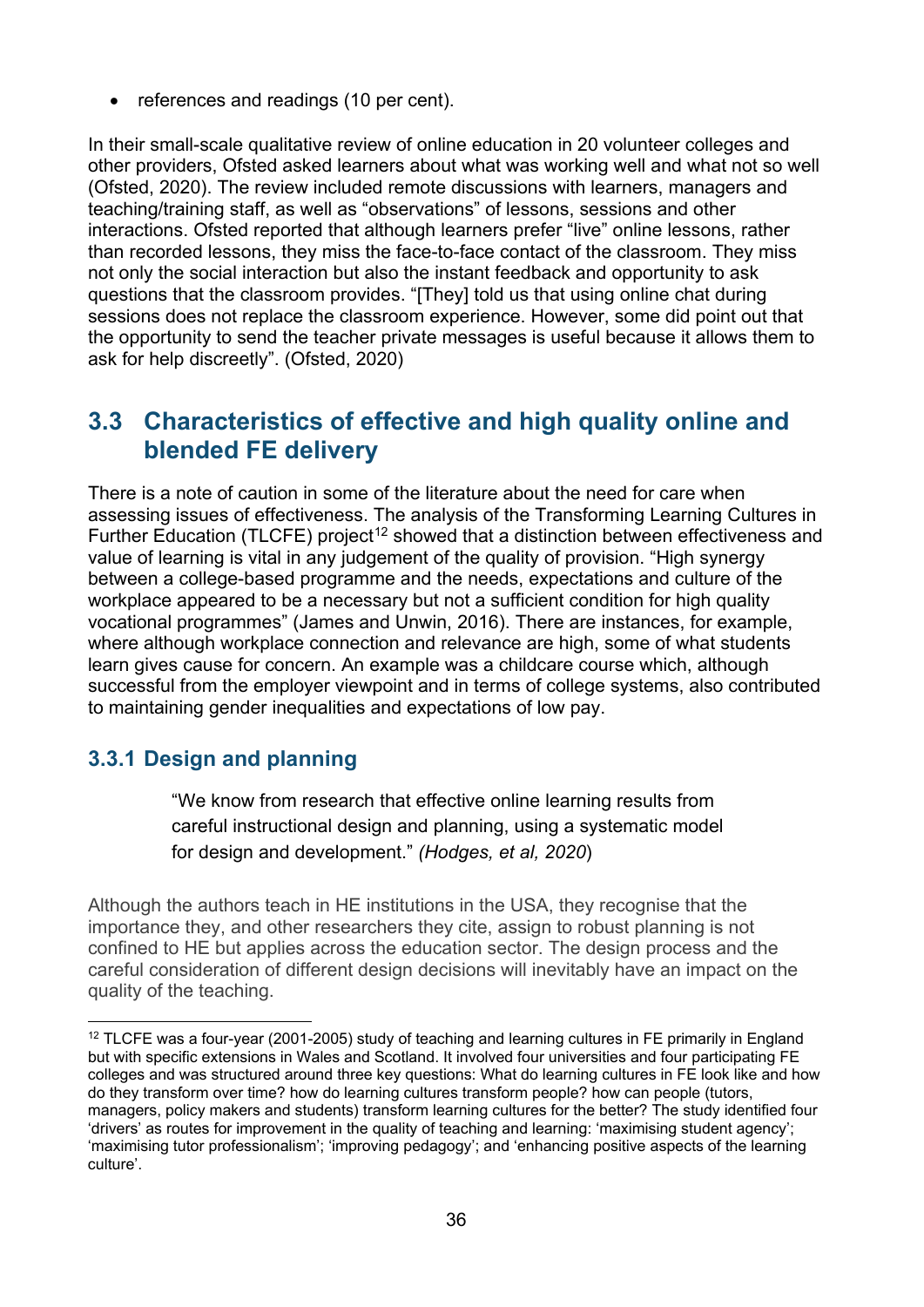• references and readings (10 per cent).

In their small-scale qualitative review of online education in 20 volunteer colleges and other providers, Ofsted asked learners about what was working well and what not so well (Ofsted, 2020). The review included remote discussions with learners, managers and teaching/training staff, as well as "observations" of lessons, sessions and other interactions. Ofsted reported that although learners prefer "live" online lessons, rather than recorded lessons, they miss the face-to-face contact of the classroom. They miss not only the social interaction but also the instant feedback and opportunity to ask questions that the classroom provides. "[They] told us that using online chat during sessions does not replace the classroom experience. However, some did point out that the opportunity to send the teacher private messages is useful because it allows them to ask for help discreetly". (Ofsted, 2020)

### <span id="page-35-0"></span>**3.3 Characteristics of effective and high quality online and blended FE delivery**

There is a note of caution in some of the literature about the need for care when assessing issues of effectiveness. The analysis of the Transforming Learning Cultures in Further Education (TLCFE) project<sup>[12](#page-35-2)</sup> showed that a distinction between effectiveness and value of learning is vital in any judgement of the quality of provision. "High synergy between a college-based programme and the needs, expectations and culture of the workplace appeared to be a necessary but not a sufficient condition for high quality vocational programmes" (James and Unwin, 2016). There are instances, for example, where although workplace connection and relevance are high, some of what students learn gives cause for concern. An example was a childcare course which, although successful from the employer viewpoint and in terms of college systems, also contributed to maintaining gender inequalities and expectations of low pay.

### <span id="page-35-1"></span>**3.3.1 Design and planning**

"We know from research that effective online learning results from careful instructional design and planning, using a systematic model for design and development." *(Hodges, et al, 2020*)

Although the authors teach in HE institutions in the USA, they recognise that the importance they, and other researchers they cite, assign to robust planning is not confined to HE but applies across the education sector. The design process and the careful consideration of different design decisions will inevitably have an impact on the quality of the teaching.

<span id="page-35-2"></span><sup>&</sup>lt;sup>12</sup> TLCFE was a four-year (2001-2005) study of teaching and learning cultures in FE primarily in England but with specific extensions in Wales and Scotland. It involved four universities and four participating FE colleges and was structured around three key questions: What do learning cultures in FE look like and how do they transform over time? how do learning cultures transform people? how can people (tutors, managers, policy makers and students) transform learning cultures for the better? The study identified four 'drivers' as routes for improvement in the quality of teaching and learning: 'maximising student agency'; 'maximising tutor professionalism'; 'improving pedagogy'; and 'enhancing positive aspects of the learning culture'.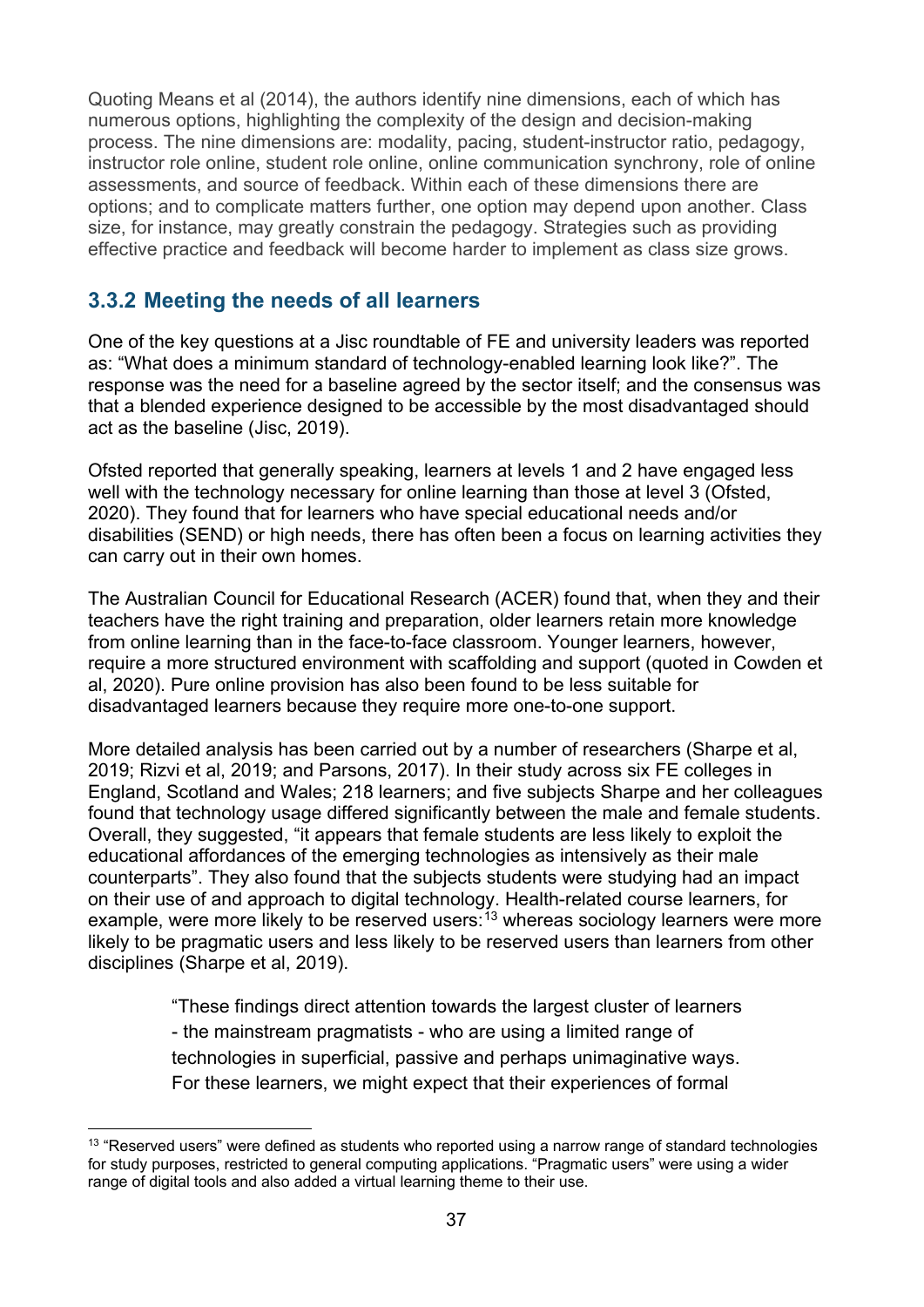Quoting Means et al (2014), the authors identify nine dimensions, each of which has numerous options, highlighting the complexity of the design and decision-making process. The nine dimensions are: modality, pacing, student-instructor ratio, pedagogy, instructor role online, student role online, online communication synchrony, role of online assessments, and source of feedback. Within each of these dimensions there are options; and to complicate matters further, one option may depend upon another. Class size, for instance, may greatly constrain the pedagogy. Strategies such as providing effective practice and feedback will become harder to implement as class size grows.

### <span id="page-36-0"></span>**3.3.2 Meeting the needs of all learners**

One of the key questions at a Jisc roundtable of FE and university leaders was reported as: "What does a minimum standard of technology-enabled learning look like?". The response was the need for a baseline agreed by the sector itself; and the consensus was that a blended experience designed to be accessible by the most disadvantaged should act as the baseline (Jisc, 2019).

Ofsted reported that generally speaking, learners at levels 1 and 2 have engaged less well with the technology necessary for online learning than those at level 3 (Ofsted, 2020). They found that for learners who have special educational needs and/or disabilities (SEND) or high needs, there has often been a focus on learning activities they can carry out in their own homes.

The Australian Council for Educational Research (ACER) found that, when they and their teachers have the right training and preparation, older learners retain more knowledge from online learning than in the face-to-face classroom. Younger learners, however, require a more structured environment with scaffolding and support (quoted in Cowden et al, 2020). Pure online provision has also been found to be less suitable for disadvantaged learners because they require more one-to-one support.

More detailed analysis has been carried out by a number of researchers (Sharpe et al, 2019; Rizvi et al, 2019; and Parsons, 2017). In their study across six FE colleges in England, Scotland and Wales; 218 learners; and five subjects Sharpe and her colleagues found that technology usage differed significantly between the male and female students. Overall, they suggested, "it appears that female students are less likely to exploit the educational affordances of the emerging technologies as intensively as their male counterparts". They also found that the subjects students were studying had an impact on their use of and approach to digital technology. Health-related course learners, for example, were more likely to be reserved users:<sup>[13](#page-36-1)</sup> whereas sociology learners were more likely to be pragmatic users and less likely to be reserved users than learners from other disciplines (Sharpe et al, 2019).

> "These findings direct attention towards the largest cluster of learners - the mainstream pragmatists - who are using a limited range of technologies in superficial, passive and perhaps unimaginative ways. For these learners, we might expect that their experiences of formal

<span id="page-36-1"></span> $13$  "Reserved users" were defined as students who reported using a narrow range of standard technologies for study purposes, restricted to general computing applications. "Pragmatic users" were using a wider range of digital tools and also added a virtual learning theme to their use.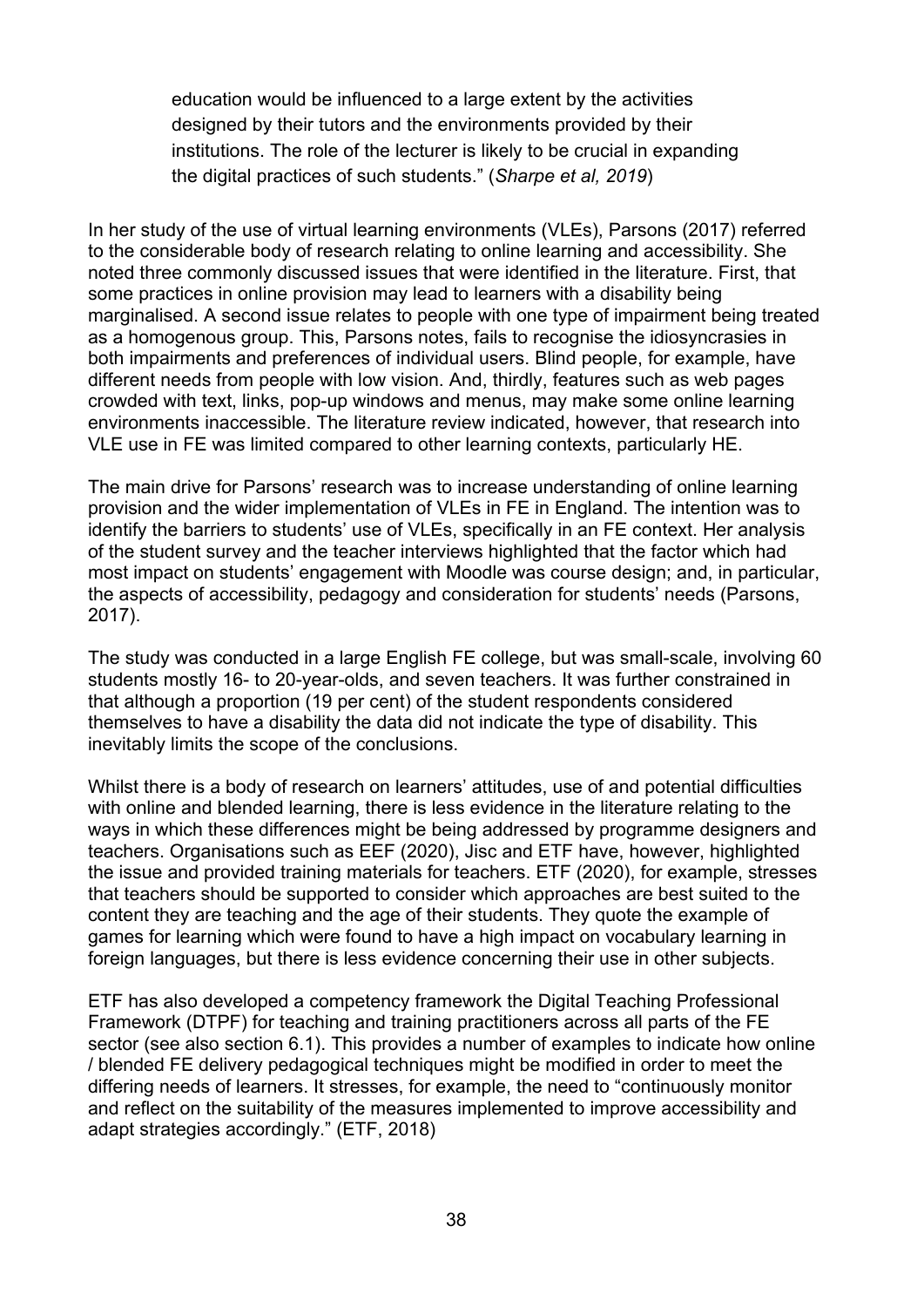education would be influenced to a large extent by the activities designed by their tutors and the environments provided by their institutions. The role of the lecturer is likely to be crucial in expanding the digital practices of such students." (*Sharpe et al, 2019*)

In her study of the use of virtual learning environments (VLEs), Parsons (2017) referred to the considerable body of research relating to online learning and accessibility. She noted three commonly discussed issues that were identified in the literature. First, that some practices in online provision may lead to learners with a disability being marginalised. A second issue relates to people with one type of impairment being treated as a homogenous group. This, Parsons notes, fails to recognise the idiosyncrasies in both impairments and preferences of individual users. Blind people, for example, have different needs from people with low vision. And, thirdly, features such as web pages crowded with text, links, pop-up windows and menus, may make some online learning environments inaccessible. The literature review indicated, however, that research into VLE use in FE was limited compared to other learning contexts, particularly HE.

The main drive for Parsons' research was to increase understanding of online learning provision and the wider implementation of VLEs in FE in England. The intention was to identify the barriers to students' use of VLEs, specifically in an FE context. Her analysis of the student survey and the teacher interviews highlighted that the factor which had most impact on students' engagement with Moodle was course design; and, in particular, the aspects of accessibility, pedagogy and consideration for students' needs (Parsons, 2017).

The study was conducted in a large English FE college, but was small-scale, involving 60 students mostly 16- to 20-year-olds, and seven teachers. It was further constrained in that although a proportion (19 per cent) of the student respondents considered themselves to have a disability the data did not indicate the type of disability. This inevitably limits the scope of the conclusions.

Whilst there is a body of research on learners' attitudes, use of and potential difficulties with online and blended learning, there is less evidence in the literature relating to the ways in which these differences might be being addressed by programme designers and teachers. Organisations such as EEF (2020), Jisc and ETF have, however, highlighted the issue and provided training materials for teachers. ETF (2020), for example, stresses that teachers should be supported to consider which approaches are best suited to the content they are teaching and the age of their students. They quote the example of games for learning which were found to have a high impact on vocabulary learning in foreign languages, but there is less evidence concerning their use in other subjects.

ETF has also developed a competency framework the Digital Teaching Professional Framework (DTPF) for teaching and training practitioners across all parts of the FE sector (see also section 6.1). This provides a number of examples to indicate how online / blended FE delivery pedagogical techniques might be modified in order to meet the differing needs of learners. It stresses, for example, the need to "continuously monitor and reflect on the suitability of the measures implemented to improve accessibility and adapt strategies accordingly." (ETF, 2018)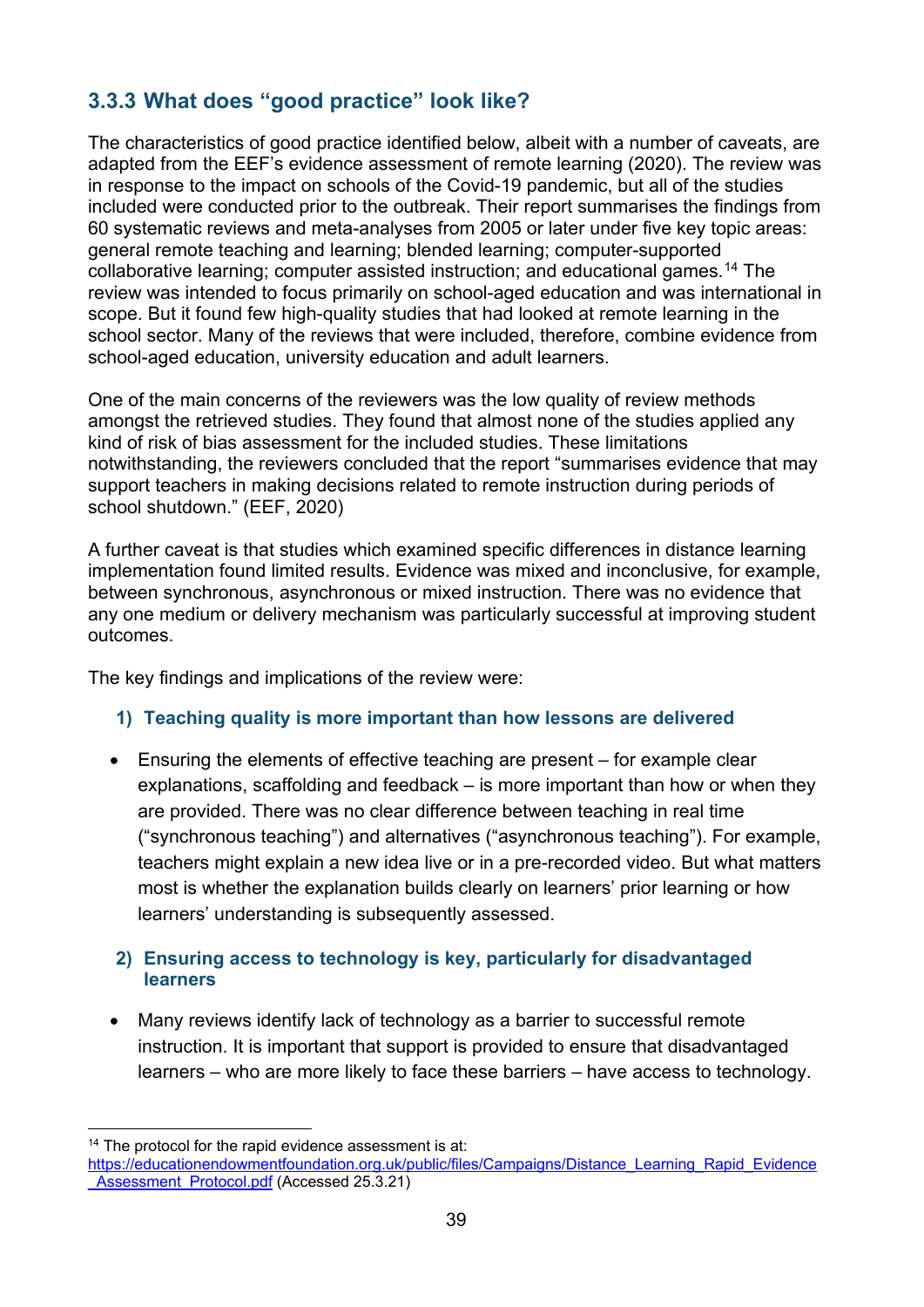### <span id="page-38-0"></span>**3.3.3 What does "good practice" look like?**

The characteristics of good practice identified below, albeit with a number of caveats, are adapted from the EEF's evidence assessment of remote learning (2020). The review was in response to the impact on schools of the Covid-19 pandemic, but all of the studies included were conducted prior to the outbreak. Their report summarises the findings from 60 systematic reviews and meta-analyses from 2005 or later under five key topic areas: general remote teaching and learning; blended learning; computer-supported collaborative learning; computer assisted instruction; and educational games. [14](#page-38-1) The review was intended to focus primarily on school-aged education and was international in scope. But it found few high-quality studies that had looked at remote learning in the school sector. Many of the reviews that were included, therefore, combine evidence from school-aged education, university education and adult learners.

One of the main concerns of the reviewers was the low quality of review methods amongst the retrieved studies. They found that almost none of the studies applied any kind of risk of bias assessment for the included studies. These limitations notwithstanding, the reviewers concluded that the report "summarises evidence that may support teachers in making decisions related to remote instruction during periods of school shutdown." (EEF, 2020)

A further caveat is that studies which examined specific differences in distance learning implementation found limited results. Evidence was mixed and inconclusive, for example, between synchronous, asynchronous or mixed instruction. There was no evidence that any one medium or delivery mechanism was particularly successful at improving student outcomes.

The key findings and implications of the review were:

#### **1) Teaching quality is more important than how lessons are delivered**

• Ensuring the elements of effective teaching are present – for example clear explanations, scaffolding and feedback – is more important than how or when they are provided. There was no clear difference between teaching in real time ("synchronous teaching") and alternatives ("asynchronous teaching"). For example, teachers might explain a new idea live or in a pre-recorded video. But what matters most is whether the explanation builds clearly on learners' prior learning or how learners' understanding is subsequently assessed.

#### **2) Ensuring access to technology is key, particularly for disadvantaged learners**

• Many reviews identify lack of technology as a barrier to successful remote instruction. It is important that support is provided to ensure that disadvantaged learners – who are more likely to face these barriers – have access to technology.

<span id="page-38-1"></span><sup>&</sup>lt;sup>14</sup> The protocol for the rapid evidence assessment is at:

[https://educationendowmentfoundation.org.uk/public/files/Campaigns/Distance\\_Learning\\_Rapid\\_Evidence](https://educationendowmentfoundation.org.uk/public/files/Campaigns/Distance_Learning_Rapid_Evidence_Assessment_Protocol.pdf) Assessment\_Protocol.pdf (Accessed 25.3.21)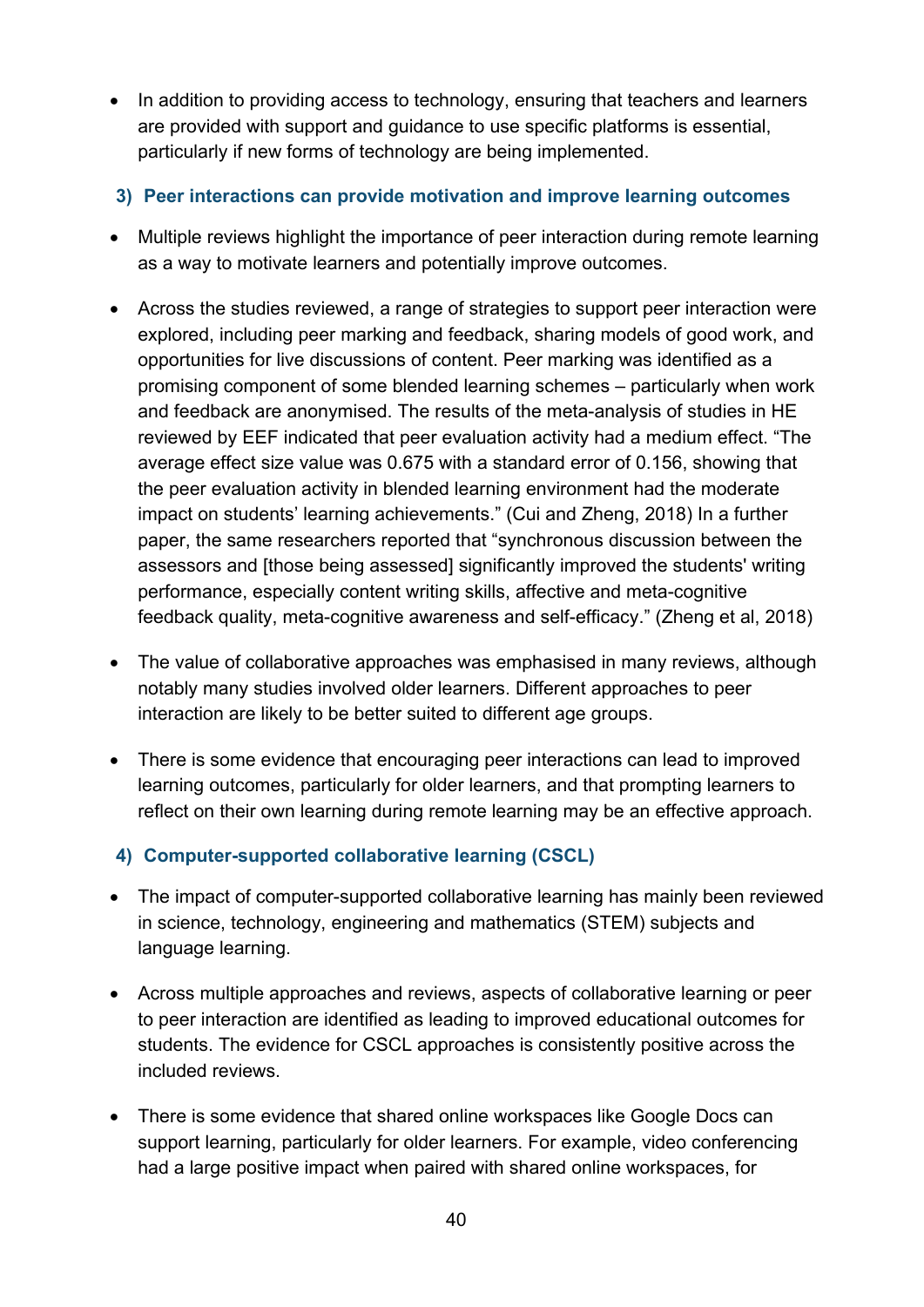- In addition to providing access to technology, ensuring that teachers and learners are provided with support and guidance to use specific platforms is essential, particularly if new forms of technology are being implemented.
- **3) Peer interactions can provide motivation and improve learning outcomes**
- Multiple reviews highlight the importance of peer interaction during remote learning as a way to motivate learners and potentially improve outcomes.
- Across the studies reviewed, a range of strategies to support peer interaction were explored, including peer marking and feedback, sharing models of good work, and opportunities for live discussions of content. Peer marking was identified as a promising component of some blended learning schemes – particularly when work and feedback are anonymised. The results of the meta-analysis of studies in HE reviewed by EEF indicated that peer evaluation activity had a medium effect. "The average effect size value was 0.675 with a standard error of 0.156, showing that the peer evaluation activity in blended learning environment had the moderate impact on students' learning achievements." (Cui and Zheng, 2018) In a further paper, the same researchers reported that "synchronous discussion between the assessors and [those being assessed] significantly improved the students' writing performance, especially content writing skills, affective and meta-cognitive feedback quality, meta-cognitive awareness and self-efficacy." (Zheng et al, 2018)
- The value of collaborative approaches was emphasised in many reviews, although notably many studies involved older learners. Different approaches to peer interaction are likely to be better suited to different age groups.
- There is some evidence that encouraging peer interactions can lead to improved learning outcomes, particularly for older learners, and that prompting learners to reflect on their own learning during remote learning may be an effective approach.

#### **4) Computer-supported collaborative learning (CSCL)**

- The impact of computer-supported collaborative learning has mainly been reviewed in science, technology, engineering and mathematics (STEM) subjects and language learning.
- Across multiple approaches and reviews, aspects of collaborative learning or peer to peer interaction are identified as leading to improved educational outcomes for students. The evidence for CSCL approaches is consistently positive across the included reviews.
- There is some evidence that shared online workspaces like Google Docs can support learning, particularly for older learners. For example, video conferencing had a large positive impact when paired with shared online workspaces, for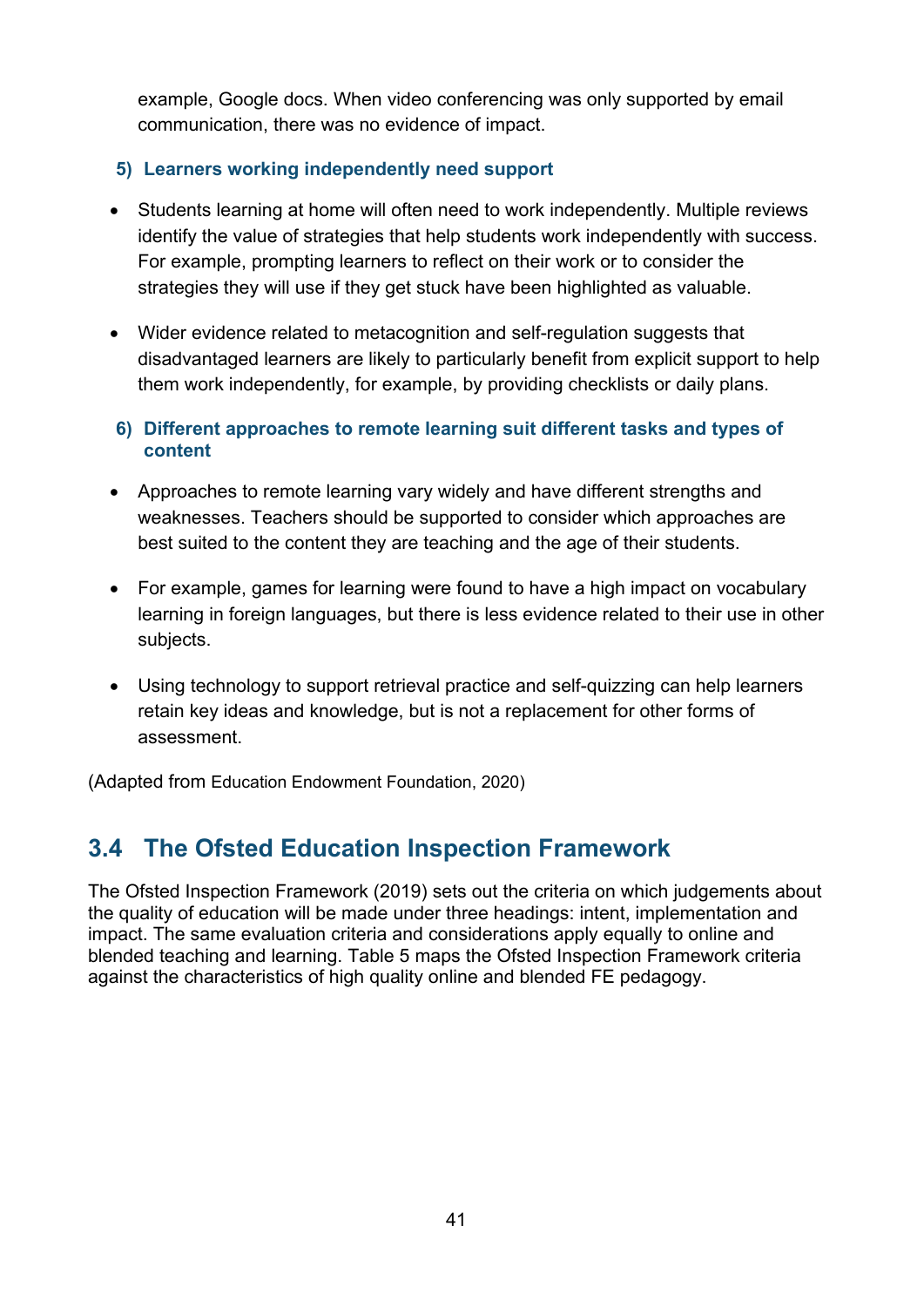example, Google docs. When video conferencing was only supported by email communication, there was no evidence of impact.

#### **5) Learners working independently need support**

- Students learning at home will often need to work independently. Multiple reviews identify the value of strategies that help students work independently with success. For example, prompting learners to reflect on their work or to consider the strategies they will use if they get stuck have been highlighted as valuable.
- Wider evidence related to metacognition and self-regulation suggests that disadvantaged learners are likely to particularly benefit from explicit support to help them work independently, for example, by providing checklists or daily plans.

#### **6) Different approaches to remote learning suit different tasks and types of content**

- Approaches to remote learning vary widely and have different strengths and weaknesses. Teachers should be supported to consider which approaches are best suited to the content they are teaching and the age of their students.
- For example, games for learning were found to have a high impact on vocabulary learning in foreign languages, but there is less evidence related to their use in other subjects.
- Using technology to support retrieval practice and self-quizzing can help learners retain key ideas and knowledge, but is not a replacement for other forms of assessment.

(Adapted from Education Endowment Foundation, 2020)

# <span id="page-40-0"></span>**3.4 The Ofsted Education Inspection Framework**

The Ofsted Inspection Framework (2019) sets out the criteria on which judgements about the quality of education will be made under three headings: intent, implementation and impact. The same evaluation criteria and considerations apply equally to online and blended teaching and learning. Table 5 maps the Ofsted Inspection Framework criteria against the characteristics of high quality online and blended FE pedagogy.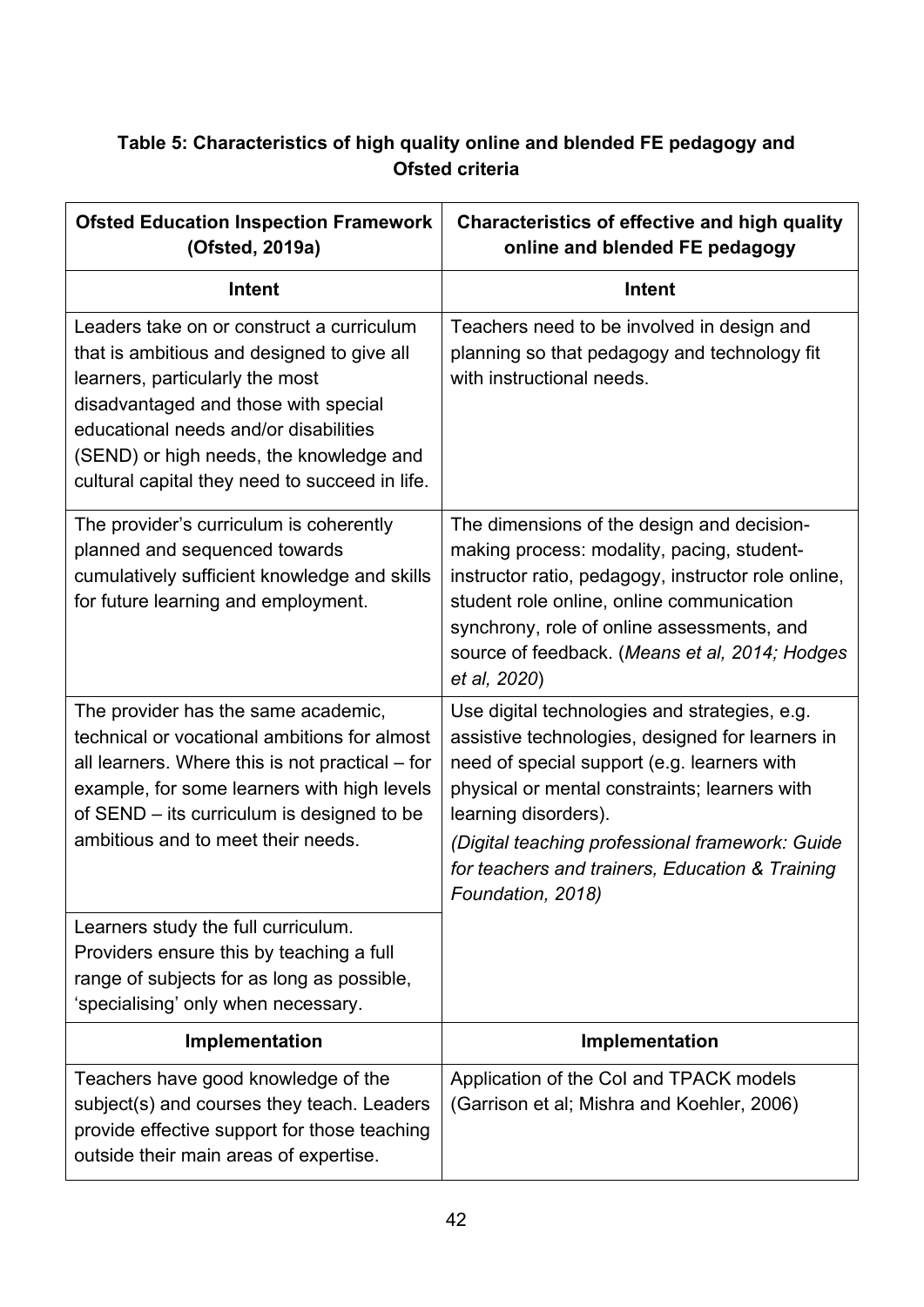### <span id="page-41-0"></span>**Table 5: Characteristics of high quality online and blended FE pedagogy and Ofsted criteria**

| <b>Ofsted Education Inspection Framework</b><br>(Ofsted, 2019a)                                                                                                                                                                                                                                          | <b>Characteristics of effective and high quality</b><br>online and blended FE pedagogy                                                                                                                                                                                                                                                               |
|----------------------------------------------------------------------------------------------------------------------------------------------------------------------------------------------------------------------------------------------------------------------------------------------------------|------------------------------------------------------------------------------------------------------------------------------------------------------------------------------------------------------------------------------------------------------------------------------------------------------------------------------------------------------|
| Intent                                                                                                                                                                                                                                                                                                   | <b>Intent</b>                                                                                                                                                                                                                                                                                                                                        |
| Leaders take on or construct a curriculum<br>that is ambitious and designed to give all<br>learners, particularly the most<br>disadvantaged and those with special<br>educational needs and/or disabilities<br>(SEND) or high needs, the knowledge and<br>cultural capital they need to succeed in life. | Teachers need to be involved in design and<br>planning so that pedagogy and technology fit<br>with instructional needs.                                                                                                                                                                                                                              |
| The provider's curriculum is coherently<br>planned and sequenced towards<br>cumulatively sufficient knowledge and skills<br>for future learning and employment.                                                                                                                                          | The dimensions of the design and decision-<br>making process: modality, pacing, student-<br>instructor ratio, pedagogy, instructor role online,<br>student role online, online communication<br>synchrony, role of online assessments, and<br>source of feedback. (Means et al, 2014; Hodges<br>et al, 2020)                                         |
| The provider has the same academic,<br>technical or vocational ambitions for almost<br>all learners. Where this is not practical – for<br>example, for some learners with high levels<br>of SEND – its curriculum is designed to be<br>ambitious and to meet their needs.                                | Use digital technologies and strategies, e.g.<br>assistive technologies, designed for learners in<br>need of special support (e.g. learners with<br>physical or mental constraints; learners with<br>learning disorders).<br>(Digital teaching professional framework: Guide<br>for teachers and trainers, Education & Training<br>Foundation, 2018) |
| Learners study the full curriculum.<br>Providers ensure this by teaching a full<br>range of subjects for as long as possible,<br>'specialising' only when necessary.                                                                                                                                     |                                                                                                                                                                                                                                                                                                                                                      |
| Implementation                                                                                                                                                                                                                                                                                           | Implementation                                                                                                                                                                                                                                                                                                                                       |
| Teachers have good knowledge of the<br>subject(s) and courses they teach. Leaders<br>provide effective support for those teaching<br>outside their main areas of expertise.                                                                                                                              | Application of the Col and TPACK models<br>(Garrison et al; Mishra and Koehler, 2006)                                                                                                                                                                                                                                                                |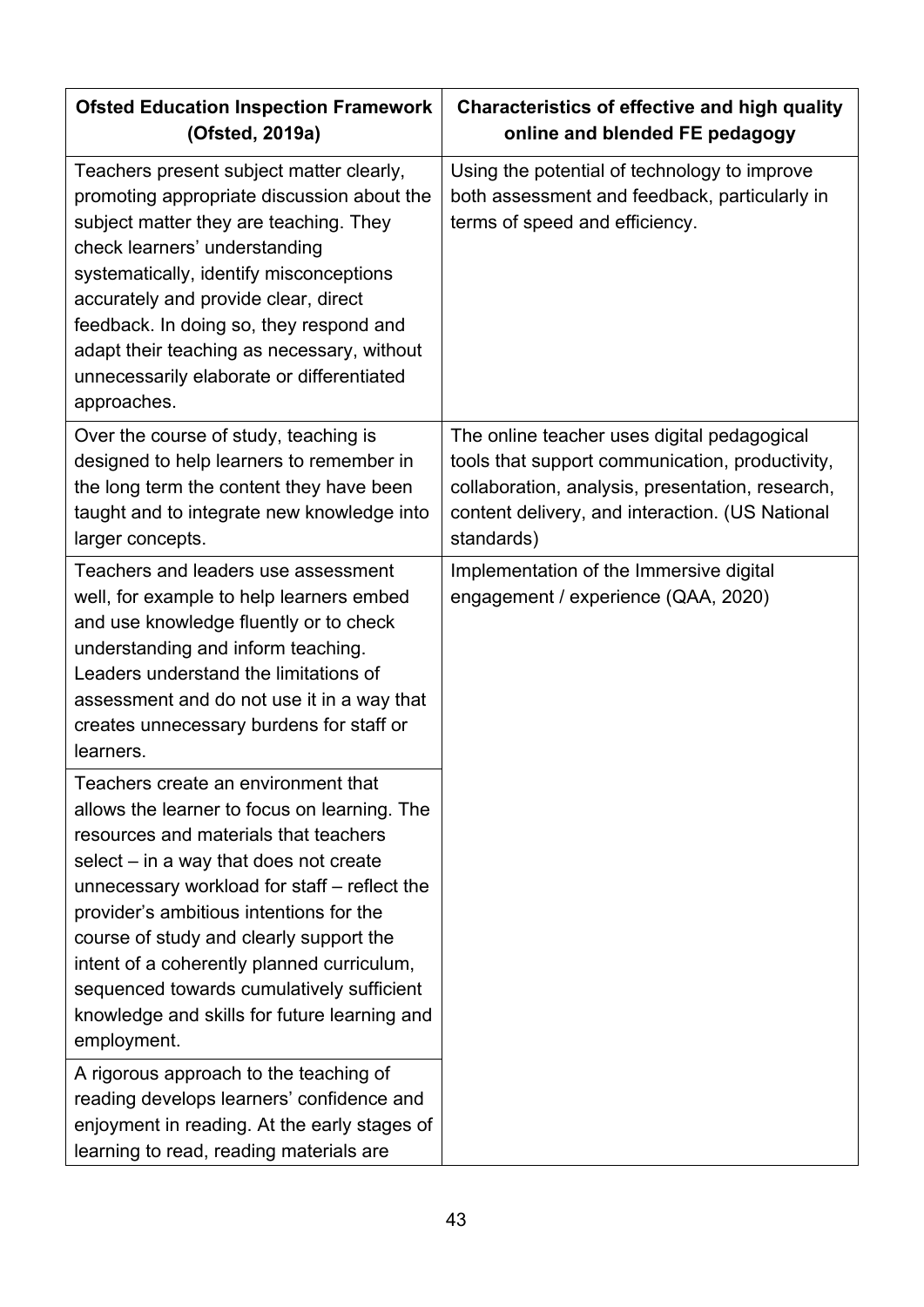| <b>Ofsted Education Inspection Framework</b><br>(Ofsted, 2019a)                                                                                                                                                                                                                                                                                                                                                                                                          | Characteristics of effective and high quality<br>online and blended FE pedagogy                                                                                                                                     |
|--------------------------------------------------------------------------------------------------------------------------------------------------------------------------------------------------------------------------------------------------------------------------------------------------------------------------------------------------------------------------------------------------------------------------------------------------------------------------|---------------------------------------------------------------------------------------------------------------------------------------------------------------------------------------------------------------------|
| Teachers present subject matter clearly,<br>promoting appropriate discussion about the<br>subject matter they are teaching. They<br>check learners' understanding<br>systematically, identify misconceptions<br>accurately and provide clear, direct<br>feedback. In doing so, they respond and<br>adapt their teaching as necessary, without<br>unnecessarily elaborate or differentiated<br>approaches.                                                                | Using the potential of technology to improve<br>both assessment and feedback, particularly in<br>terms of speed and efficiency.                                                                                     |
| Over the course of study, teaching is<br>designed to help learners to remember in<br>the long term the content they have been<br>taught and to integrate new knowledge into<br>larger concepts.                                                                                                                                                                                                                                                                          | The online teacher uses digital pedagogical<br>tools that support communication, productivity,<br>collaboration, analysis, presentation, research,<br>content delivery, and interaction. (US National<br>standards) |
| Teachers and leaders use assessment<br>well, for example to help learners embed<br>and use knowledge fluently or to check<br>understanding and inform teaching.<br>Leaders understand the limitations of<br>assessment and do not use it in a way that<br>creates unnecessary burdens for staff or<br>learners.                                                                                                                                                          | Implementation of the Immersive digital<br>engagement / experience (QAA, 2020)                                                                                                                                      |
| Teachers create an environment that<br>allows the learner to focus on learning. The<br>resources and materials that teachers<br>$select - in a way that does not create$<br>unnecessary workload for staff - reflect the<br>provider's ambitious intentions for the<br>course of study and clearly support the<br>intent of a coherently planned curriculum,<br>sequenced towards cumulatively sufficient<br>knowledge and skills for future learning and<br>employment. |                                                                                                                                                                                                                     |
| A rigorous approach to the teaching of<br>reading develops learners' confidence and<br>enjoyment in reading. At the early stages of<br>learning to read, reading materials are                                                                                                                                                                                                                                                                                           |                                                                                                                                                                                                                     |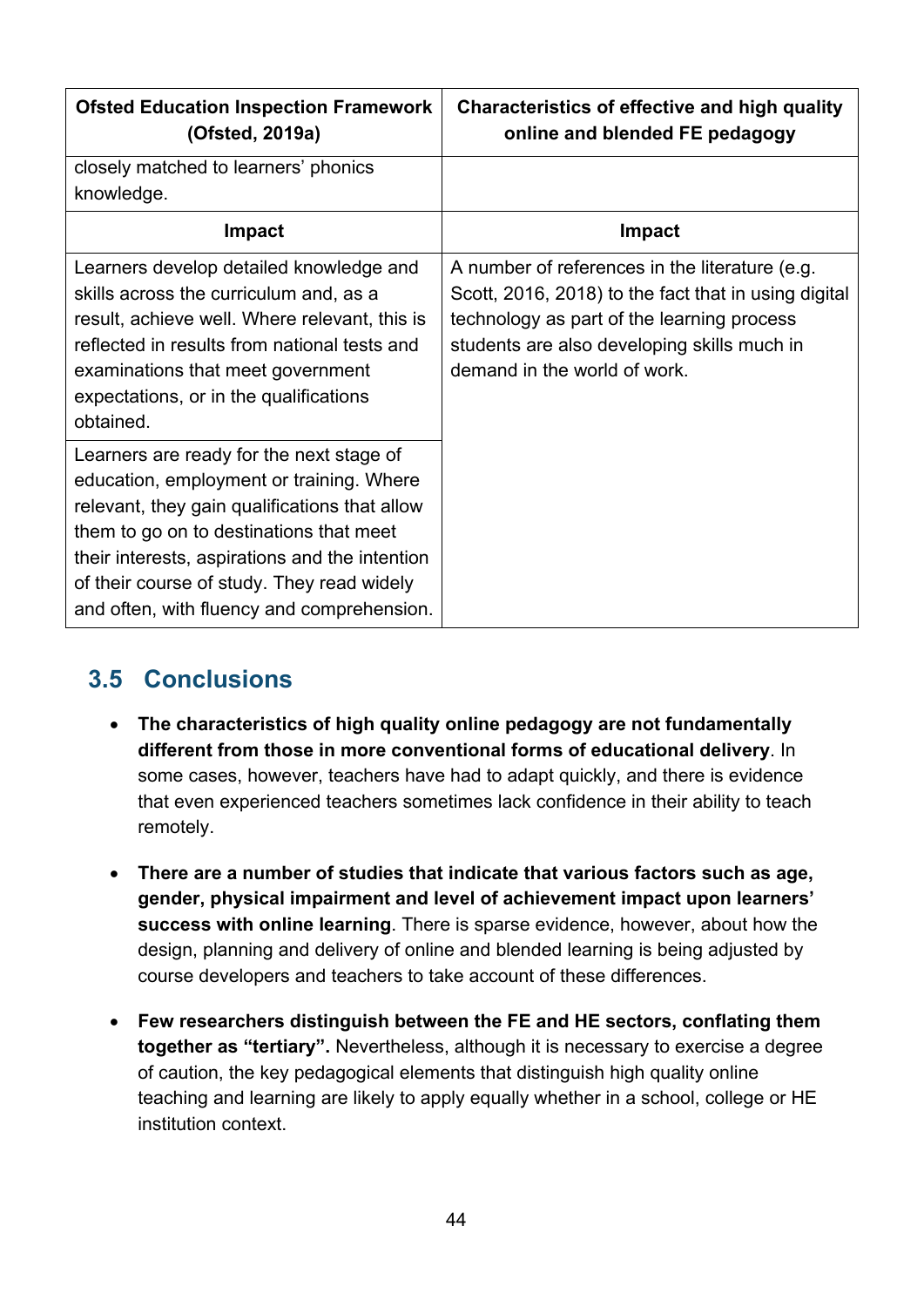| <b>Ofsted Education Inspection Framework</b><br>(Ofsted, 2019a)                                                                                                                                                                                                                                                                | Characteristics of effective and high quality<br>online and blended FE pedagogy                                                                                                                                                     |
|--------------------------------------------------------------------------------------------------------------------------------------------------------------------------------------------------------------------------------------------------------------------------------------------------------------------------------|-------------------------------------------------------------------------------------------------------------------------------------------------------------------------------------------------------------------------------------|
| closely matched to learners' phonics                                                                                                                                                                                                                                                                                           |                                                                                                                                                                                                                                     |
| knowledge.                                                                                                                                                                                                                                                                                                                     |                                                                                                                                                                                                                                     |
| <b>Impact</b>                                                                                                                                                                                                                                                                                                                  | <b>Impact</b>                                                                                                                                                                                                                       |
| Learners develop detailed knowledge and<br>skills across the curriculum and, as a<br>result, achieve well. Where relevant, this is<br>reflected in results from national tests and<br>examinations that meet government<br>expectations, or in the qualifications<br>obtained.                                                 | A number of references in the literature (e.g.<br>Scott, 2016, 2018) to the fact that in using digital<br>technology as part of the learning process<br>students are also developing skills much in<br>demand in the world of work. |
| Learners are ready for the next stage of<br>education, employment or training. Where<br>relevant, they gain qualifications that allow<br>them to go on to destinations that meet<br>their interests, aspirations and the intention<br>of their course of study. They read widely<br>and often, with fluency and comprehension. |                                                                                                                                                                                                                                     |

## <span id="page-43-0"></span>**3.5 Conclusions**

- **The characteristics of high quality online pedagogy are not fundamentally different from those in more conventional forms of educational delivery**. In some cases, however, teachers have had to adapt quickly, and there is evidence that even experienced teachers sometimes lack confidence in their ability to teach remotely.
- **There are a number of studies that indicate that various factors such as age, gender, physical impairment and level of achievement impact upon learners' success with online learning**. There is sparse evidence, however, about how the design, planning and delivery of online and blended learning is being adjusted by course developers and teachers to take account of these differences.
- **Few researchers distinguish between the FE and HE sectors, conflating them together as "tertiary".** Nevertheless, although it is necessary to exercise a degree of caution, the key pedagogical elements that distinguish high quality online teaching and learning are likely to apply equally whether in a school, college or HE institution context.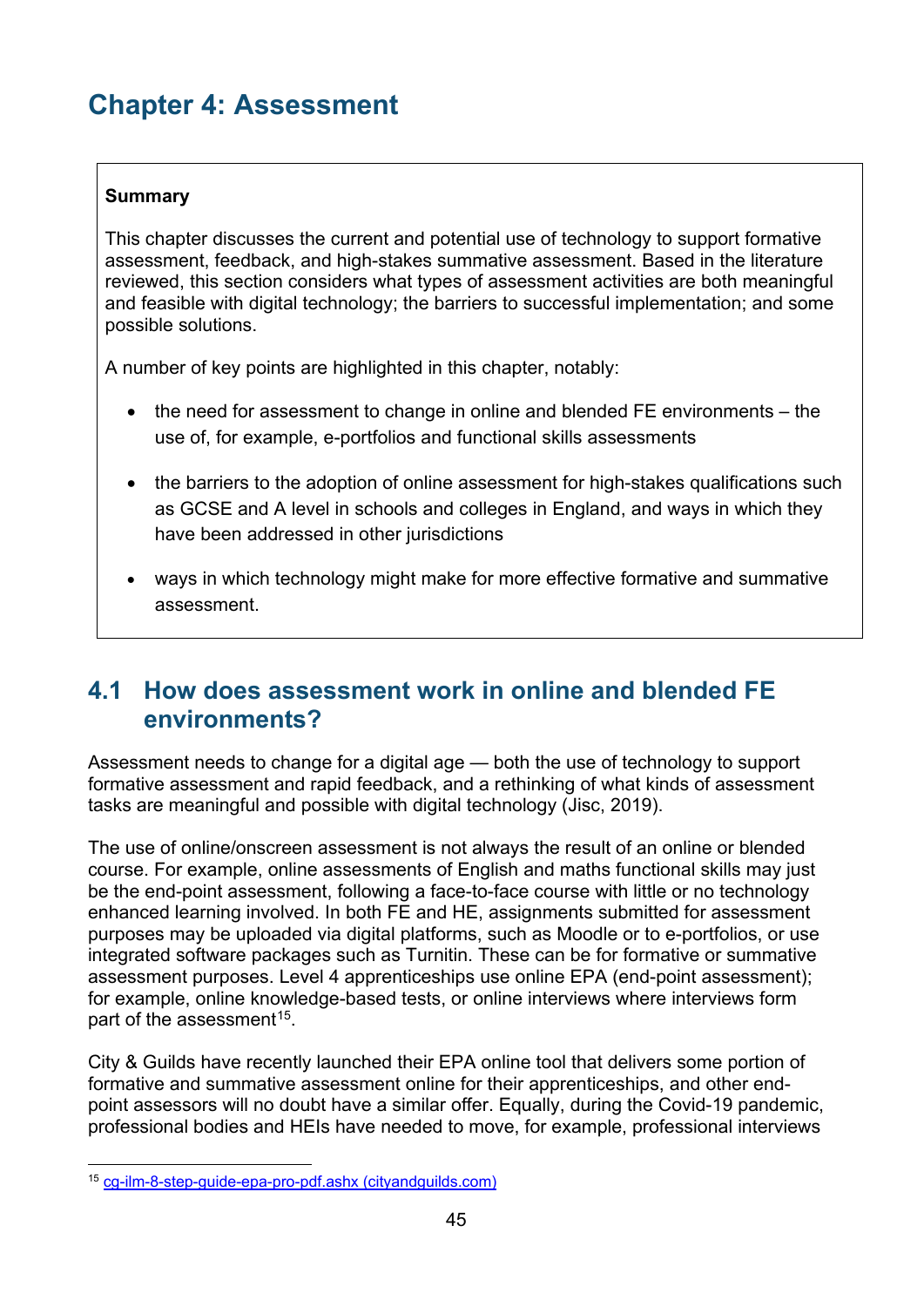# <span id="page-44-0"></span>**Chapter 4: Assessment**

#### **Summary**

This chapter discusses the current and potential use of technology to support formative assessment, feedback, and high-stakes summative assessment. Based in the literature reviewed, this section considers what types of assessment activities are both meaningful and feasible with digital technology; the barriers to successful implementation; and some possible solutions.

A number of key points are highlighted in this chapter, notably:

- the need for assessment to change in online and blended FE environments the use of, for example, e-portfolios and functional skills assessments
- the barriers to the adoption of online assessment for high-stakes qualifications such as GCSE and A level in schools and colleges in England, and ways in which they have been addressed in other jurisdictions
- ways in which technology might make for more effective formative and summative assessment.

### <span id="page-44-1"></span>**4.1 How does assessment work in online and blended FE environments?**

Assessment needs to change for a digital age — both the use of technology to support formative assessment and rapid feedback, and a rethinking of what kinds of assessment tasks are meaningful and possible with digital technology (Jisc, 2019).

The use of online/onscreen assessment is not always the result of an online or blended course. For example, online assessments of English and maths functional skills may just be the end-point assessment, following a face-to-face course with little or no technology enhanced learning involved. In both FE and HE, assignments submitted for assessment purposes may be uploaded via digital platforms, such as Moodle or to e-portfolios, or use integrated software packages such as Turnitin. These can be for formative or summative assessment purposes. Level 4 apprenticeships use online EPA (end-point assessment); for example, online knowledge-based tests, or online interviews where interviews form part of the assessment<sup>[15](#page-44-2)</sup>.

City & Guilds have recently launched their EPA online tool that delivers some portion of formative and summative assessment online for their apprenticeships, and other endpoint assessors will no doubt have a similar offer. Equally, during the Covid-19 pandemic, professional bodies and HEIs have needed to move, for example, professional interviews

<span id="page-44-2"></span><sup>15</sup> [cg-ilm-8-step-guide-epa-pro-pdf.ashx \(cityandguilds.com\)](https://www.cityandguilds.com/-/media/cityandguilds-site/documents/apprenticeships/cg-ilm-8-step-guide-epa-pro-pdf.ashx?la=en&hash=BE98C4E8AFC3113C8D590994594465B588D2E7C3)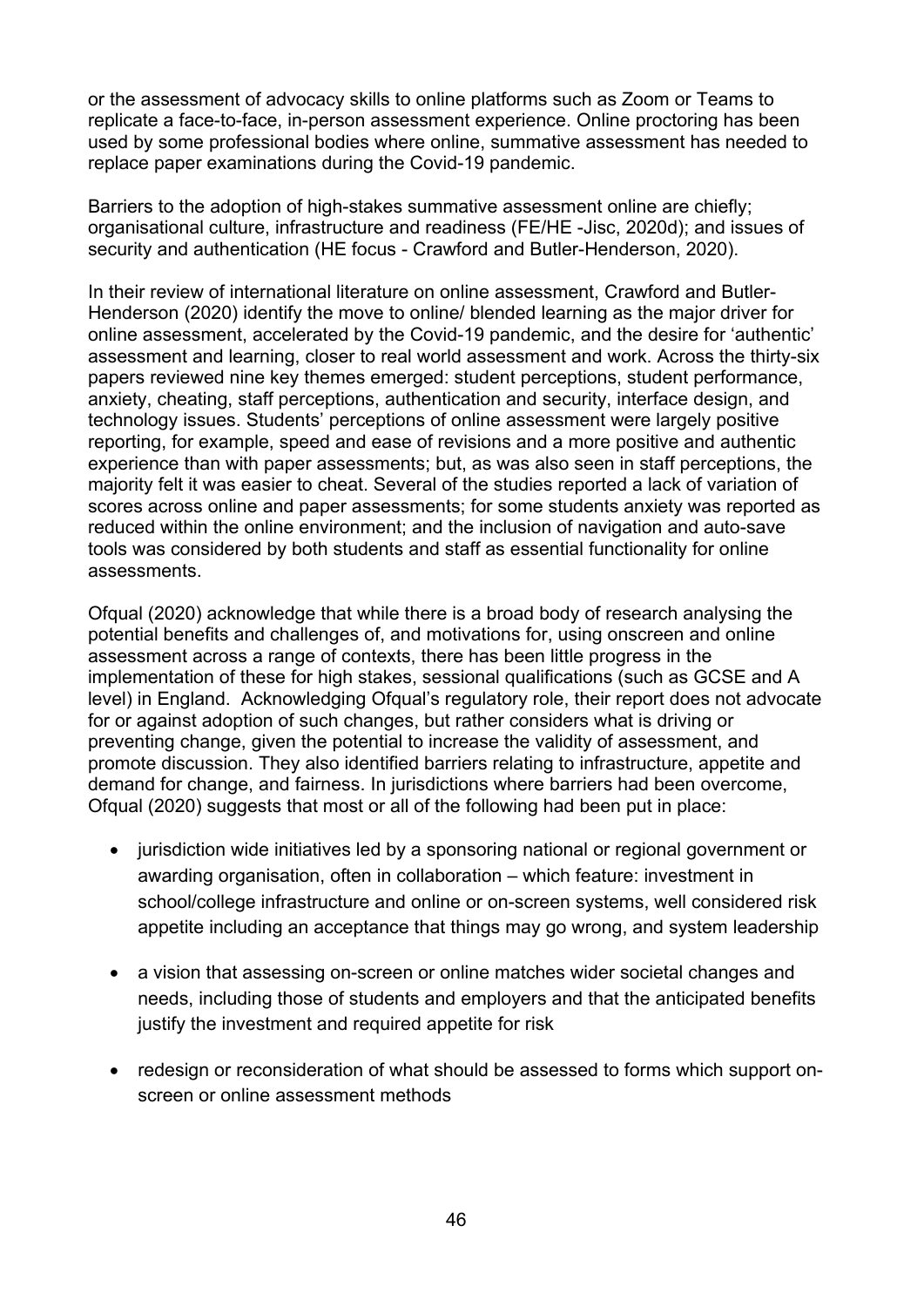or the assessment of advocacy skills to online platforms such as Zoom or Teams to replicate a face-to-face, in-person assessment experience. Online proctoring has been used by some professional bodies where online, summative assessment has needed to replace paper examinations during the Covid-19 pandemic.

Barriers to the adoption of high-stakes summative assessment online are chiefly; organisational culture, infrastructure and readiness (FE/HE -Jisc, 2020d); and issues of security and authentication (HE focus - Crawford and Butler-Henderson, 2020).

In their review of international literature on online assessment, Crawford and Butler-Henderson (2020) identify the move to online/ blended learning as the major driver for online assessment, accelerated by the Covid-19 pandemic, and the desire for 'authentic' assessment and learning, closer to real world assessment and work. Across the thirty-six papers reviewed nine key themes emerged: student perceptions, student performance, anxiety, cheating, staff perceptions, authentication and security, interface design, and technology issues. Students' perceptions of online assessment were largely positive reporting, for example, speed and ease of revisions and a more positive and authentic experience than with paper assessments; but, as was also seen in staff perceptions, the majority felt it was easier to cheat. Several of the studies reported a lack of variation of scores across online and paper assessments; for some students anxiety was reported as reduced within the online environment; and the inclusion of navigation and auto-save tools was considered by both students and staff as essential functionality for online assessments.

Ofqual (2020) acknowledge that while there is a broad body of research analysing the potential benefits and challenges of, and motivations for, using onscreen and online assessment across a range of contexts, there has been little progress in the implementation of these for high stakes, sessional qualifications (such as GCSE and A level) in England. Acknowledging Ofqual's regulatory role, their report does not advocate for or against adoption of such changes, but rather considers what is driving or preventing change, given the potential to increase the validity of assessment, and promote discussion. They also identified barriers relating to infrastructure, appetite and demand for change, and fairness. In jurisdictions where barriers had been overcome, Ofqual (2020) suggests that most or all of the following had been put in place:

- jurisdiction wide initiatives led by a sponsoring national or regional government or awarding organisation, often in collaboration – which feature: investment in school/college infrastructure and online or on-screen systems, well considered risk appetite including an acceptance that things may go wrong, and system leadership
- a vision that assessing on-screen or online matches wider societal changes and needs, including those of students and employers and that the anticipated benefits justify the investment and required appetite for risk
- redesign or reconsideration of what should be assessed to forms which support onscreen or online assessment methods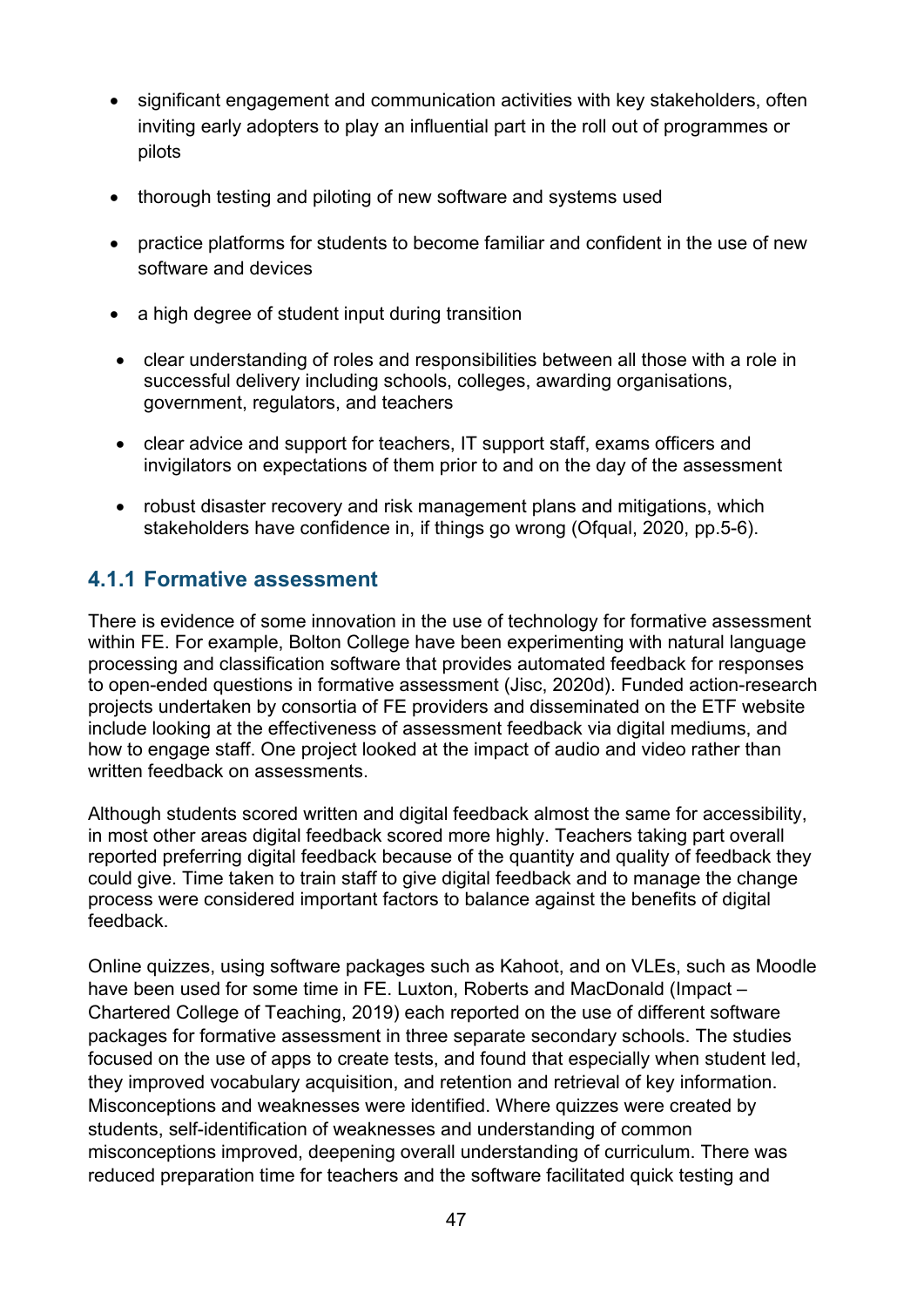- significant engagement and communication activities with key stakeholders, often inviting early adopters to play an influential part in the roll out of programmes or pilots
- thorough testing and piloting of new software and systems used
- practice platforms for students to become familiar and confident in the use of new software and devices
- a high degree of student input during transition
- clear understanding of roles and responsibilities between all those with a role in successful delivery including schools, colleges, awarding organisations, government, regulators, and teachers
- clear advice and support for teachers, IT support staff, exams officers and invigilators on expectations of them prior to and on the day of the assessment
- robust disaster recovery and risk management plans and mitigations, which stakeholders have confidence in, if things go wrong (Ofqual, 2020, pp.5-6).

### <span id="page-46-0"></span>**4.1.1 Formative assessment**

There is evidence of some innovation in the use of technology for formative assessment within FE. For example, Bolton College have been experimenting with natural language processing and classification software that provides automated feedback for responses to open-ended questions in formative assessment (Jisc, 2020d). Funded action-research projects undertaken by consortia of FE providers and disseminated on the ETF website include looking at the effectiveness of assessment feedback via digital mediums, and how to engage staff. One project looked at the impact of audio and video rather than written feedback on assessments.

Although students scored written and digital feedback almost the same for accessibility, in most other areas digital feedback scored more highly. Teachers taking part overall reported preferring digital feedback because of the quantity and quality of feedback they could give. Time taken to train staff to give digital feedback and to manage the change process were considered important factors to balance against the benefits of digital feedback.

Online quizzes, using software packages such as Kahoot, and on VLEs, such as Moodle have been used for some time in FE. Luxton, Roberts and MacDonald (Impact – Chartered College of Teaching, 2019) each reported on the use of different software packages for formative assessment in three separate secondary schools. The studies focused on the use of apps to create tests, and found that especially when student led, they improved vocabulary acquisition, and retention and retrieval of key information. Misconceptions and weaknesses were identified. Where quizzes were created by students, self-identification of weaknesses and understanding of common misconceptions improved, deepening overall understanding of curriculum. There was reduced preparation time for teachers and the software facilitated quick testing and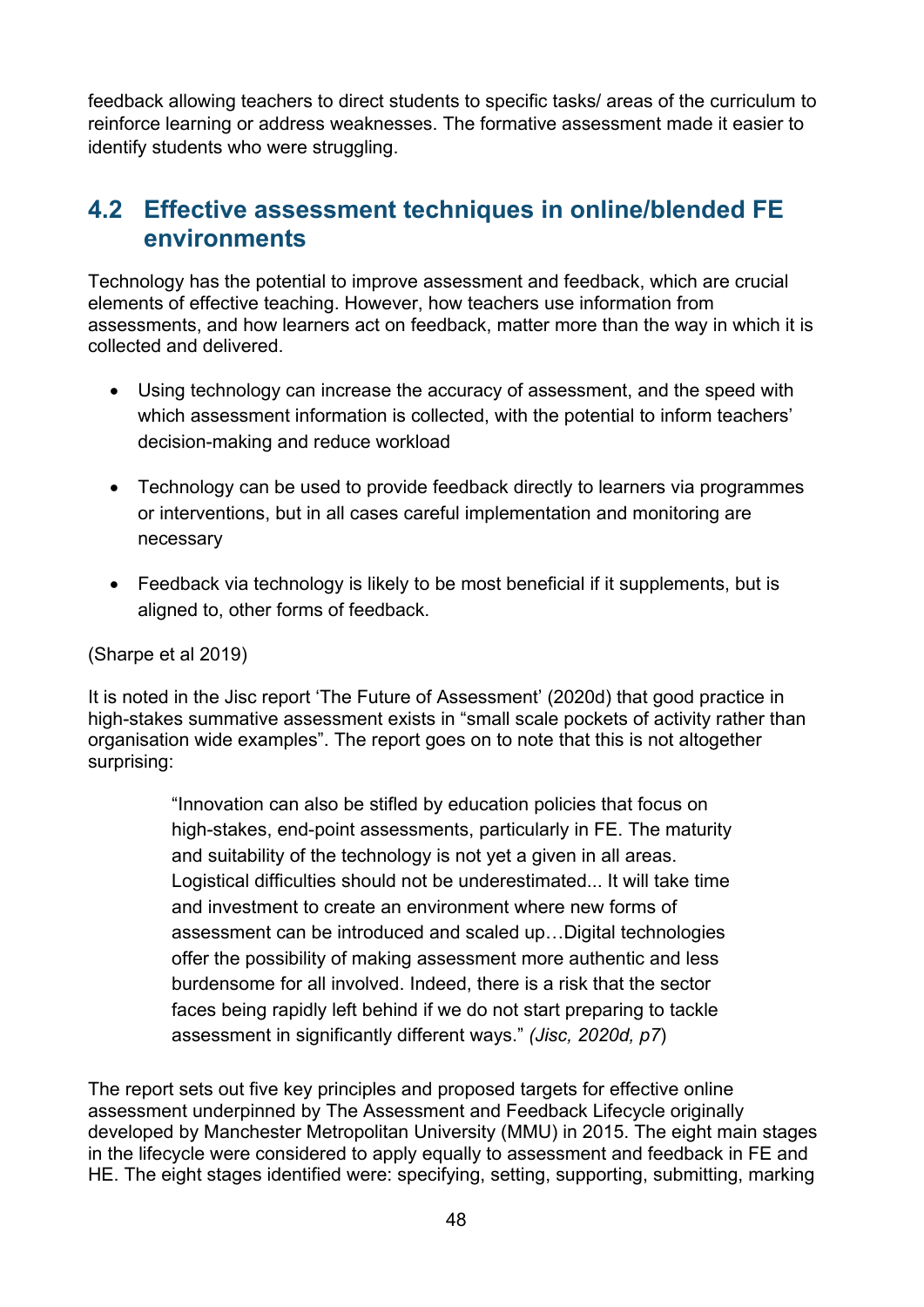feedback allowing teachers to direct students to specific tasks/ areas of the curriculum to reinforce learning or address weaknesses. The formative assessment made it easier to identify students who were struggling.

### <span id="page-47-0"></span>**4.2 Effective assessment techniques in online/blended FE environments**

Technology has the potential to improve assessment and feedback, which are crucial elements of effective teaching. However, how teachers use information from assessments, and how learners act on feedback, matter more than the way in which it is collected and delivered.

- Using technology can increase the accuracy of assessment, and the speed with which assessment information is collected, with the potential to inform teachers' decision-making and reduce workload
- Technology can be used to provide feedback directly to learners via programmes or interventions, but in all cases careful implementation and monitoring are necessary
- Feedback via technology is likely to be most beneficial if it supplements, but is aligned to, other forms of feedback.

(Sharpe et al 2019)

It is noted in the Jisc report 'The Future of Assessment' (2020d) that good practice in high-stakes summative assessment exists in "small scale pockets of activity rather than organisation wide examples". The report goes on to note that this is not altogether surprising:

> "Innovation can also be stifled by education policies that focus on high-stakes, end-point assessments, particularly in FE. The maturity and suitability of the technology is not yet a given in all areas. Logistical difficulties should not be underestimated... It will take time and investment to create an environment where new forms of assessment can be introduced and scaled up…Digital technologies offer the possibility of making assessment more authentic and less burdensome for all involved. Indeed, there is a risk that the sector faces being rapidly left behind if we do not start preparing to tackle assessment in significantly different ways." *(Jisc, 2020d, p7*)

The report sets out five key principles and proposed targets for effective online assessment underpinned by The Assessment and Feedback Lifecycle originally developed by Manchester Metropolitan University (MMU) in 2015. The eight main stages in the lifecycle were considered to apply equally to assessment and feedback in FE and HE. The eight stages identified were: specifying, setting, supporting, submitting, marking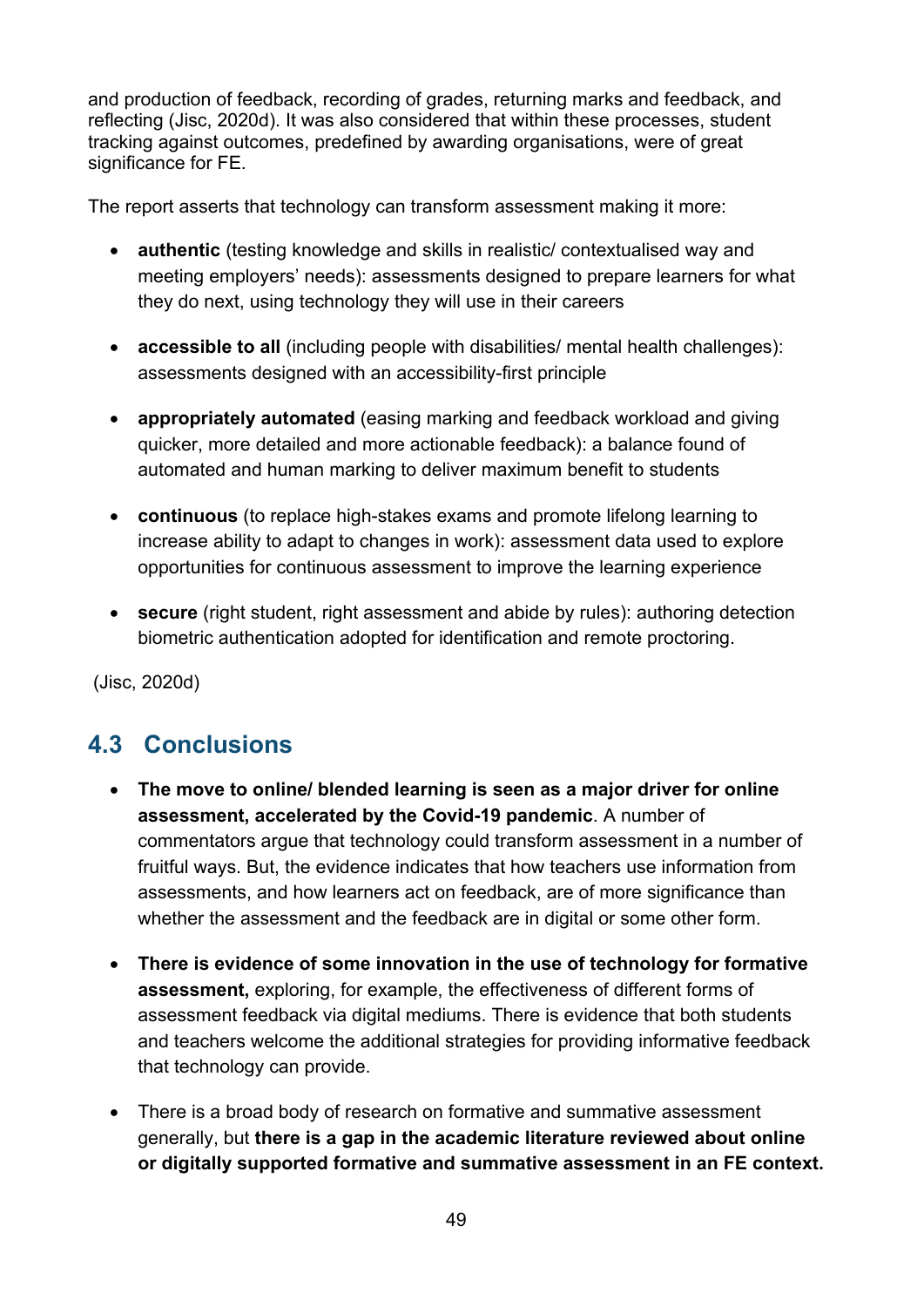and production of feedback, recording of grades, returning marks and feedback, and reflecting (Jisc, 2020d). It was also considered that within these processes, student tracking against outcomes, predefined by awarding organisations, were of great significance for FE.

The report asserts that technology can transform assessment making it more:

- **authentic** (testing knowledge and skills in realistic/ contextualised way and meeting employers' needs): assessments designed to prepare learners for what they do next, using technology they will use in their careers
- **accessible to all** (including people with disabilities/ mental health challenges): assessments designed with an accessibility-first principle
- **appropriately automated** (easing marking and feedback workload and giving quicker, more detailed and more actionable feedback): a balance found of automated and human marking to deliver maximum benefit to students
- **continuous** (to replace high-stakes exams and promote lifelong learning to increase ability to adapt to changes in work): assessment data used to explore opportunities for continuous assessment to improve the learning experience
- **secure** (right student, right assessment and abide by rules): authoring detection biometric authentication adopted for identification and remote proctoring.

<span id="page-48-0"></span>(Jisc, 2020d)

# **4.3 Conclusions**

- **The move to online/ blended learning is seen as a major driver for online assessment, accelerated by the Covid-19 pandemic**. A number of commentators argue that technology could transform assessment in a number of fruitful ways. But, the evidence indicates that how teachers use information from assessments, and how learners act on feedback, are of more significance than whether the assessment and the feedback are in digital or some other form.
- **There is evidence of some innovation in the use of technology for formative assessment,** exploring, for example, the effectiveness of different forms of assessment feedback via digital mediums. There is evidence that both students and teachers welcome the additional strategies for providing informative feedback that technology can provide.
- There is a broad body of research on formative and summative assessment generally, but **there is a gap in the academic literature reviewed about online or digitally supported formative and summative assessment in an FE context.**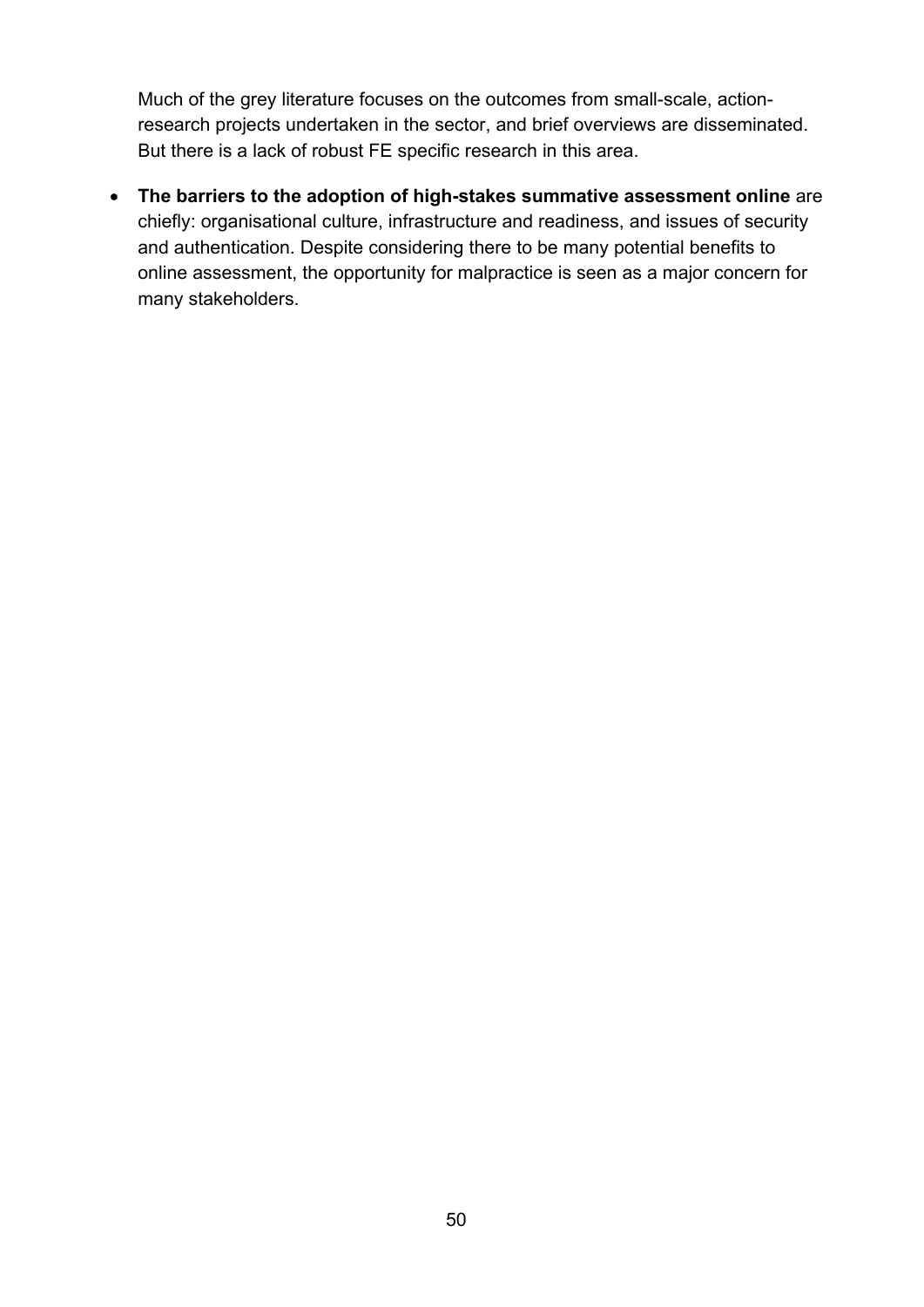Much of the grey literature focuses on the outcomes from small-scale, actionresearch projects undertaken in the sector, and brief overviews are disseminated. But there is a lack of robust FE specific research in this area.

• **The barriers to the adoption of high-stakes summative assessment online** are chiefly: organisational culture, infrastructure and readiness, and issues of security and authentication. Despite considering there to be many potential benefits to online assessment, the opportunity for malpractice is seen as a major concern for many stakeholders.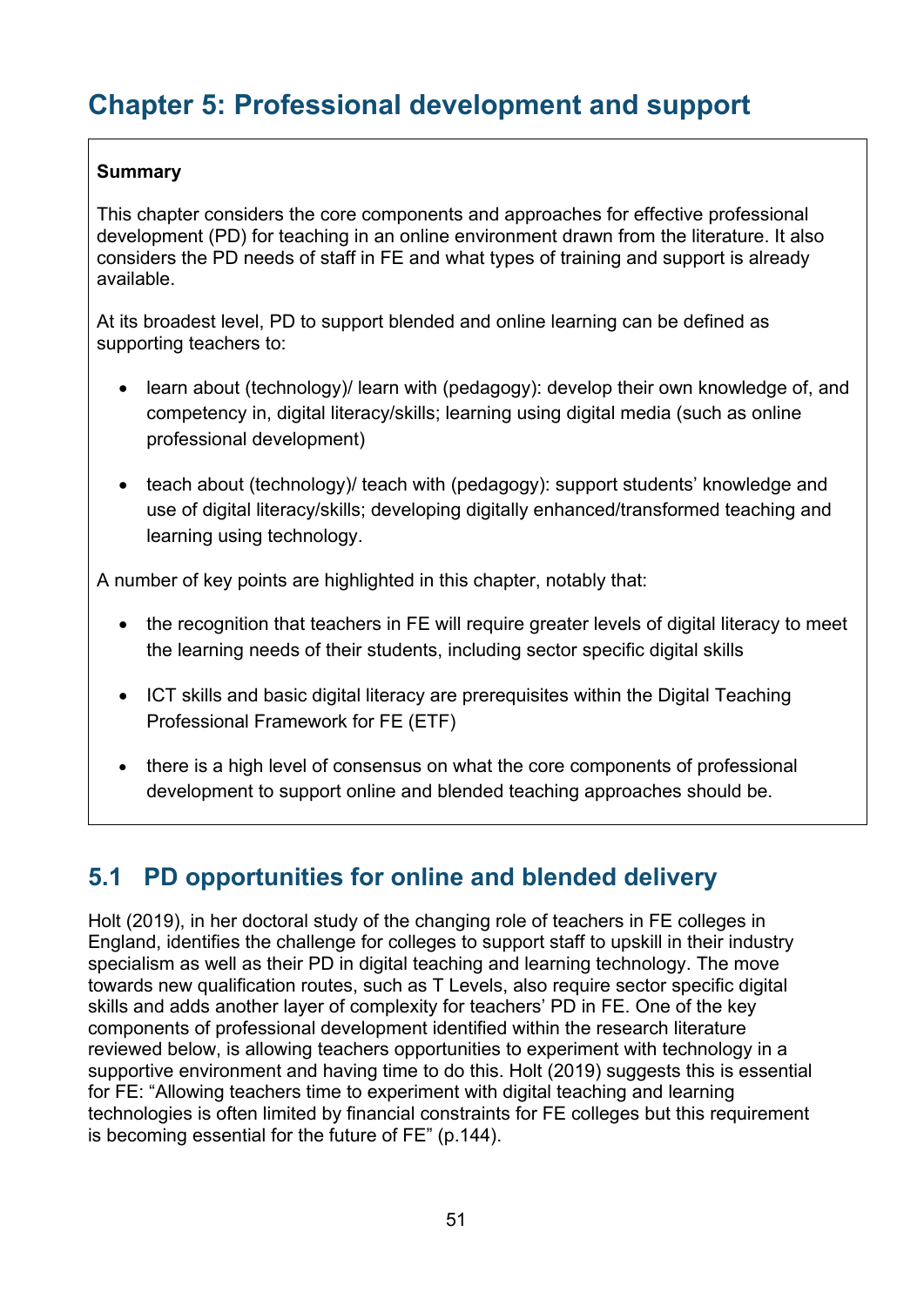# <span id="page-50-0"></span>**Chapter 5: Professional development and support**

#### **Summary**

This chapter considers the core components and approaches for effective professional development (PD) for teaching in an online environment drawn from the literature. It also considers the PD needs of staff in FE and what types of training and support is already available.

At its broadest level, PD to support blended and online learning can be defined as supporting teachers to:

- learn about (technology)/ learn with (pedagogy): develop their own knowledge of, and competency in, digital literacy/skills; learning using digital media (such as online professional development)
- teach about (technology)/ teach with (pedagogy): support students' knowledge and use of digital literacy/skills; developing digitally enhanced/transformed teaching and learning using technology.

A number of key points are highlighted in this chapter, notably that:

- the recognition that teachers in FE will require greater levels of digital literacy to meet the learning needs of their students, including sector specific digital skills
- ICT skills and basic digital literacy are prerequisites within the Digital Teaching Professional Framework for FE (ETF)
- there is a high level of consensus on what the core components of professional development to support online and blended teaching approaches should be.

# <span id="page-50-1"></span>**5.1 PD opportunities for online and blended delivery**

Holt (2019), in her doctoral study of the changing role of teachers in FE colleges in England, identifies the challenge for colleges to support staff to upskill in their industry specialism as well as their PD in digital teaching and learning technology. The move towards new qualification routes, such as T Levels, also require sector specific digital skills and adds another layer of complexity for teachers' PD in FE. One of the key components of professional development identified within the research literature reviewed below, is allowing teachers opportunities to experiment with technology in a supportive environment and having time to do this. Holt (2019) suggests this is essential for FE: "Allowing teachers time to experiment with digital teaching and learning technologies is often limited by financial constraints for FE colleges but this requirement is becoming essential for the future of FE" (p.144).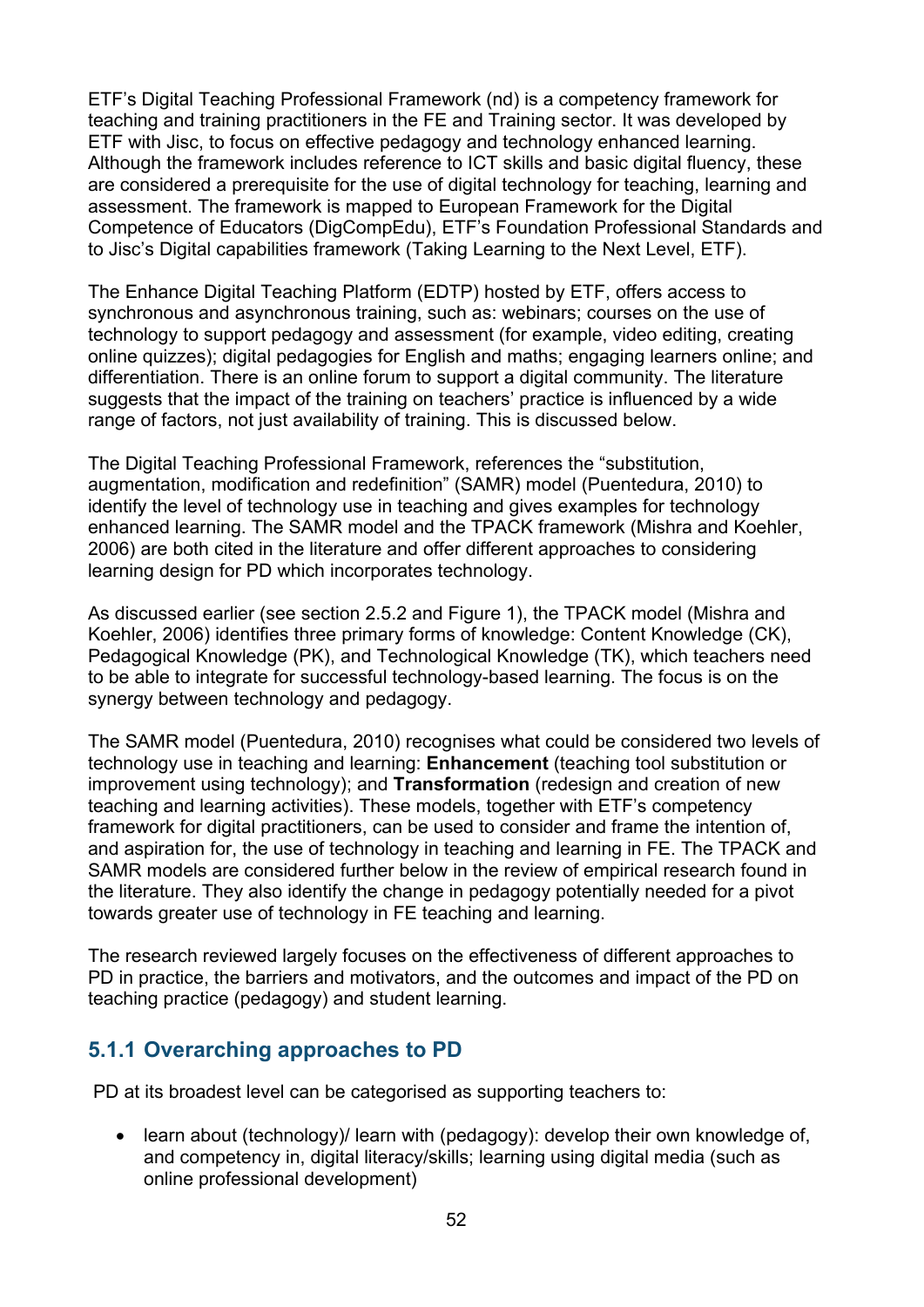ETF's Digital Teaching Professional Framework (nd) is a competency framework for teaching and training practitioners in the FE and Training sector. It was developed by ETF with Jisc, to focus on effective pedagogy and technology enhanced learning. Although the framework includes reference to ICT skills and basic digital fluency, these are considered a prerequisite for the use of digital technology for teaching, learning and assessment. The framework is mapped to European Framework for the Digital Competence of Educators (DigCompEdu), ETF's Foundation Professional Standards and to Jisc's Digital capabilities framework (Taking Learning to the Next Level, ETF).

The Enhance Digital Teaching Platform (EDTP) hosted by ETF, offers access to synchronous and asynchronous training, such as: webinars; courses on the use of technology to support pedagogy and assessment (for example, video editing, creating online quizzes); digital pedagogies for English and maths; engaging learners online; and differentiation. There is an online forum to support a digital community. The literature suggests that the impact of the training on teachers' practice is influenced by a wide range of factors, not just availability of training. This is discussed below.

The Digital Teaching Professional Framework, references the "substitution, augmentation, modification and redefinition" (SAMR) model (Puentedura, 2010) to identify the level of technology use in teaching and gives examples for technology enhanced learning. The SAMR model and the TPACK framework (Mishra and Koehler, 2006) are both cited in the literature and offer different approaches to considering learning design for PD which incorporates technology.

As discussed earlier (see section 2.5.2 and Figure 1), the TPACK model (Mishra and Koehler, 2006) identifies three primary forms of knowledge: Content Knowledge (CK), Pedagogical Knowledge (PK), and Technological Knowledge (TK), which teachers need to be able to integrate for successful technology-based learning. The focus is on the synergy between technology and pedagogy.

The SAMR model (Puentedura, 2010) recognises what could be considered two levels of technology use in teaching and learning: **Enhancement** (teaching tool substitution or improvement using technology); and **Transformation** (redesign and creation of new teaching and learning activities). These models, together with ETF's competency framework for digital practitioners, can be used to consider and frame the intention of, and aspiration for, the use of technology in teaching and learning in FE. The TPACK and SAMR models are considered further below in the review of empirical research found in the literature. They also identify the change in pedagogy potentially needed for a pivot towards greater use of technology in FE teaching and learning.

The research reviewed largely focuses on the effectiveness of different approaches to PD in practice, the barriers and motivators, and the outcomes and impact of the PD on teaching practice (pedagogy) and student learning.

### <span id="page-51-0"></span>**5.1.1 Overarching approaches to PD**

PD at its broadest level can be categorised as supporting teachers to:

• learn about (technology)/ learn with (pedagogy): develop their own knowledge of, and competency in, digital literacy/skills; learning using digital media (such as online professional development)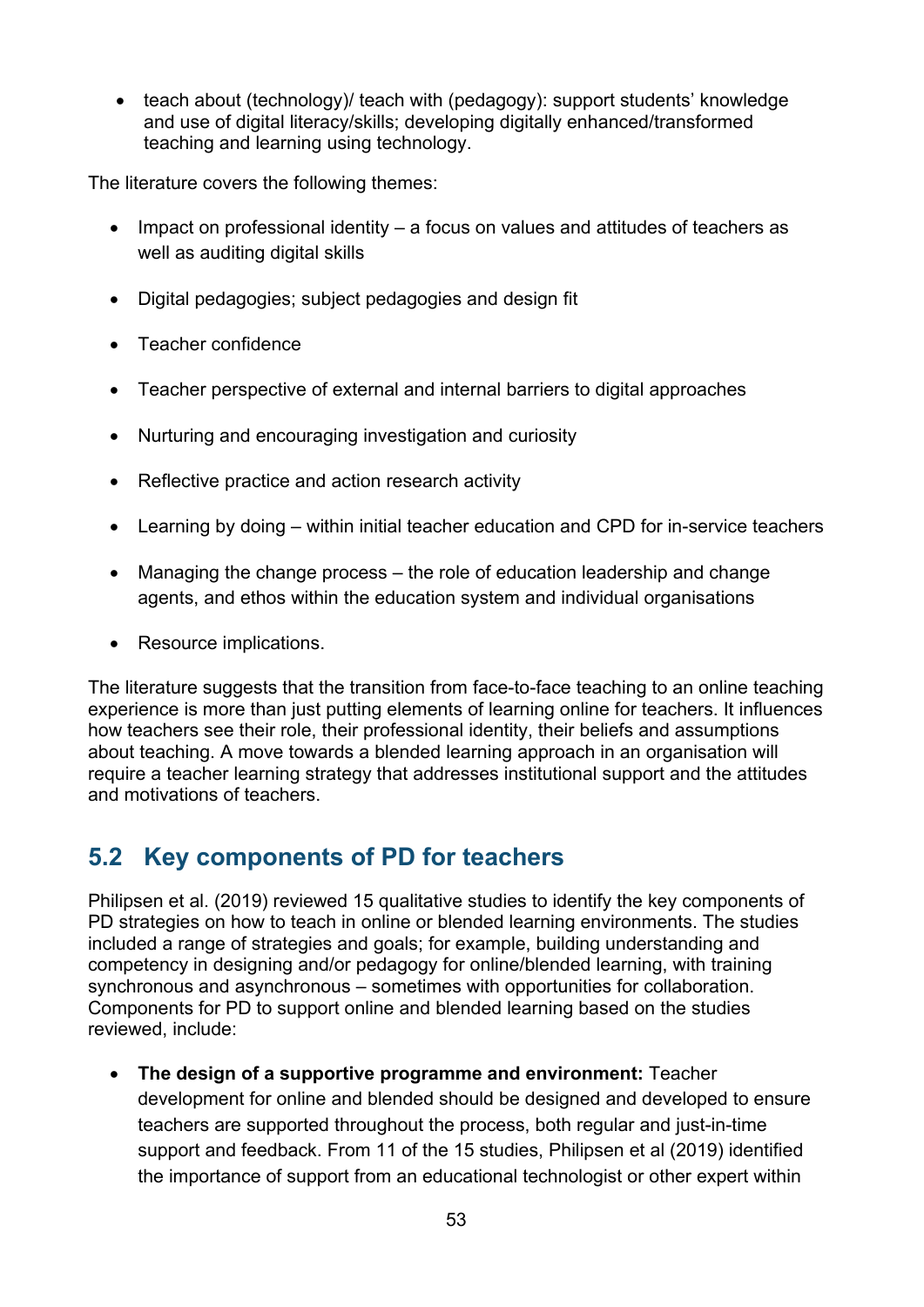• teach about (technology)/ teach with (pedagogy): support students' knowledge and use of digital literacy/skills; developing digitally enhanced/transformed teaching and learning using technology.

The literature covers the following themes:

- Impact on professional identity a focus on values and attitudes of teachers as well as auditing digital skills
- Digital pedagogies; subject pedagogies and design fit
- Teacher confidence
- Teacher perspective of external and internal barriers to digital approaches
- Nurturing and encouraging investigation and curiosity
- Reflective practice and action research activity
- Learning by doing within initial teacher education and CPD for in-service teachers
- Managing the change process the role of education leadership and change agents, and ethos within the education system and individual organisations
- Resource implications.

The literature suggests that the transition from face-to-face teaching to an online teaching experience is more than just putting elements of learning online for teachers. It influences how teachers see their role, their professional identity, their beliefs and assumptions about teaching. A move towards a blended learning approach in an organisation will require a teacher learning strategy that addresses institutional support and the attitudes and motivations of teachers.

# <span id="page-52-0"></span>**5.2 Key components of PD for teachers**

Philipsen et al. (2019) reviewed 15 qualitative studies to identify the key components of PD strategies on how to teach in online or blended learning environments. The studies included a range of strategies and goals; for example, building understanding and competency in designing and/or pedagogy for online/blended learning, with training synchronous and asynchronous – sometimes with opportunities for collaboration. Components for PD to support online and blended learning based on the studies reviewed, include:

• **The design of a supportive programme and environment:** Teacher development for online and blended should be designed and developed to ensure teachers are supported throughout the process, both regular and just-in-time support and feedback. From 11 of the 15 studies, Philipsen et al (2019) identified the importance of support from an educational technologist or other expert within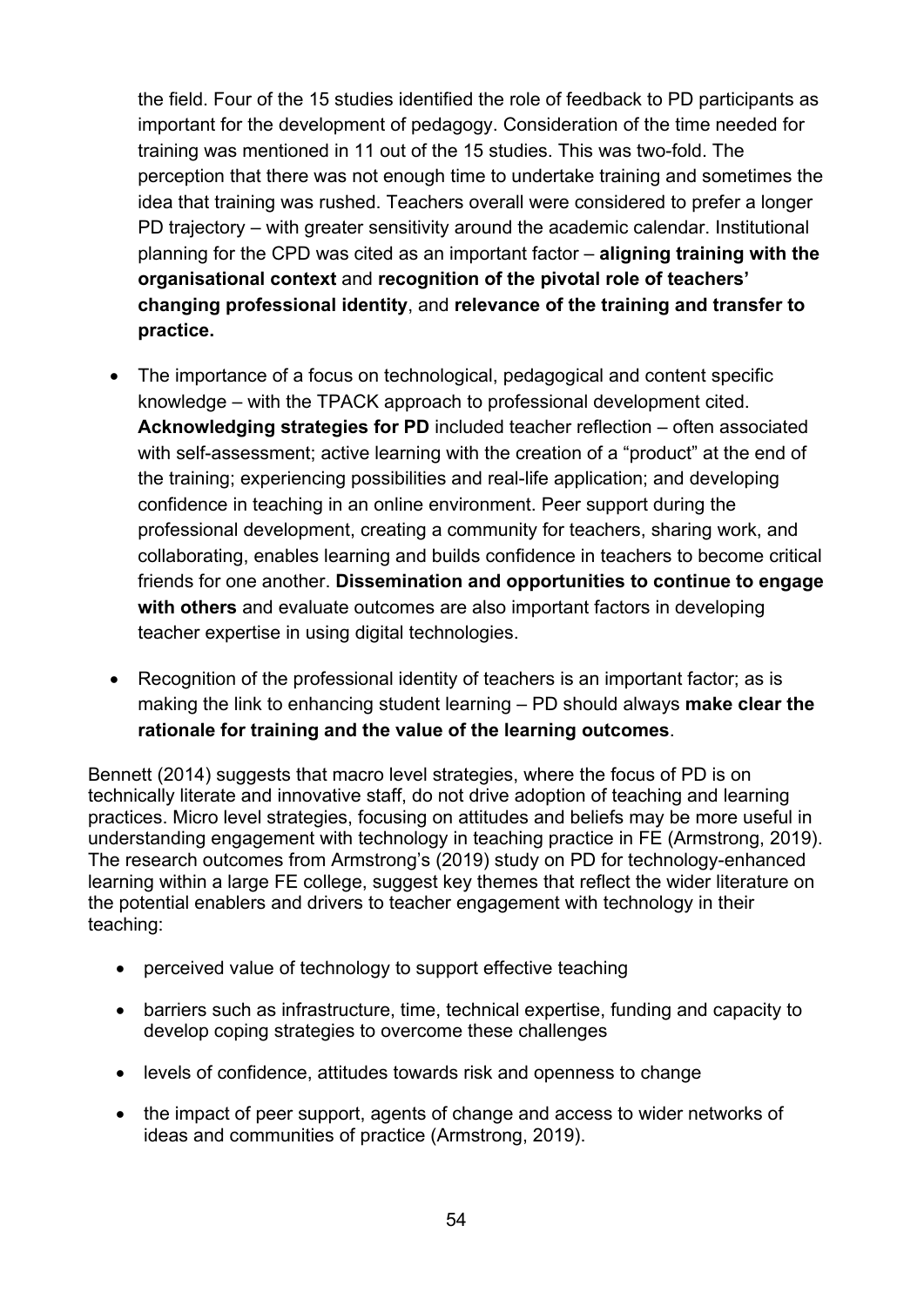the field. Four of the 15 studies identified the role of feedback to PD participants as important for the development of pedagogy. Consideration of the time needed for training was mentioned in 11 out of the 15 studies. This was two-fold. The perception that there was not enough time to undertake training and sometimes the idea that training was rushed. Teachers overall were considered to prefer a longer PD trajectory – with greater sensitivity around the academic calendar. Institutional planning for the CPD was cited as an important factor – **aligning training with the organisational context** and **recognition of the pivotal role of teachers' changing professional identity**, and **relevance of the training and transfer to practice.** 

- The importance of a focus on technological, pedagogical and content specific knowledge – with the TPACK approach to professional development cited. **Acknowledging strategies for PD** included teacher reflection – often associated with self-assessment; active learning with the creation of a "product" at the end of the training; experiencing possibilities and real-life application; and developing confidence in teaching in an online environment. Peer support during the professional development, creating a community for teachers, sharing work, and collaborating, enables learning and builds confidence in teachers to become critical friends for one another. **Dissemination and opportunities to continue to engage with others** and evaluate outcomes are also important factors in developing teacher expertise in using digital technologies.
- Recognition of the professional identity of teachers is an important factor; as is making the link to enhancing student learning – PD should always **make clear the rationale for training and the value of the learning outcomes**.

Bennett (2014) suggests that macro level strategies, where the focus of PD is on technically literate and innovative staff, do not drive adoption of teaching and learning practices. Micro level strategies, focusing on attitudes and beliefs may be more useful in understanding engagement with technology in teaching practice in FE (Armstrong, 2019). The research outcomes from Armstrong's (2019) study on PD for technology-enhanced learning within a large FE college, suggest key themes that reflect the wider literature on the potential enablers and drivers to teacher engagement with technology in their teaching:

- perceived value of technology to support effective teaching
- barriers such as infrastructure, time, technical expertise, funding and capacity to develop coping strategies to overcome these challenges
- levels of confidence, attitudes towards risk and openness to change
- the impact of peer support, agents of change and access to wider networks of ideas and communities of practice (Armstrong, 2019).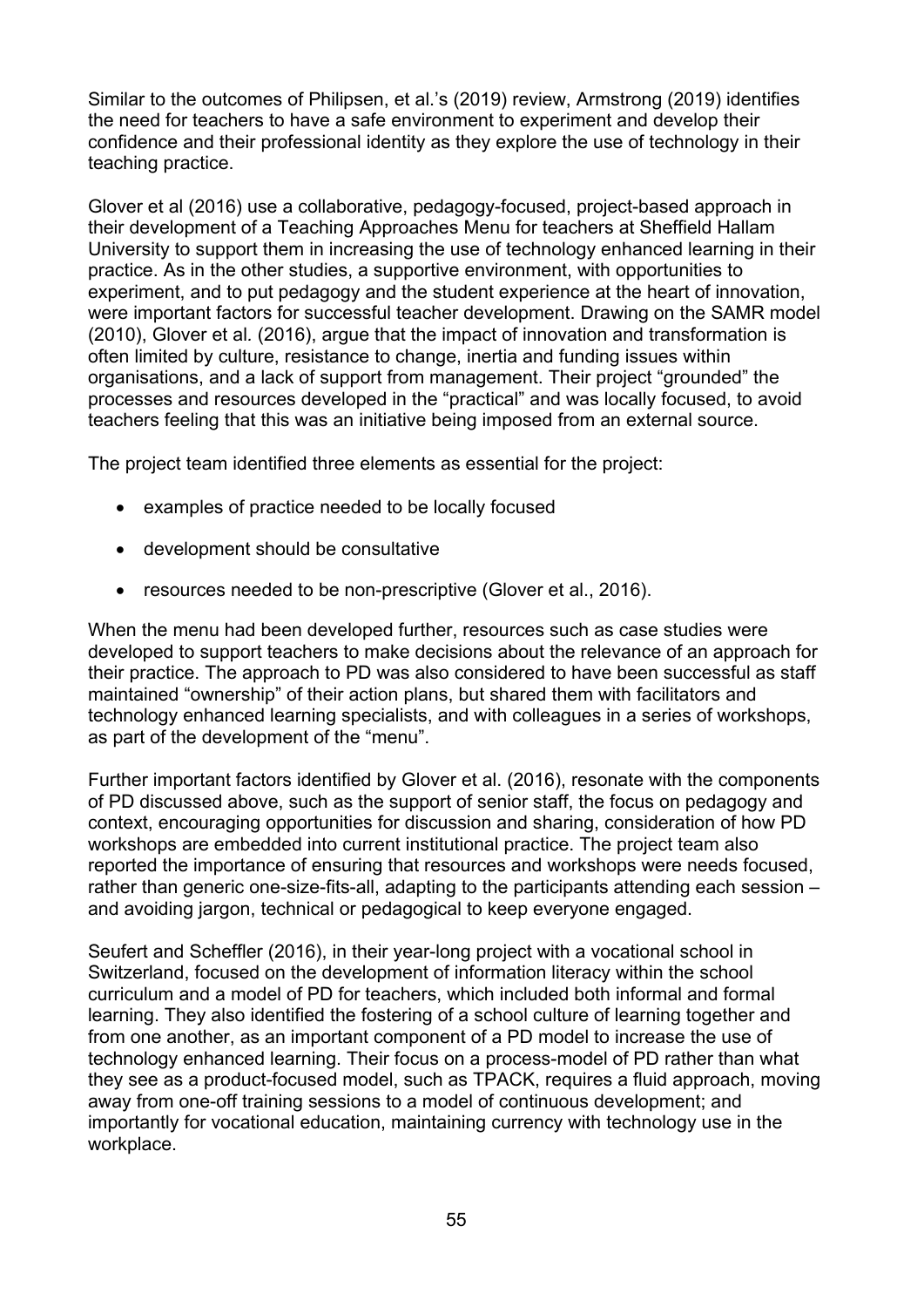Similar to the outcomes of Philipsen, et al.'s (2019) review, Armstrong (2019) identifies the need for teachers to have a safe environment to experiment and develop their confidence and their professional identity as they explore the use of technology in their teaching practice.

Glover et al (2016) use a collaborative, pedagogy-focused, project-based approach in their development of a Teaching Approaches Menu for teachers at Sheffield Hallam University to support them in increasing the use of technology enhanced learning in their practice. As in the other studies, a supportive environment, with opportunities to experiment, and to put pedagogy and the student experience at the heart of innovation, were important factors for successful teacher development. Drawing on the SAMR model (2010), Glover et al*.* (2016), argue that the impact of innovation and transformation is often limited by culture, resistance to change, inertia and funding issues within organisations, and a lack of support from management. Their project "grounded" the processes and resources developed in the "practical" and was locally focused, to avoid teachers feeling that this was an initiative being imposed from an external source.

The project team identified three elements as essential for the project:

- examples of practice needed to be locally focused
- development should be consultative
- resources needed to be non-prescriptive (Glover et al., 2016).

When the menu had been developed further, resources such as case studies were developed to support teachers to make decisions about the relevance of an approach for their practice. The approach to PD was also considered to have been successful as staff maintained "ownership" of their action plans, but shared them with facilitators and technology enhanced learning specialists, and with colleagues in a series of workshops, as part of the development of the "menu".

Further important factors identified by Glover et al. (2016), resonate with the components of PD discussed above, such as the support of senior staff, the focus on pedagogy and context, encouraging opportunities for discussion and sharing, consideration of how PD workshops are embedded into current institutional practice. The project team also reported the importance of ensuring that resources and workshops were needs focused, rather than generic one-size-fits-all, adapting to the participants attending each session – and avoiding jargon, technical or pedagogical to keep everyone engaged.

Seufert and Scheffler (2016), in their year-long project with a vocational school in Switzerland, focused on the development of information literacy within the school curriculum and a model of PD for teachers, which included both informal and formal learning. They also identified the fostering of a school culture of learning together and from one another, as an important component of a PD model to increase the use of technology enhanced learning. Their focus on a process-model of PD rather than what they see as a product-focused model, such as TPACK, requires a fluid approach, moving away from one-off training sessions to a model of continuous development; and importantly for vocational education, maintaining currency with technology use in the workplace.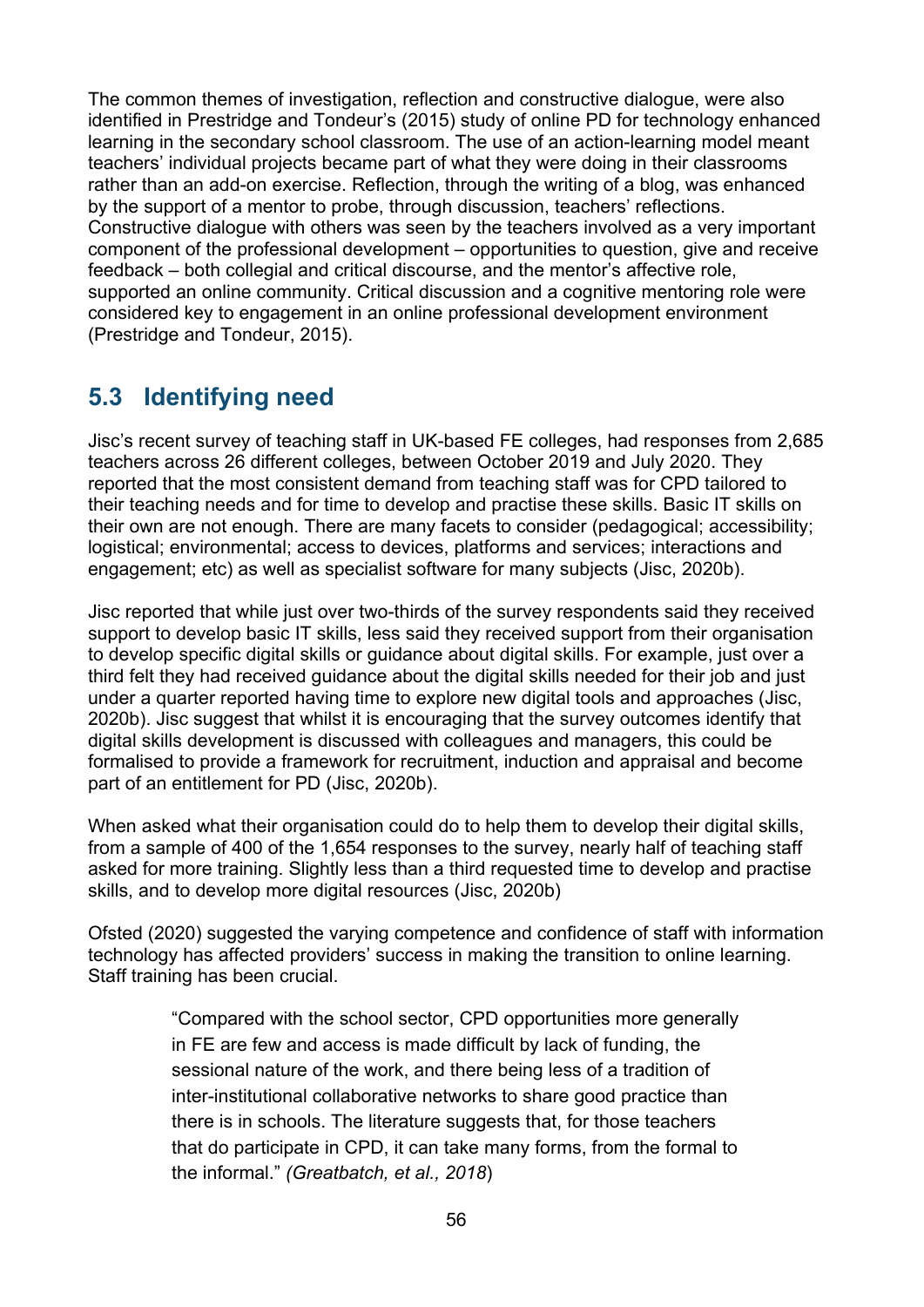The common themes of investigation, reflection and constructive dialogue, were also identified in Prestridge and Tondeur's (2015) study of online PD for technology enhanced learning in the secondary school classroom. The use of an action-learning model meant teachers' individual projects became part of what they were doing in their classrooms rather than an add-on exercise. Reflection, through the writing of a blog, was enhanced by the support of a mentor to probe, through discussion, teachers' reflections. Constructive dialogue with others was seen by the teachers involved as a very important component of the professional development – opportunities to question, give and receive feedback – both collegial and critical discourse, and the mentor's affective role, supported an online community. Critical discussion and a cognitive mentoring role were considered key to engagement in an online professional development environment (Prestridge and Tondeur, 2015).

# <span id="page-55-0"></span>**5.3 Identifying need**

Jisc's recent survey of teaching staff in UK-based FE colleges, had responses from 2,685 teachers across 26 different colleges, between October 2019 and July 2020. They reported that the most consistent demand from teaching staff was for CPD tailored to their teaching needs and for time to develop and practise these skills. Basic IT skills on their own are not enough. There are many facets to consider (pedagogical; accessibility; logistical; environmental; access to devices, platforms and services; interactions and engagement; etc) as well as specialist software for many subjects (Jisc, 2020b).

Jisc reported that while just over two-thirds of the survey respondents said they received support to develop basic IT skills, less said they received support from their organisation to develop specific digital skills or guidance about digital skills. For example, just over a third felt they had received guidance about the digital skills needed for their job and just under a quarter reported having time to explore new digital tools and approaches (Jisc, 2020b). Jisc suggest that whilst it is encouraging that the survey outcomes identify that digital skills development is discussed with colleagues and managers, this could be formalised to provide a framework for recruitment, induction and appraisal and become part of an entitlement for PD (Jisc, 2020b).

When asked what their organisation could do to help them to develop their digital skills, from a sample of 400 of the 1,654 responses to the survey, nearly half of teaching staff asked for more training. Slightly less than a third requested time to develop and practise skills, and to develop more digital resources (Jisc, 2020b)

Ofsted (2020) suggested the varying competence and confidence of staff with information technology has affected providers' success in making the transition to online learning. Staff training has been crucial.

> "Compared with the school sector, CPD opportunities more generally in FE are few and access is made difficult by lack of funding, the sessional nature of the work, and there being less of a tradition of inter-institutional collaborative networks to share good practice than there is in schools. The literature suggests that, for those teachers that do participate in CPD, it can take many forms, from the formal to the informal." *(Greatbatch, et al., 2018*)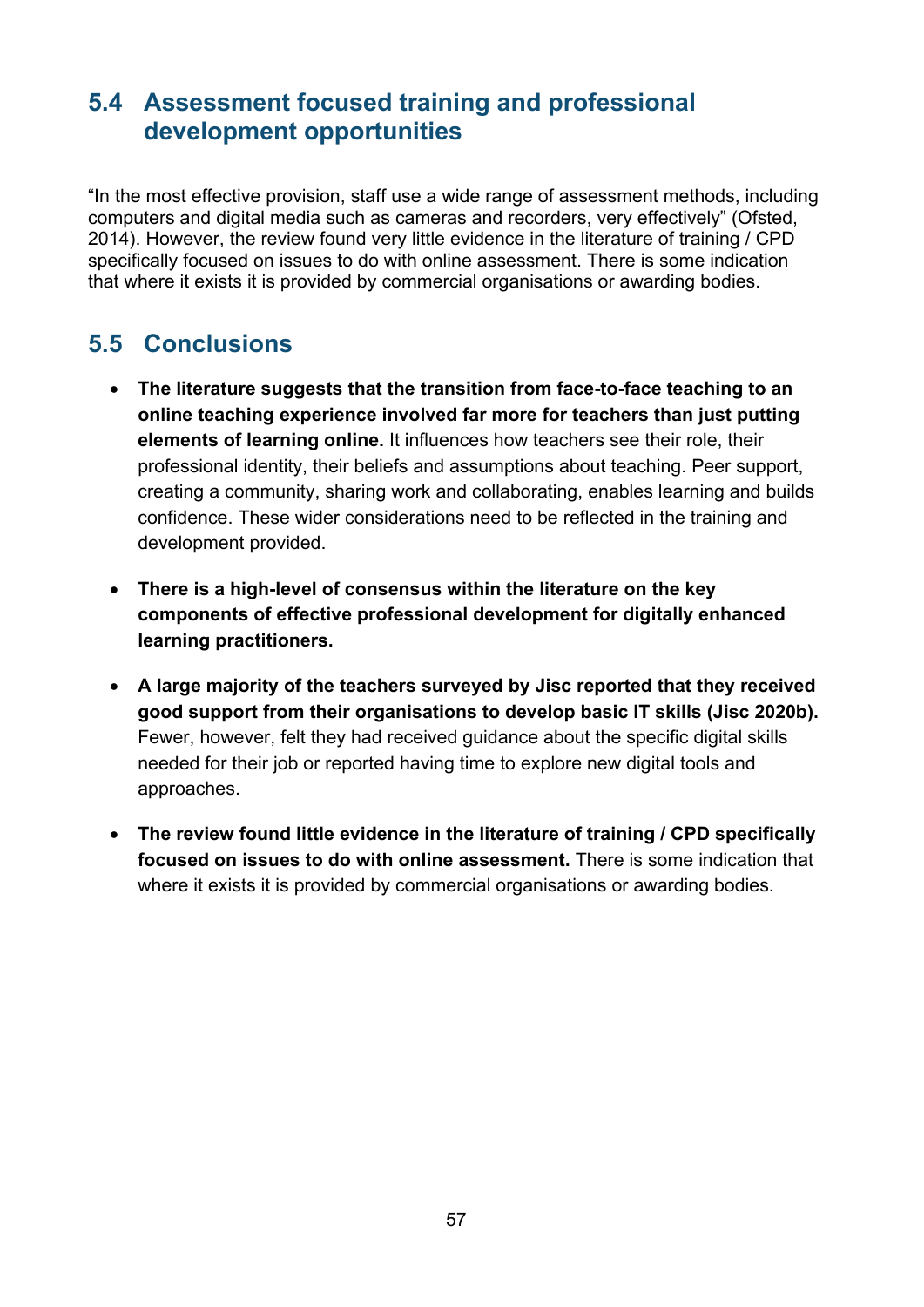## <span id="page-56-0"></span>**5.4 Assessment focused training and professional development opportunities**

"In the most effective provision, staff use a wide range of assessment methods, including computers and digital media such as cameras and recorders, very effectively" (Ofsted, 2014). However, the review found very little evidence in the literature of training / CPD specifically focused on issues to do with online assessment. There is some indication that where it exists it is provided by commercial organisations or awarding bodies.

# <span id="page-56-1"></span>**5.5 Conclusions**

- **The literature suggests that the transition from face-to-face teaching to an online teaching experience involved far more for teachers than just putting elements of learning online.** It influences how teachers see their role, their professional identity, their beliefs and assumptions about teaching. Peer support, creating a community, sharing work and collaborating, enables learning and builds confidence. These wider considerations need to be reflected in the training and development provided.
- **There is a high-level of consensus within the literature on the key components of effective professional development for digitally enhanced learning practitioners.**
- **A large majority of the teachers surveyed by Jisc reported that they received good support from their organisations to develop basic IT skills (Jisc 2020b).** Fewer, however, felt they had received guidance about the specific digital skills needed for their job or reported having time to explore new digital tools and approaches.
- **The review found little evidence in the literature of training / CPD specifically focused on issues to do with online assessment.** There is some indication that where it exists it is provided by commercial organisations or awarding bodies.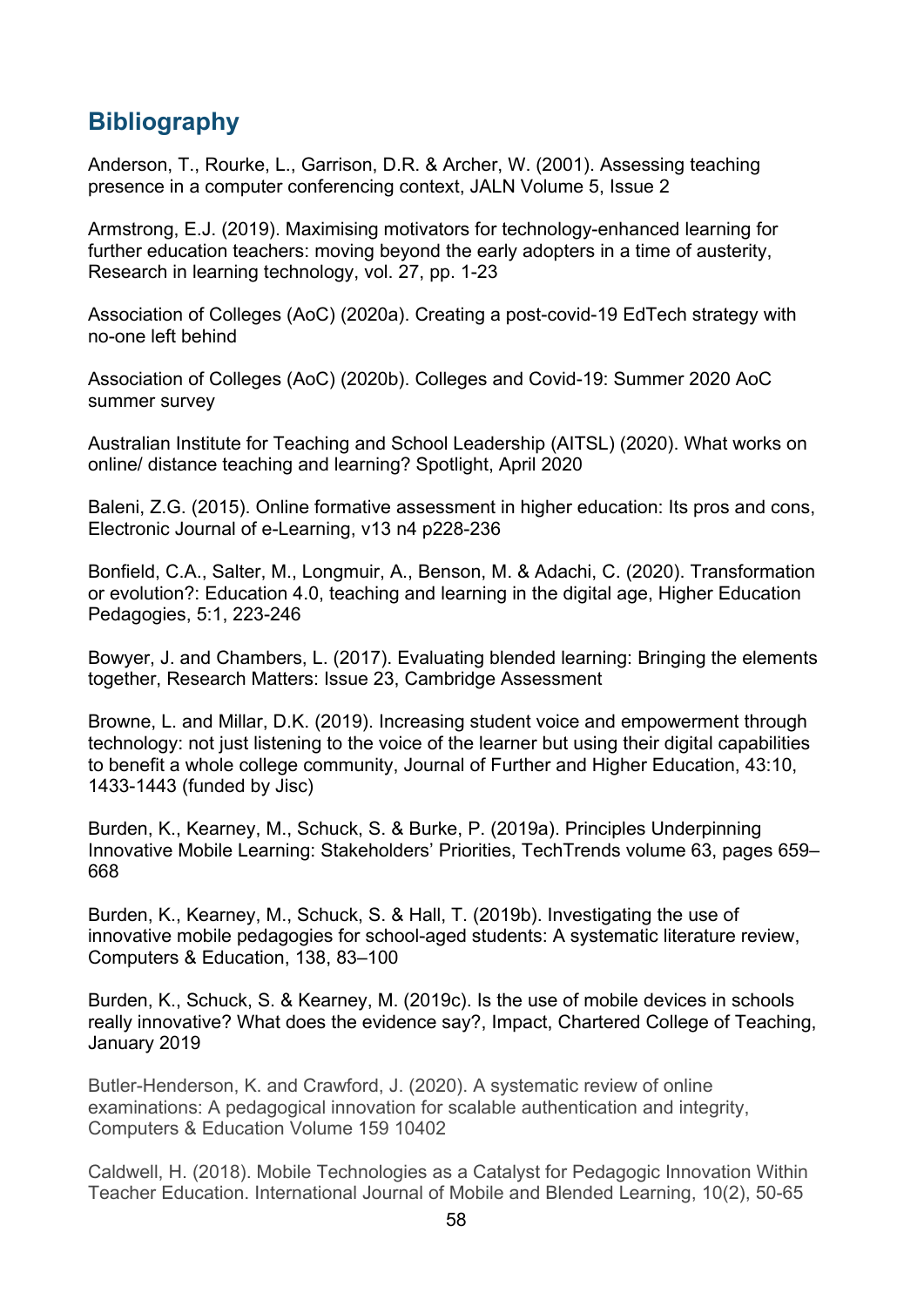# <span id="page-57-0"></span>**Bibliography**

Anderson, T., Rourke, L., Garrison, D.R. & Archer, W. (2001). Assessing teaching presence in a computer conferencing context, JALN Volume 5, Issue 2

Armstrong, E.J. (2019). Maximising motivators for technology-enhanced learning for further education teachers: moving beyond the early adopters in a time of austerity, Research in learning technology, vol. 27, pp. 1-23

Association of Colleges (AoC) (2020a). Creating a post-covid-19 EdTech strategy with no-one left behind

Association of Colleges (AoC) (2020b). Colleges and Covid-19: Summer 2020 AoC summer survey

Australian Institute for Teaching and School Leadership (AITSL) (2020). What works on online/ distance teaching and learning? Spotlight, April 2020

Baleni, Z.G. (2015). Online formative assessment in higher education: Its pros and cons, Electronic Journal of e-Learning, v13 n4 p228-236

Bonfield, C.A., Salter, M., Longmuir, A., Benson, M. & Adachi, C. (2020). Transformation or evolution?: Education 4.0, teaching and learning in the digital age, Higher Education Pedagogies, 5:1, 223-246

Bowyer, J. and Chambers, L. (2017). Evaluating blended learning: Bringing the elements together, Research Matters: Issue 23, Cambridge Assessment

Browne, L. and Millar, D.K. (2019). Increasing student voice and empowerment through technology: not just listening to the voice of the learner but using their digital capabilities to benefit a whole college community, Journal of Further and Higher Education, 43:10, 1433-1443 (funded by Jisc)

Burden, K., Kearney, M., Schuck, S. & Burke, P. (2019a). Principles Underpinning Innovative Mobile Learning: Stakeholders' Priorities, TechTrends volume 63, pages 659– 668

Burden, K., Kearney, M., Schuck, S. & Hall, T. (2019b). Investigating the use of innovative mobile pedagogies for school-aged students: A systematic literature review, Computers & Education, 138, 83–100

Burden, K., Schuck, S. & Kearney, M. (2019c). Is the use of mobile devices in schools really innovative? What does the evidence say?, Impact, Chartered College of Teaching, January 2019

Butler-Henderson, K. and Crawford, J. (2020). A systematic review of online examinations: A pedagogical innovation for scalable authentication and integrity, Computers & Education Volume 159 10402

Caldwell, H. (2018). Mobile Technologies as a Catalyst for Pedagogic Innovation Within Teacher Education. International Journal of Mobile and Blended Learning, 10(2), 50-65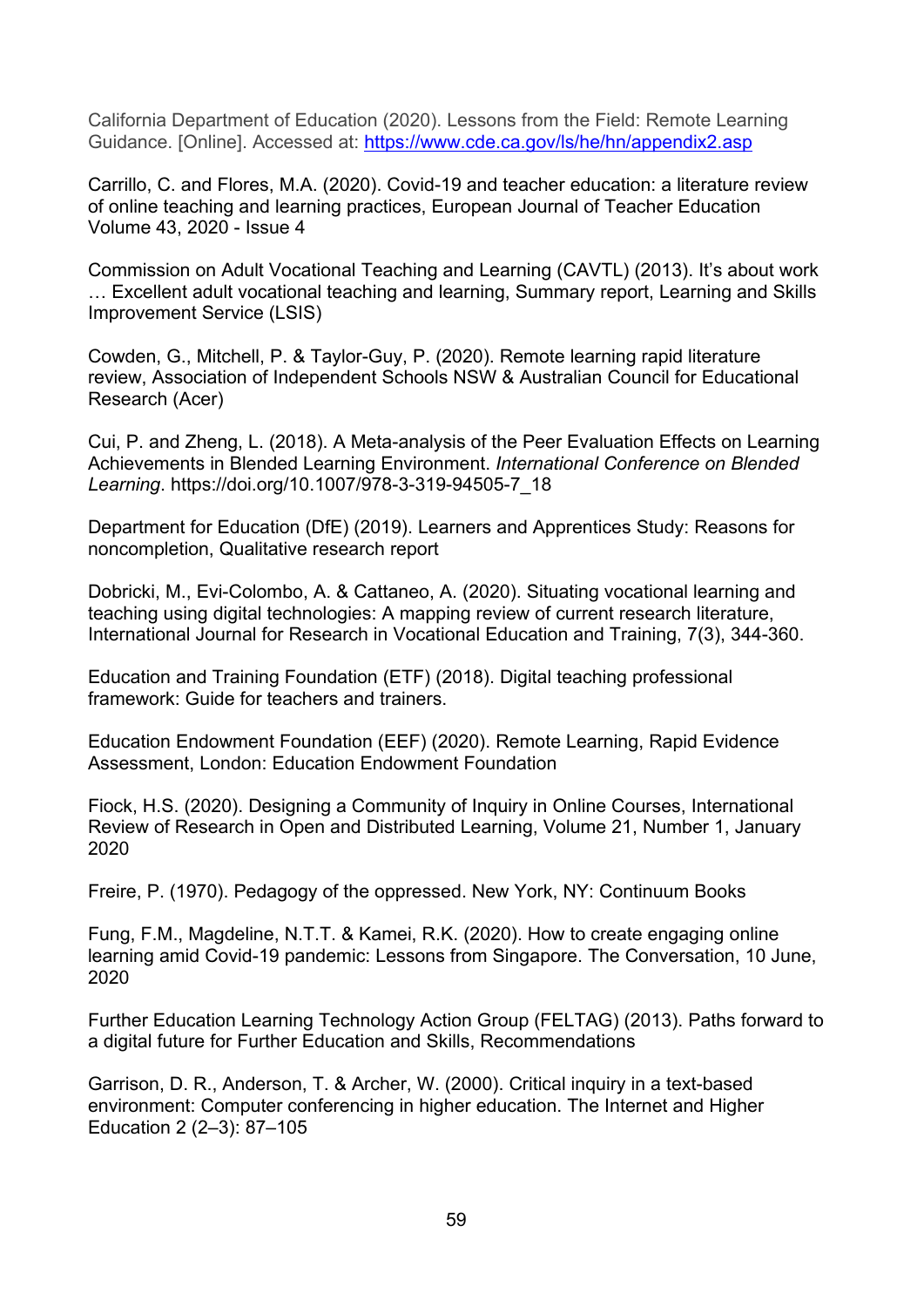California Department of Education (2020). Lessons from the Field: Remote Learning Guidance. [Online]. Accessed at:<https://www.cde.ca.gov/ls/he/hn/appendix2.asp>

Carrillo, C. and Flores, M.A. (2020). Covid-19 and teacher education: a literature review of online teaching and learning practices, European Journal of Teacher Education Volume 43, 2020 - Issue 4

Commission on Adult Vocational Teaching and Learning (CAVTL) (2013). It's about work … Excellent adult vocational teaching and learning, Summary report, Learning and Skills Improvement Service (LSIS)

Cowden, G., Mitchell, P. & Taylor-Guy, P. (2020). Remote learning rapid literature review, Association of Independent Schools NSW & Australian Council for Educational Research (Acer)

Cui, P. and Zheng, L. (2018). A Meta-analysis of the Peer Evaluation Effects on Learning Achievements in Blended Learning Environment. *International Conference on Blended Learning*. https://doi.org/10.1007/978-3-319-94505-7\_18

Department for Education (DfE) (2019). Learners and Apprentices Study: Reasons for noncompletion, Qualitative research report

Dobricki, M., Evi-Colombo, A. & Cattaneo, A. (2020). Situating vocational learning and teaching using digital technologies: A mapping review of current research literature, International Journal for Research in Vocational Education and Training, 7(3), 344-360.

Education and Training Foundation (ETF) (2018). Digital teaching professional framework: Guide for teachers and trainers.

Education Endowment Foundation (EEF) (2020). Remote Learning, Rapid Evidence Assessment, London: Education Endowment Foundation

Fiock, H.S. (2020). Designing a Community of Inquiry in Online Courses, International Review of Research in Open and Distributed Learning, Volume 21, Number 1, January 2020

Freire, P. (1970). Pedagogy of the oppressed. New York, NY: Continuum Books

Fung, F.M., Magdeline, N.T.T. & Kamei, R.K. (2020). How to create engaging online learning amid Covid-19 pandemic: Lessons from Singapore. The Conversation, 10 June, 2020

Further Education Learning Technology Action Group (FELTAG) (2013). Paths forward to a digital future for Further Education and Skills, Recommendations

Garrison, D. R., Anderson, T. & Archer, W. (2000). Critical inquiry in a text-based environment: Computer conferencing in higher education. The Internet and Higher Education 2 (2–3): 87–105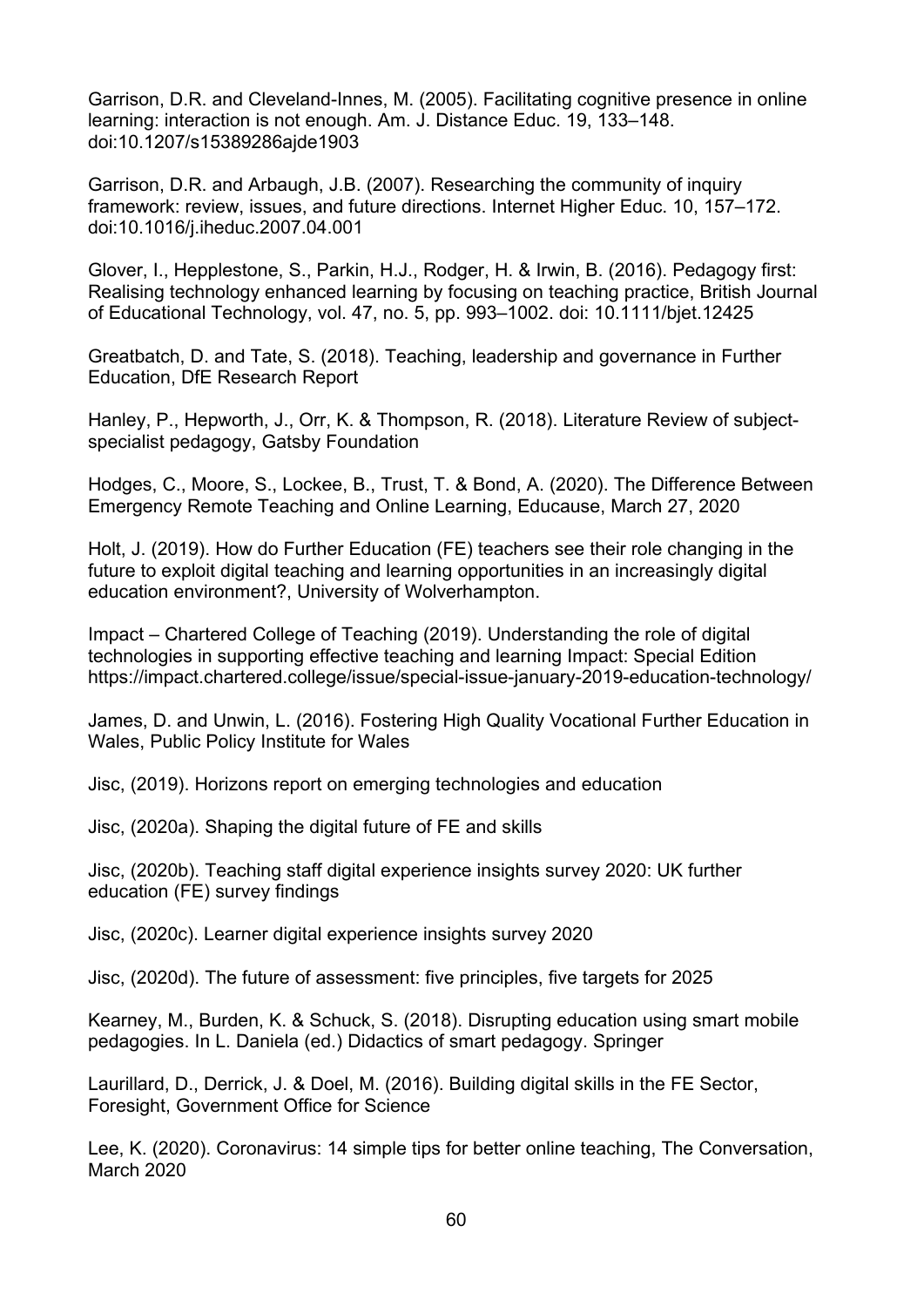Garrison, D.R. and Cleveland-Innes, M. (2005). Facilitating cognitive presence in online learning: interaction is not enough. Am. J. Distance Educ. 19, 133–148. doi:10.1207/s15389286ajde1903

Garrison, D.R. and Arbaugh, J.B. (2007). Researching the community of inquiry framework: review, issues, and future directions. Internet Higher Educ. 10, 157–172. doi:10.1016/j.iheduc.2007.04.001

Glover, I., Hepplestone, S., Parkin, H.J., Rodger, H. & Irwin, B. (2016). Pedagogy first: Realising technology enhanced learning by focusing on teaching practice, British Journal of Educational Technology, vol. 47, no. 5, pp. 993–1002. doi: 10.1111/bjet.12425

Greatbatch, D. and Tate, S. (2018). Teaching, leadership and governance in Further Education, DfE Research Report

Hanley, P., Hepworth, J., Orr, K. & Thompson, R. (2018). Literature Review of subjectspecialist pedagogy, Gatsby Foundation

Hodges, C., Moore, S., Lockee, B., Trust, T. & Bond, A. (2020). The Difference Between Emergency Remote Teaching and Online Learning, Educause, March 27, 2020

Holt, J. (2019). How do Further Education (FE) teachers see their role changing in the future to exploit digital teaching and learning opportunities in an increasingly digital education environment?, University of Wolverhampton.

Impact – Chartered College of Teaching (2019). Understanding the role of digital technologies in supporting effective teaching and learning Impact: Special Edition https://impact.chartered.college/issue/special-issue-january-2019-education-technology/

James, D. and Unwin, L. (2016). Fostering High Quality Vocational Further Education in Wales, Public Policy Institute for Wales

Jisc, (2019). Horizons report on emerging technologies and education

Jisc, (2020a). Shaping the digital future of FE and skills

Jisc, (2020b). Teaching staff digital experience insights survey 2020: UK further education (FE) survey findings

Jisc, (2020c). Learner digital experience insights survey 2020

Jisc, (2020d). The future of assessment: five principles, five targets for 2025

Kearney, M., Burden, K. & Schuck, S. (2018). Disrupting education using smart mobile pedagogies. In L. Daniela (ed.) Didactics of smart pedagogy. Springer

Laurillard, D., Derrick, J. & Doel, M. (2016). Building digital skills in the FE Sector, Foresight, Government Office for Science

Lee, K. (2020). Coronavirus: 14 simple tips for better online teaching, The Conversation, March 2020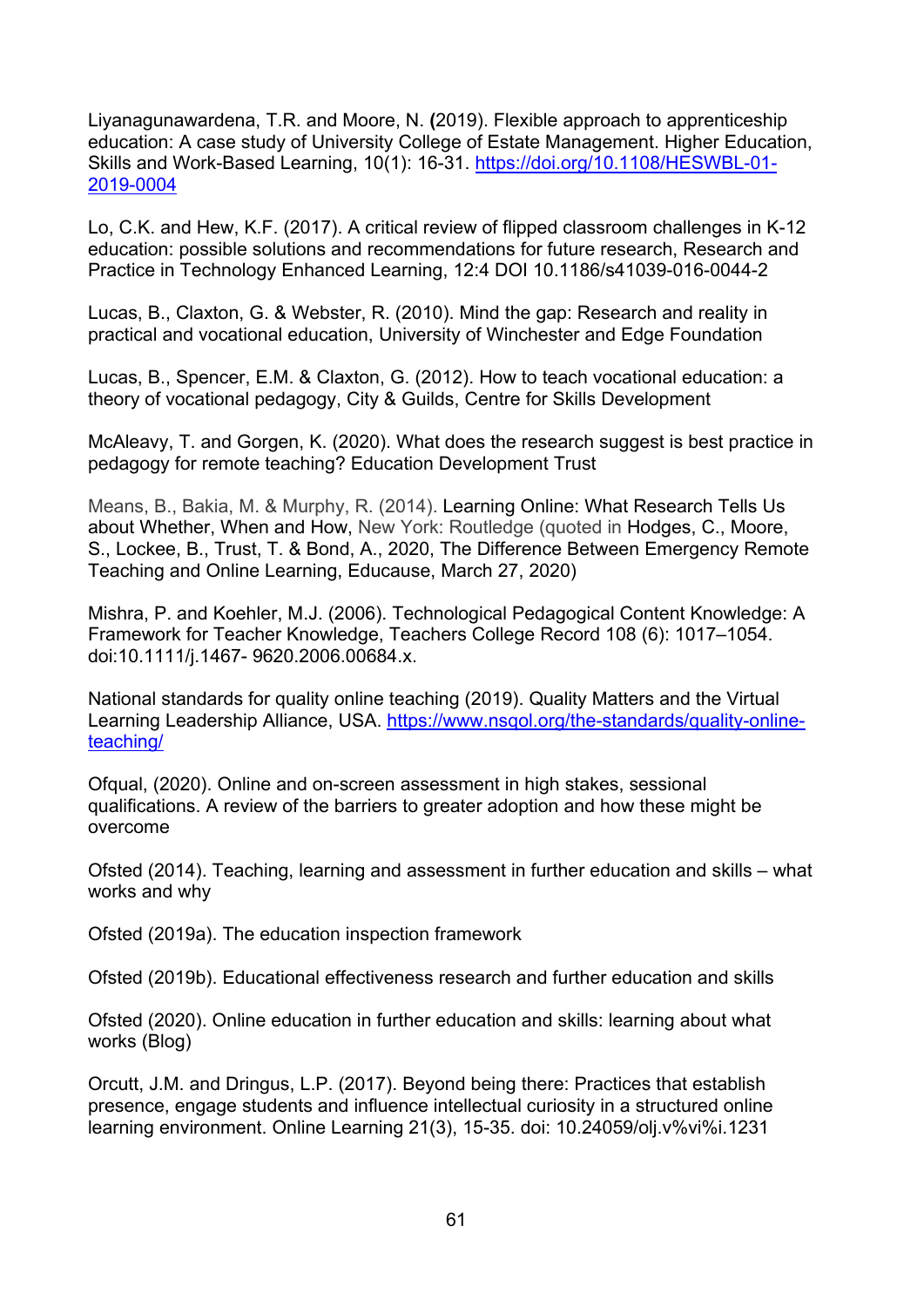Liyanagunawardena, T.R. and Moore, N. **(**2019). Flexible approach to apprenticeship education: A case study of University College of Estate Management. Higher Education, Skills and Work-Based Learning, 10(1): 16-31. [https://doi.org/10.1108/HESWBL-01-](https://doi.org/10.1108/HESWBL-01-2019-0004) [2019-0004](https://doi.org/10.1108/HESWBL-01-2019-0004)

Lo, C.K. and Hew, K.F. (2017). A critical review of flipped classroom challenges in K-12 education: possible solutions and recommendations for future research, Research and Practice in Technology Enhanced Learning, 12:4 DOI 10.1186/s41039-016-0044-2

Lucas, B., Claxton, G. & Webster, R. (2010). Mind the gap: Research and reality in practical and vocational education, University of Winchester and Edge Foundation

Lucas, B., Spencer, E.M. & Claxton, G. (2012). How to teach vocational education: a theory of vocational pedagogy, City & Guilds, Centre for Skills Development

McAleavy, T. and Gorgen, K. (2020). What does the research suggest is best practice in pedagogy for remote teaching? Education Development Trust

Means, B., Bakia, M. & Murphy, R. (2014). [Learning Online: What Research Tells Us](https://www.routledge.com/Learning-Online-What-Research-Tells-Us-About-Whether-When-and-How-1st/Means-Bakia-Murphy/p/book/9780415630290)  [about Whether, When and How,](https://www.routledge.com/Learning-Online-What-Research-Tells-Us-About-Whether-When-and-How-1st/Means-Bakia-Murphy/p/book/9780415630290) New York: Routledge (quoted in Hodges, C., Moore, S., Lockee, B., Trust, T. & Bond, A., 2020, The Difference Between Emergency Remote Teaching and Online Learning, Educause, March 27, 2020)

Mishra, P. and Koehler, M.J. (2006). Technological Pedagogical Content Knowledge: A Framework for Teacher Knowledge, Teachers College Record 108 (6): 1017–1054. doi:10.1111/j.1467- 9620.2006.00684.x.

National standards for quality online teaching (2019). Quality Matters and the Virtual Learning Leadership Alliance, USA. [https://www.nsqol.org/the-standards/quality-online](https://www.nsqol.org/the-standards/quality-online-teaching/)[teaching/](https://www.nsqol.org/the-standards/quality-online-teaching/)

Ofqual, (2020). Online and on-screen assessment in high stakes, sessional qualifications. A review of the barriers to greater adoption and how these might be overcome

Ofsted (2014). Teaching, learning and assessment in further education and skills – what works and why

Ofsted (2019a). The education inspection framework

Ofsted (2019b). Educational effectiveness research and further education and skills

Ofsted (2020). Online education in further education and skills: learning about what works (Blog)

Orcutt, J.M. and Dringus, L.P. (2017). Beyond being there: Practices that establish presence, engage students and influence intellectual curiosity in a structured online learning environment. Online Learning 21(3), 15-35. doi: 10.24059/olj.v%vi%i.1231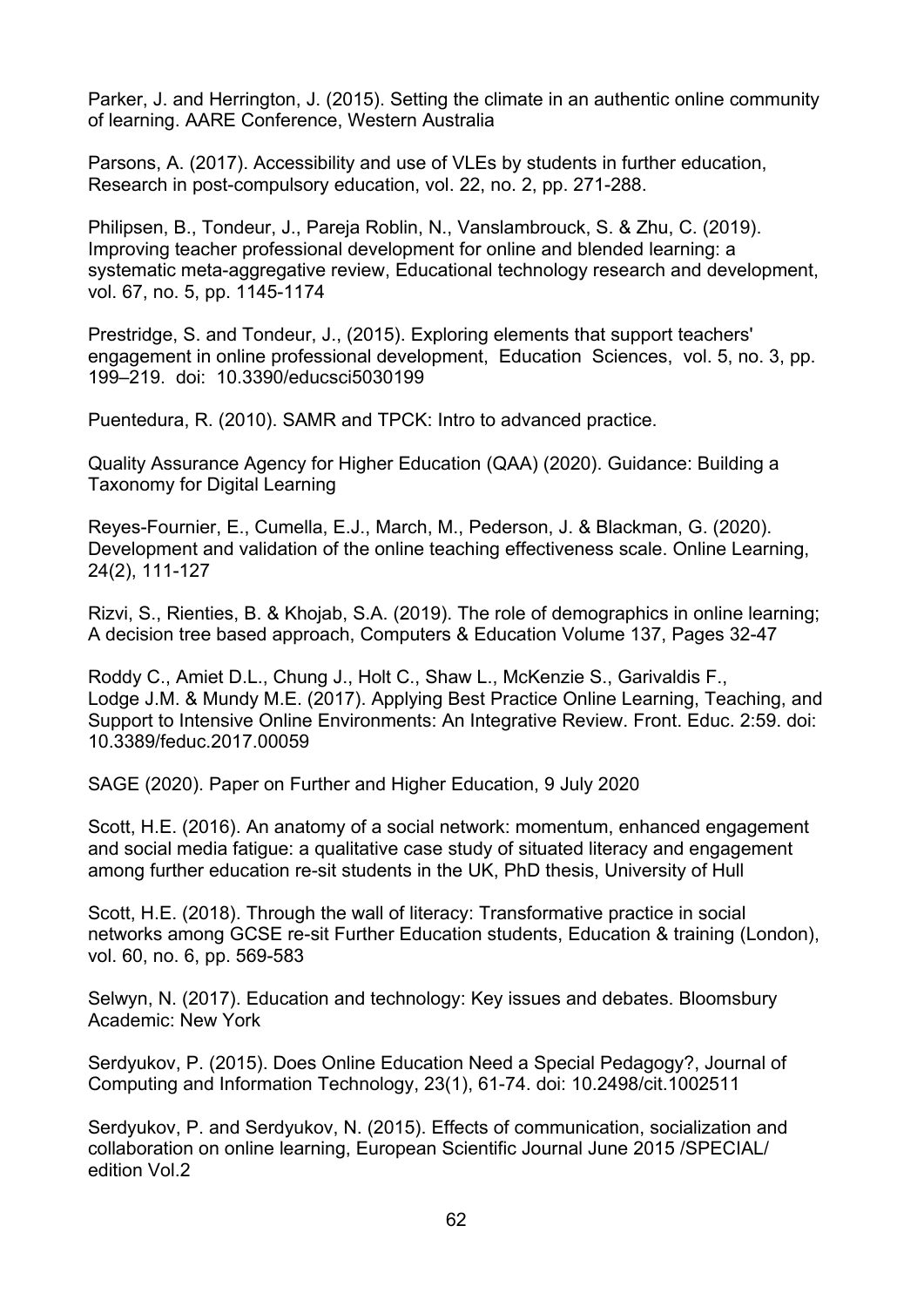Parker, J. and Herrington, J. (2015). Setting the climate in an authentic online community of learning. AARE Conference, Western Australia

Parsons, A. (2017). Accessibility and use of VLEs by students in further education, Research in post-compulsory education, vol. 22, no. 2, pp. 271-288.

Philipsen, B., Tondeur, J., Pareja Roblin, N., Vanslambrouck, S. & Zhu, C. (2019). Improving teacher professional development for online and blended learning: a systematic meta-aggregative review, Educational technology research and development, vol. 67, no. 5, pp. 1145-1174

Prestridge, S. and Tondeur, J., (2015). Exploring elements that support teachers' engagement in online professional development, Education Sciences, vol. 5, no. 3, pp. 199–219. doi: 10.3390/educsci5030199

Puentedura, R. (2010). SAMR and TPCK: Intro to advanced practice.

Quality Assurance Agency for Higher Education (QAA) (2020). Guidance: Building a Taxonomy for Digital Learning

Reyes-Fournier, E., Cumella, E.J., March, M., Pederson, J. & Blackman, G. (2020). Development and validation of the online teaching effectiveness scale. Online Learning, 24(2), 111-127

Rizvi, S., Rienties, B. & Khojab, S.A. (2019). The role of demographics in online learning; A decision tree based approach, Computers & Education Volume 137, Pages 32-47

Roddy C., Amiet D.L., Chung J., Holt C., Shaw L., McKenzie S., Garivaldis F., Lodge J.M. & Mundy M.E. (2017). Applying Best Practice Online Learning, Teaching, and Support to Intensive Online Environments: An Integrative Review. Front. Educ. 2:59. doi: 10.3389/feduc.2017.00059

SAGE (2020). Paper on Further and Higher Education, 9 July 2020

Scott, H.E. (2016). An anatomy of a social network: momentum, enhanced engagement and social media fatigue: a qualitative case study of situated literacy and engagement among further education re-sit students in the UK, PhD thesis, University of Hull

Scott, H.E. (2018). Through the wall of literacy: Transformative practice in social networks among GCSE re-sit Further Education students, Education & training (London), vol. 60, no. 6, pp. 569-583

Selwyn, N. (2017). Education and technology: Key issues and debates. Bloomsbury Academic: New York

Serdyukov, P. (2015). Does Online Education Need a Special Pedagogy?, Journal of Computing and Information Technology, 23(1), 61-74. doi: 10.2498/cit.1002511

Serdyukov, P. and Serdyukov, N. (2015). Effects of communication, socialization and collaboration on online learning, European Scientific Journal June 2015 /SPECIAL/ edition Vol.2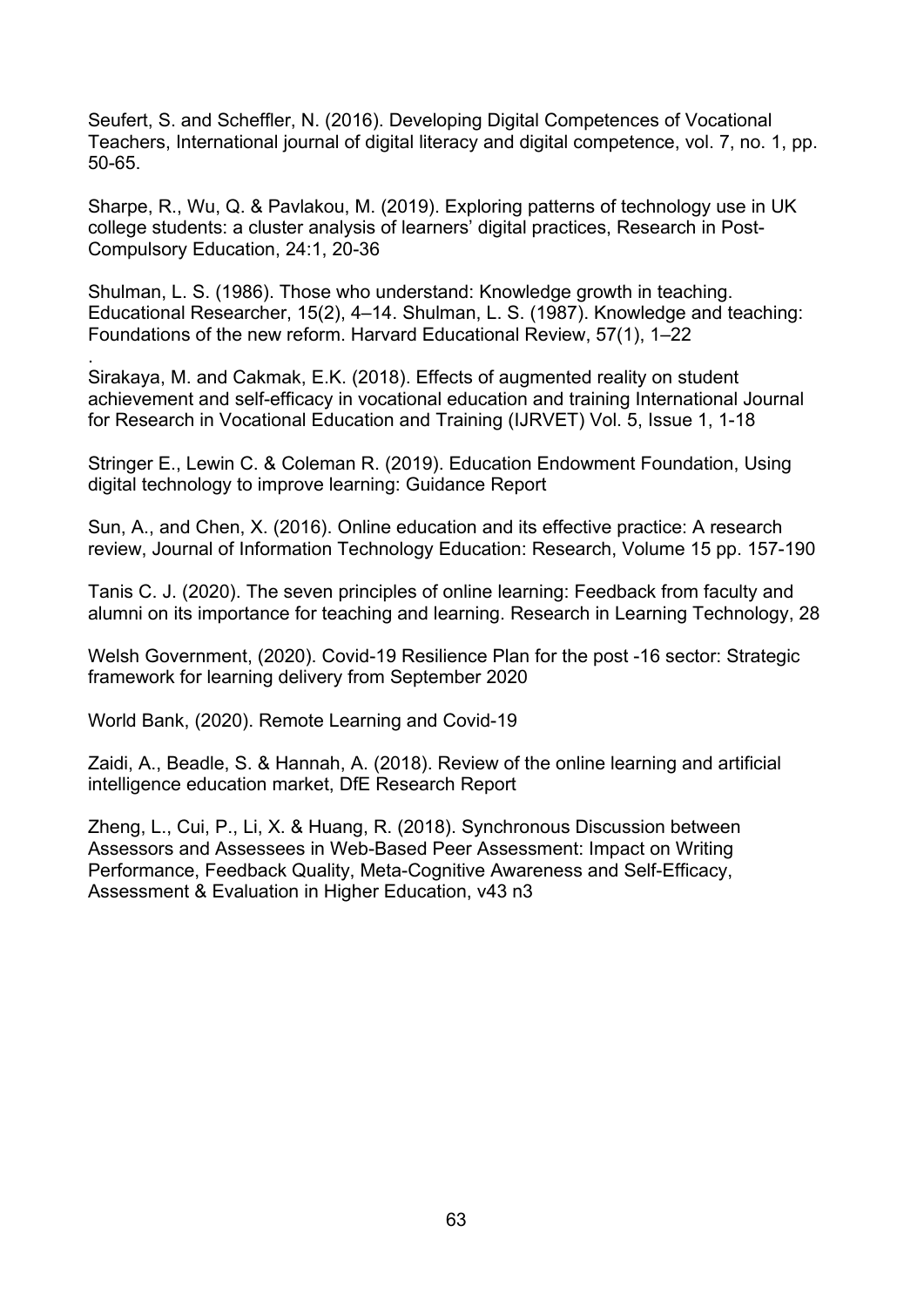Seufert, S. and Scheffler, N. (2016). Developing Digital Competences of Vocational Teachers, International journal of digital literacy and digital competence, vol. 7, no. 1, pp. 50-65.

Sharpe, R., Wu, Q. & Pavlakou, M. (2019). Exploring patterns of technology use in UK college students: a cluster analysis of learners' digital practices, Research in Post-Compulsory Education, 24:1, 20-36

Shulman, L. S. (1986). Those who understand: Knowledge growth in teaching. Educational Researcher, 15(2), 4–14. Shulman, L. S. (1987). Knowledge and teaching: Foundations of the new reform. Harvard Educational Review, 57(1), 1–22

. Sirakaya, M. and Cakmak, E.K. (2018). Effects of augmented reality on student achievement and self-efficacy in vocational education and training International Journal for Research in Vocational Education and Training (IJRVET) Vol. 5, Issue 1, 1-18

Stringer E., Lewin C. & Coleman R. (2019). Education Endowment Foundation, Using digital technology to improve learning: Guidance Report

Sun, A., and Chen, X. (2016). Online education and its effective practice: A research review, Journal of Information Technology Education: Research, Volume 15 pp. 157-190

Tanis C. J. (2020). The seven principles of online learning: Feedback from faculty and alumni on its importance for teaching and learning. Research in Learning Technology, 28

Welsh Government, (2020). Covid-19 Resilience Plan for the post -16 sector: Strategic framework for learning delivery from September 2020

World Bank, (2020). Remote Learning and Covid-19

Zaidi, A., Beadle, S. & Hannah, A. (2018). Review of the online learning and artificial intelligence education market, DfE Research Report

Zheng, L., Cui, P., Li, X. & Huang, R. (2018). Synchronous Discussion between Assessors and Assessees in Web-Based Peer Assessment: Impact on Writing Performance, Feedback Quality, Meta-Cognitive Awareness and Self-Efficacy, Assessment & Evaluation in Higher Education, v43 n3